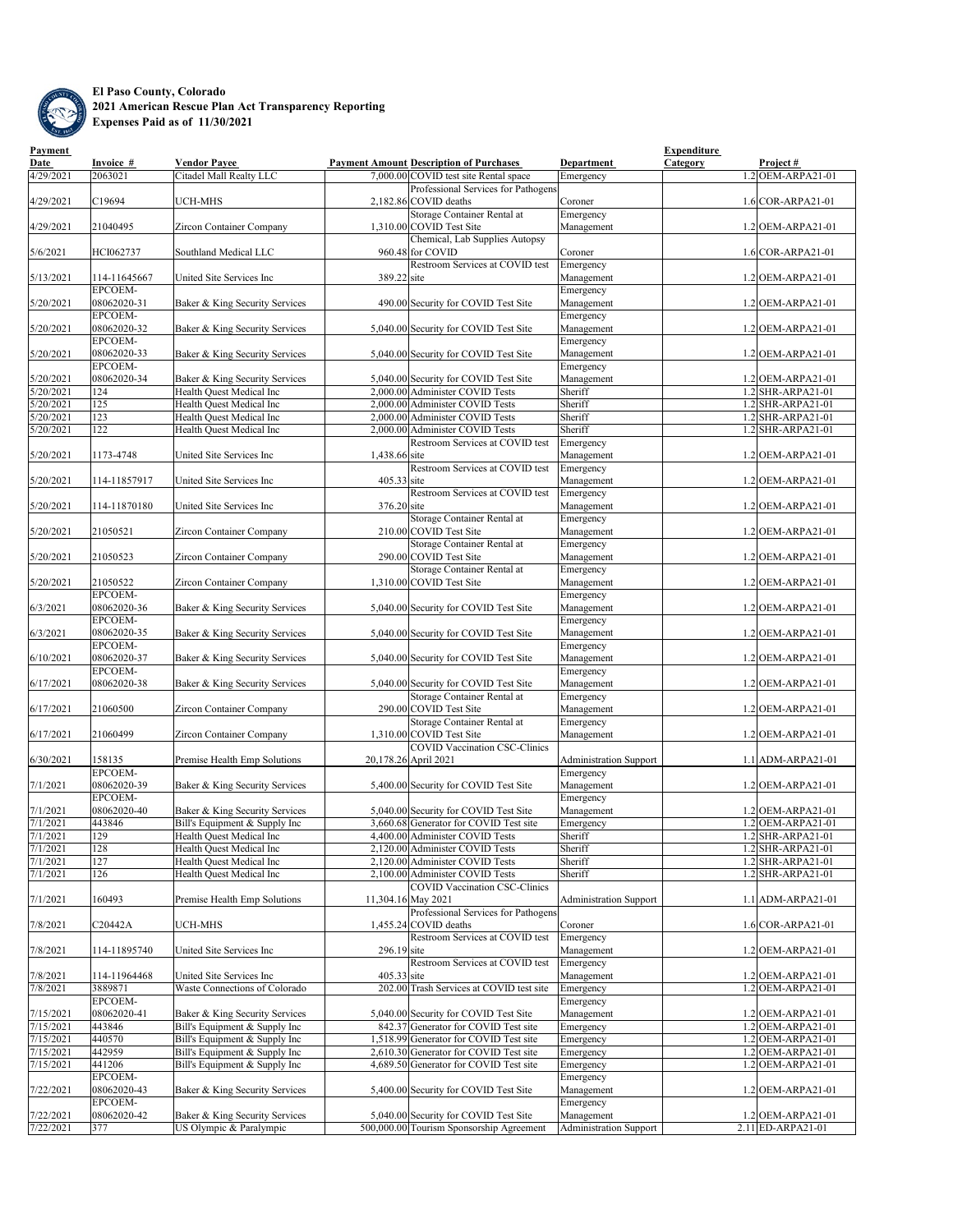

## **El Paso County, Colorado 2021 American Rescue Plan Act Transparency Reporting Expenses Paid as of 11/30/2021**

| <b>Payment</b>    |                |                                                                 |               |                                                                               |                               | <b>Expenditure</b>                       |
|-------------------|----------------|-----------------------------------------------------------------|---------------|-------------------------------------------------------------------------------|-------------------------------|------------------------------------------|
| Date              | Invoice #      | <b>Vendor Payee</b>                                             |               | <b>Payment Amount Description of Purchases</b>                                | Department                    | Project#<br><u>Category</u>              |
| 4/29/2021         | 2063021        | Citadel Mall Realty LLC                                         |               | 7,000.00 COVID test site Rental space                                         | Emergency                     | 1.2 OEM-ARPA21-01                        |
|                   |                |                                                                 |               | Professional Services for Pathogens                                           |                               |                                          |
| 4/29/2021         | C19694         | <b>UCH-MHS</b>                                                  |               | 2,182.86 COVID deaths                                                         | Coroner                       | $1.6$ COR-ARPA21-01                      |
|                   |                |                                                                 |               | Storage Container Rental at                                                   | Emergency                     |                                          |
| 4/29/2021         | 21040495       | <b>Zircon Container Company</b>                                 |               | 1,310.00 COVID Test Site                                                      | Management                    | $1.2$ OEM-ARPA21-01                      |
|                   |                |                                                                 |               | Chemical, Lab Supplies Autopsy                                                |                               |                                          |
| 5/6/2021          | HCI062737      | Southland Medical LLC                                           |               | 960.48 for COVID                                                              | Coroner                       | $1.6$ COR-ARPA21-01                      |
|                   |                |                                                                 |               | <b>Restroom Services at COVID test</b>                                        | Emergency                     |                                          |
| 5/13/2021         | 114-11645667   | United Site Services Inc                                        | 389.22 site   |                                                                               | Management                    | $1.2$ OEM-ARPA21-01                      |
|                   | EPCOEM-        |                                                                 |               |                                                                               | Emergency                     |                                          |
| 5/20/2021         | 08062020-31    | Baker & King Security Services                                  |               | 490.00 Security for COVID Test Site                                           | Management                    | 1.2 OEM-ARPA21-01                        |
|                   | EPCOEM-        |                                                                 |               |                                                                               | Emergency                     |                                          |
| 5/20/2021         | 08062020-32    | Baker & King Security Services                                  |               | 5,040.00 Security for COVID Test Site                                         | Management                    | $1.2$ OEM-ARPA21-01                      |
|                   | EPCOEM-        |                                                                 |               |                                                                               | Emergency                     |                                          |
| 5/20/2021         | 08062020-33    | Baker & King Security Services                                  |               | 5,040.00 Security for COVID Test Site                                         | Management                    | 1.2 OEM-ARPA21-01                        |
|                   | EPCOEM-        |                                                                 |               |                                                                               | Emergency                     |                                          |
| 5/20/2021         | 08062020-34    | Baker & King Security Services                                  |               | 5,040.00 Security for COVID Test Site                                         | Management                    | $1.2$ OEM-ARPA21-01                      |
| 5/20/2021         | 124            | Health Quest Medical Inc                                        |               | 2,000.00 Administer COVID Tests                                               | Sheriff                       | 1.2 SHR-ARPA21-01                        |
| 5/20/2021         | 125            | Health Quest Medical Inc                                        |               | 2,000.00 Administer COVID Tests                                               | Sheriff                       | $.2$ SHR-ARPA21-01                       |
| 5/20/2021         | 123            | Health Quest Medical Inc                                        |               | 2,000.00 Administer COVID Tests                                               | Sheriff                       | $1.2$ SHR-ARPA21-01                      |
| 5/20/2021         | 122            | Health Quest Medical Inc                                        |               | 2,000.00 Administer COVID Tests                                               | Sheriff                       | 1.2 SHR-ARPA21-01                        |
|                   |                |                                                                 |               | <b>Restroom Services at COVID test</b>                                        | Emergency                     |                                          |
| 5/20/2021         | 1173-4748      | United Site Services Inc                                        | 1,438.66 site |                                                                               | Management                    | $1.2$ OEM-ARPA21-01                      |
|                   |                |                                                                 |               | Restroom Services at COVID test                                               | Emergency                     |                                          |
| 5/20/2021         | 114-11857917   | United Site Services Inc                                        | $405.33$ site |                                                                               | Management                    | $1.2$ OEM-ARPA21-01                      |
|                   |                |                                                                 |               | Restroom Services at COVID test                                               | Emergency                     |                                          |
| 5/20/2021         | 114-11870180   | United Site Services Inc                                        | 376.20 site   |                                                                               | Management                    | $1.2$ OEM-ARPA21-01                      |
|                   |                |                                                                 |               | Storage Container Rental at                                                   | Emergency                     |                                          |
| 5/20/2021         | 21050521       | <b>Zircon Container Company</b>                                 |               | 210.00 COVID Test Site                                                        | Management                    | $1.2$ OEM-ARPA21-01                      |
|                   |                |                                                                 |               | Storage Container Rental at                                                   | Emergency                     |                                          |
| 5/20/2021         | 21050523       | <b>Zircon Container Company</b>                                 |               | 290.00 COVID Test Site                                                        | Management                    | $1.2$ OEM-ARPA21-01                      |
|                   |                |                                                                 |               | Storage Container Rental at                                                   | Emergency                     |                                          |
| 5/20/2021         | 21050522       | <b>Zircon Container Company</b>                                 |               | 1,310.00 COVID Test Site                                                      | Management                    | 1.2 OEM-ARPA21-01                        |
|                   | <b>EPCOEM-</b> |                                                                 |               |                                                                               | Emergency                     |                                          |
| 6/3/2021          | 08062020-36    | Baker & King Security Services                                  |               | 5,040.00 Security for COVID Test Site                                         | Management                    | $1.2$ OEM-ARPA21-01                      |
|                   | EPCOEM-        |                                                                 |               |                                                                               | Emergency                     |                                          |
| 6/3/2021          | 08062020-35    | Baker & King Security Services                                  |               | 5,040.00 Security for COVID Test Site                                         | Management                    | $1.2$ OEM-ARPA21-01                      |
|                   | EPCOEM-        |                                                                 |               |                                                                               | Emergency                     |                                          |
| 6/10/2021         | 08062020-37    | Baker & King Security Services                                  |               | 5,040.00 Security for COVID Test Site                                         | Management                    | $1.2$ OEM-ARPA21-01                      |
|                   | EPCOEM-        |                                                                 |               |                                                                               | Emergency                     |                                          |
| 6/17/2021         | 08062020-38    | Baker & King Security Services                                  |               | 5,040.00 Security for COVID Test Site                                         | Management                    | $1.2$ OEM-ARPA21-01                      |
|                   |                |                                                                 |               | Storage Container Rental at                                                   | Emergency                     |                                          |
| 6/17/2021         | 21060500       | <b>Zircon Container Company</b>                                 |               | 290.00 COVID Test Site                                                        | Management                    | $1.2$ OEM-ARPA21-01                      |
|                   |                |                                                                 |               | Storage Container Rental at                                                   | Emergency                     |                                          |
| 6/17/2021         | 21060499       | <b>Zircon Container Company</b>                                 |               | 1,310.00 COVID Test Site                                                      | Management                    | $1.2$ OEM-ARPA21-01                      |
|                   |                |                                                                 |               | <b>COVID Vaccination CSC-Clinics</b>                                          |                               |                                          |
| 6/30/2021         | 158135         | Premise Health Emp Solutions                                    |               | 20,178.26 April 2021                                                          | <b>Administration Support</b> | 1.1 ADM-ARPA21-01                        |
|                   | EPCOEM-        |                                                                 |               |                                                                               | Emergency                     |                                          |
| 7/1/2021          | 08062020-39    | Baker & King Security Services                                  |               | 5,400.00 Security for COVID Test Site                                         | Management                    | 1.2 OEM-ARPA21-01                        |
|                   | EPCOEM-        |                                                                 |               |                                                                               | Emergency                     |                                          |
| 7/1/2021          | 08062020-40    | Baker & King Security Services                                  |               | 5,040.00 Security for COVID Test Site                                         | Management                    | $1.2$ OEM-ARPA21-01                      |
| $\sqrt{7}/1/2021$ | 443846         | Bill's Equipment & Supply Inc                                   |               | 3,660.68 Generator for COVID Test site                                        | Emergency                     | $.2$ OEM-ARPA21-01                       |
| 7/1/2021          | 129            | <b>Health Quest Medical Inc</b>                                 |               | 4,400.00 Administer COVID Tests                                               | Sheriff                       | $.2$ SHR-ARPA21-01                       |
| 7/1/2021          | 128            | Health Quest Medical Inc                                        |               | 2,120.00 Administer COVID Tests                                               | Sheriff                       | $.2$ SHR-ARPA21-01                       |
| 7/1/2021          | 127            | Health Quest Medical Inc                                        |               | 2,120.00 Administer COVID Tests                                               | Sheriff                       | 1.2 SHR-ARPA21-01                        |
| 7/1/2021          | 126            | Health Quest Medical Inc                                        |               | 2,100.00 Administer COVID Tests                                               | Sheriff                       | $.2$ SHR-ARPA21-01                       |
|                   |                |                                                                 |               | <b>COVID Vaccination CSC-Clinics</b>                                          |                               |                                          |
| 7/1/2021          | 160493         | Premise Health Emp Solutions                                    |               | 11,304.16 May 2021                                                            | <b>Administration Support</b> | $1.1$ ADM-ARPA21-01                      |
|                   |                |                                                                 |               | Professional Services for Pathogens                                           |                               |                                          |
| 7/8/2021          | C20442A        | <b>UCH-MHS</b>                                                  |               | $1,455.24$ COVID deaths                                                       | Coroner                       | 1.6 COR-ARPA21-01                        |
|                   |                |                                                                 |               | <b>Restroom Services at COVID test</b>                                        | Emergency                     |                                          |
| 7/8/2021          | 114-11895740   | United Site Services Inc                                        | $296.19$ site |                                                                               |                               | $1.2$ OEM-ARPA21-01                      |
|                   |                |                                                                 |               | <b>Restroom Services at COVID test</b>                                        | Management<br>Emergency       |                                          |
| 7/8/2021          | 114-11964468   | United Site Services Inc                                        | 405.33 site   |                                                                               | Management                    | $1.2$ OEM-ARPA21-01                      |
| 7/8/2021          | 3889871        | Waste Connections of Colorado                                   |               | 202.00 Trash Services at COVID test site                                      |                               | 1.2 OEM-ARPA21-01                        |
|                   | EPCOEM-        |                                                                 |               |                                                                               | Emergency                     |                                          |
|                   | 08062020-41    |                                                                 |               |                                                                               | Emergency                     |                                          |
| 7/15/2021         |                | Baker & King Security Services<br>Bill's Equipment & Supply Inc |               | 5,040.00 Security for COVID Test Site<br>842.37 Generator for COVID Test site | Management                    | $1.2$ OEM-ARPA21-01<br>1.2 OEM-ARPA21-01 |
| 7/15/2021         | 443846         |                                                                 |               |                                                                               | Emergency                     |                                          |
| 7/15/2021         | 440570         | Bill's Equipment & Supply Inc                                   |               | 1,518.99 Generator for COVID Test site                                        | Emergency                     | $1.2$ OEM-ARPA21-01                      |
| 7/15/2021         | 442959         | Bill's Equipment & Supply Inc                                   |               | 2,610.30 Generator for COVID Test site                                        | Emergency                     | $.2$ OEM-ARPA21-01                       |
| 7/15/2021         | 441206         | Bill's Equipment & Supply Inc                                   |               | 4,689.50 Generator for COVID Test site                                        | Emergency                     | $.2$ OEM-ARPA21-01                       |
|                   | EPCOEM-        |                                                                 |               |                                                                               | Emergency                     |                                          |
| 7/22/2021         | 08062020-43    | Baker & King Security Services                                  |               | 5,400.00 Security for COVID Test Site                                         | Management                    | $1.2$ OEM-ARPA21-01                      |
|                   | EPCOEM-        |                                                                 |               |                                                                               | Emergency                     |                                          |
| 7/22/2021         | 08062020-42    | Baker & King Security Services                                  |               | 5,040.00 Security for COVID Test Site                                         | Management                    | $1.2$ OEM-ARPA21-01                      |
| 7/22/2021         | 377            | US Olympic & Paralympic                                         |               | 500,000.00 Tourism Sponsorship Agreement                                      | <b>Administration Support</b> | $2.11$ ED-ARPA21-01                      |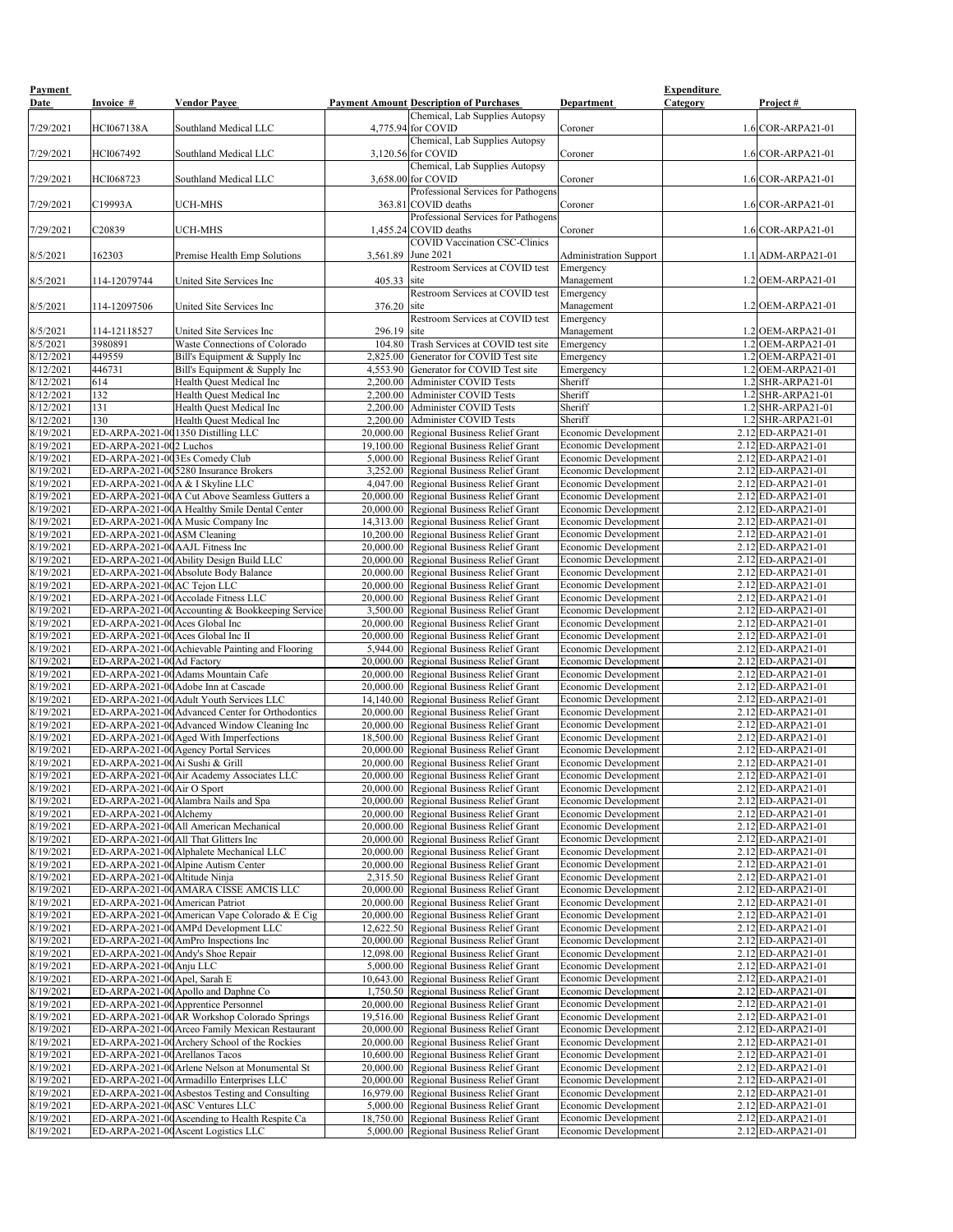| Payment<br><b>Date</b> | <b>Invoice #</b>                       | <b>Vendor Payee</b>                                                               |                         | <b>Payment Amount Description of Purchases</b>                                       | Department                                                 | <b>Expenditure</b><br><u>Category</u> | Project #                                  |
|------------------------|----------------------------------------|-----------------------------------------------------------------------------------|-------------------------|--------------------------------------------------------------------------------------|------------------------------------------------------------|---------------------------------------|--------------------------------------------|
| 7/29/2021              | HCI067138A                             | Southland Medical LLC                                                             |                         | Chemical, Lab Supplies Autopsy<br>$4,775.94$ for COVID                               | Coroner                                                    |                                       | $1.6$ COR-ARPA21-01                        |
| 7/29/2021              | HCI067492                              | Southland Medical LLC                                                             |                         | Chemical, Lab Supplies Autopsy<br>$3,120.56$ for COVID                               | Coroner                                                    |                                       | $1.6$ COR-ARPA21-01                        |
|                        |                                        |                                                                                   |                         | Chemical, Lab Supplies Autopsy                                                       |                                                            |                                       |                                            |
| 7/29/2021              | HCI068723                              | Southland Medical LLC                                                             |                         | $3,658.00$ for COVID<br>Professional Services for Pathogens                          | Coroner                                                    |                                       | $1.6$ COR-ARPA21-01                        |
| 7/29/2021              | C19993A                                | <b>UCH-MHS</b>                                                                    |                         | 363.81 COVID deaths<br>Professional Services for Pathogens                           | Coroner                                                    |                                       | $1.6$ COR-ARPA21-01                        |
| 7/29/2021              | C20839                                 | <b>UCH-MHS</b>                                                                    |                         | $1,455.24$ COVID deaths<br><b>COVID Vaccination CSC-Clinics</b>                      | Coroner                                                    |                                       | $1.6$ COR-ARPA21-01                        |
| 8/5/2021               | 162303                                 | Premise Health Emp Solutions                                                      |                         | 3,561.89 June 2021<br><b>Restroom Services at COVID test</b>                         | <b>Administration Support</b><br>Emergency                 |                                       | $1.1$ ADM-ARPA21-01                        |
| 8/5/2021               | 114-12079744                           | United Site Services Inc                                                          | 405.33 site             | <b>Restroom Services at COVID test</b>                                               | Management<br>Emergency                                    |                                       | $1.2$ OEM-ARPA21-01                        |
| 8/5/2021               | 114-12097506                           | United Site Services Inc                                                          | 376.20 site             | <b>Restroom Services at COVID test</b>                                               | Management<br>Emergency                                    |                                       | $1.2$ OEM-ARPA21-01                        |
| 8/5/2021<br>8/5/2021   | 114-12118527<br>3980891                | United Site Services Inc<br>Waste Connections of Colorado                         | $296.19$ site<br>104.80 | Trash Services at COVID test site                                                    | Management<br>Emergency                                    |                                       | $1.2$ OEM-ARPA21-01<br>1.2 OEM-ARPA21-01   |
| 8/12/2021              | 449559                                 | Bill's Equipment & Supply Inc                                                     | 2,825.00                | Generator for COVID Test site                                                        | Emergency                                                  |                                       | $1.2$ OEM-ARPA21-01                        |
| 8/12/2021              | 446731                                 | Bill's Equipment & Supply Inc                                                     | 4,553.90                | Generator for COVID Test site                                                        | Emergency                                                  |                                       | $1.2$ OEM-ARPA21-01                        |
| 8/12/2021              | 614                                    | Health Quest Medical Inc                                                          | 2,200.00                | Administer COVID Tests                                                               | Sheriff                                                    |                                       | $1.2$ SHR-ARPA21-01                        |
| 8/12/2021              | 132                                    | Health Quest Medical Inc                                                          | 2,200.00                | Administer COVID Tests                                                               | Sheriff                                                    |                                       | $1.2$ SHR-ARPA21-01                        |
| 8/12/2021              | 131                                    | Health Quest Medical Inc                                                          | 2,200.00                | Administer COVID Tests                                                               | Sheriff                                                    |                                       | $1.2$ SHR-ARPA21-01                        |
| 8/12/2021              | 130                                    | Health Quest Medical Inc                                                          | 2,200.00                | Administer COVID Tests                                                               | Sheriff                                                    |                                       | 1.2 SHR-ARPA21-01                          |
| 8/19/2021              |                                        | ED-ARPA-2021-00 1350 Distilling LLC                                               | 20,000.00               | <b>Regional Business Relief Grant</b>                                                | Economic Development                                       |                                       | $2.12$ ED-ARPA21-01                        |
| 8/19/2021              | ED-ARPA-2021-002 Luchos                |                                                                                   |                         | 19,100.00 Regional Business Relief Grant                                             | <b>Economic Development</b>                                |                                       | $2.12$ ED-ARPA21-01                        |
| 8/19/2021              | ED-ARPA-2021-003Es Comedy Club         |                                                                                   |                         | 5,000.00 Regional Business Relief Grant                                              | <b>Economic Development</b>                                |                                       | $2.12$ ED-ARPA21-01                        |
| 8/19/2021              |                                        | ED-ARPA-2021-005280 Insurance Brokers                                             |                         | 3,252.00 Regional Business Relief Grant                                              | Economic Development                                       |                                       | $2.12$ ED-ARPA21-01                        |
| 8/19/2021              | ED-ARPA-2021-00 $A \& B$ I Skyline LLC |                                                                                   |                         | 4,047.00 Regional Business Relief Grant                                              | <b>Economic Development</b>                                |                                       | $2.12$ ED-ARPA21-01                        |
| 8/19/2021              |                                        | ED-ARPA-2021-00A Cut Above Seamless Gutters a                                     |                         | 20,000.00 Regional Business Relief Grant                                             | Economic Development                                       |                                       | $2.12$ ED-ARPA21-01                        |
| 8/19/2021              |                                        | ED-ARPA-2021-00A Healthy Smile Dental Center                                      |                         | 20,000.00 Regional Business Relief Grant                                             | <b>Economic Development</b>                                |                                       | $2.12$ ED-ARPA21-01<br>$2.12$ ED-ARPA21-01 |
| 8/19/2021<br>8/19/2021 | ED-ARPA-2021-00A\$M Cleaning           | ED-ARPA-2021-00A Music Company Inc                                                |                         | 14,313.00 Regional Business Relief Grant<br>10,200.00 Regional Business Relief Grant | <b>Economic Development</b><br><b>Economic Development</b> |                                       | $2.12$ ED-ARPA21-01                        |
| 8/19/2021              | ED-ARPA-2021-00 AAJL Fitness Inc       |                                                                                   |                         | 20,000.00 Regional Business Relief Grant                                             | <b>Economic Development</b>                                |                                       | $2.12$ ED-ARPA21-01                        |
| 8/19/2021              |                                        | ED-ARPA-2021-00 Ability Design Build LLC                                          |                         | 20,000.00 Regional Business Relief Grant                                             | <b>Economic Development</b>                                |                                       | $2.12$ ED-ARPA21-01                        |
| 8/19/2021              |                                        | ED-ARPA-2021-00 Absolute Body Balance                                             |                         | 20,000.00 Regional Business Relief Grant                                             | <b>Economic Development</b>                                |                                       | $2.12$ ED-ARPA21-01                        |
| 8/19/2021              | ED-ARPA-2021-00AC Tejon LLC            |                                                                                   |                         | 20,000.00 Regional Business Relief Grant                                             | <b>Economic Development</b>                                |                                       | $2.12$ ED-ARPA21-01                        |
| 8/19/2021              |                                        | ED-ARPA-2021-00 Accolade Fitness LLC                                              |                         | 20,000.00 Regional Business Relief Grant                                             | <b>Economic Development</b>                                |                                       | $2.12$ ED-ARPA21-01                        |
| 8/19/2021              |                                        | ED-ARPA-2021-00 Accounting & Bookkeeping Service                                  |                         | 3,500.00 Regional Business Relief Grant                                              | <b>Economic Development</b>                                |                                       | $2.12$ ED-ARPA21-01                        |
| 8/19/2021              | ED-ARPA-2021-00 Aces Global Inc        |                                                                                   |                         | 20,000.00 Regional Business Relief Grant                                             | Economic Development                                       |                                       | $2.12$ ED-ARPA21-01                        |
| 8/19/2021              | ED-ARPA-2021-00 Aces Global Inc II     |                                                                                   |                         | 20,000.00 Regional Business Relief Grant                                             | <b>Economic Development</b>                                |                                       | $2.12$ ED-ARPA21-01                        |
| 8/19/2021              |                                        | ED-ARPA-2021-00 Achievable Painting and Flooring                                  |                         | 5,944.00 Regional Business Relief Grant                                              | <b>Economic Development</b>                                |                                       | $2.12$ ED-ARPA21-01                        |
| 8/19/2021              | ED-ARPA-2021-00 Ad Factory             |                                                                                   |                         | 20,000.00 Regional Business Relief Grant                                             | <b>Economic Development</b>                                |                                       | $2.12$ ED-ARPA21-01                        |
| 8/19/2021              |                                        | ED-ARPA-2021-00 Adams Mountain Cafe                                               |                         | 20,000.00 Regional Business Relief Grant                                             | Economic Development                                       |                                       | $2.12$ ED-ARPA21-01                        |
| 8/19/2021              |                                        | ED-ARPA-2021-00 Adobe Inn at Cascade                                              |                         | 20,000.00 Regional Business Relief Grant                                             | <b>Economic Development</b>                                |                                       | $2.12$ ED-ARPA21-01                        |
| 8/19/2021              |                                        | ED-ARPA-2021-00 Adult Youth Services LLC                                          |                         | 14,140.00 Regional Business Relief Grant                                             | <b>Economic Development</b>                                |                                       | $2.12$ ED-ARPA21-01                        |
| 8/19/2021              |                                        | ED-ARPA-2021-00 Advanced Center for Orthodontics                                  |                         | 20,000.00 Regional Business Relief Grant                                             | <b>Economic Development</b>                                |                                       | $2.12$ ED-ARPA21-01                        |
| 8/19/2021              |                                        | ED-ARPA-2021-00 Advanced Window Cleaning Inc                                      |                         | 20,000.00 Regional Business Relief Grant                                             | <b>Economic Development</b>                                |                                       | $2.12$ ED-ARPA21-01                        |
| 8/19/2021              |                                        | ED-ARPA-2021-00 Aged With Imperfections                                           |                         | 18,500.00 Regional Business Relief Grant                                             | <b>Economic Development</b>                                |                                       | $2.12$ ED-ARPA21-01                        |
| 8/19/2021              |                                        | ED-ARPA-2021-00 Agency Portal Services                                            |                         | 20,000.00 Regional Business Relief Grant                                             | <b>Economic Development</b>                                |                                       | $2.12$ ED-ARPA21-01                        |
| 8/19/2021              | ED-ARPA-2021-00 Ai Sushi & Grill       |                                                                                   |                         | 20,000.00 Regional Business Relief Grant                                             | <b>Economic Development</b>                                |                                       | $2.12$ ED-ARPA21-01                        |
| 8/19/2021              |                                        | ED-ARPA-2021-00 Air Academy Associates LLC                                        |                         | 20,000.00 Regional Business Relief Grant                                             | <b>Economic Development</b>                                |                                       | $2.12$ ED-ARPA21-01                        |
| 8/19/2021              | ED-ARPA-2021-00 Air O Sport            |                                                                                   |                         | 20,000.00 Regional Business Relief Grant                                             | <b>Economic Development</b>                                |                                       | 2.12 ED-ARPA21-01                          |
| 8/19/2021              |                                        | ED-ARPA-2021-00 Alambra Nails and Spa                                             |                         | 20,000.00 Regional Business Relief Grant                                             | <b>Economic Development</b>                                |                                       | $2.12$ ED-ARPA21-01                        |
| 8/19/2021              | ED-ARPA-2021-00 Alchemy                |                                                                                   |                         | 20,000.00 Regional Business Relief Grant                                             | <b>Economic Development</b>                                |                                       | $2.12$ ED-ARPA21-01                        |
| 8/19/2021              |                                        | ED-ARPA-2021-00 All American Mechanical                                           |                         | 20,000.00 Regional Business Relief Grant                                             | <b>Economic Development</b>                                |                                       | $2.12$ ED-ARPA21-01                        |
| 8/19/2021<br>8/19/2021 |                                        | ED-ARPA-2021-00 All That Glitters Inc<br>ED-ARPA-2021-00 Alphalete Mechanical LLC |                         | 20,000.00 Regional Business Relief Grant<br>20,000.00 Regional Business Relief Grant | Economic Development<br>Economic Development               |                                       | 2.12 ED-ARPA21-01<br>2.12 ED-ARPA21-01     |
| 8/19/2021              |                                        | ED-ARPA-2021-00 Alpine Autism Center                                              |                         | 20,000.00 Regional Business Relief Grant                                             | Economic Development                                       |                                       | $2.12$ ED-ARPA21-01                        |
| 8/19/2021              | ED-ARPA-2021-00 Altitude Ninja         |                                                                                   |                         | 2,315.50 Regional Business Relief Grant                                              | Economic Development                                       |                                       | $2.12$ ED-ARPA21-01                        |
| 8/19/2021              |                                        | ED-ARPA-2021-00 AMARA CISSE AMCIS LLC                                             |                         | 20,000.00 Regional Business Relief Grant                                             | <b>Economic Development</b>                                |                                       | $2.12$ ED-ARPA21-01                        |
| 8/19/2021              | ED-ARPA-2021-00 American Patriot       |                                                                                   |                         | 20,000.00 Regional Business Relief Grant                                             | <b>Economic Development</b>                                |                                       | $2.12$ ED-ARPA21-01                        |
| 8/19/2021              |                                        | ED-ARPA-2021-00 American Vape Colorado & E Cig                                    |                         | 20,000.00 Regional Business Relief Grant                                             | <b>Economic Development</b>                                |                                       | $2.12$ ED-ARPA21-01                        |
| 8/19/2021              |                                        | ED-ARPA-2021-00 AMPd Development LLC                                              |                         | 12,622.50 Regional Business Relief Grant                                             | <b>Economic Development</b>                                |                                       | $2.12$ ED-ARPA21-01                        |
| 8/19/2021              |                                        | ED-ARPA-2021-00 AmPro Inspections Inc                                             |                         | 20,000.00 Regional Business Relief Grant                                             | <b>Economic Development</b>                                |                                       | $2.12$ ED-ARPA21-01                        |
| 8/19/2021              | ED-ARPA-2021-00 Andy's Shoe Repair     |                                                                                   |                         | 12,098.00 Regional Business Relief Grant                                             | Economic Development                                       |                                       | $2.12$ ED-ARPA21-01                        |
| 8/19/2021              | ED-ARPA-2021-00 Anju LLC               |                                                                                   |                         | 5,000.00 Regional Business Relief Grant                                              | Economic Development                                       |                                       | $\overline{2.12}$ ED-ARPA21-01             |
| 8/19/2021              | ED-ARPA-2021-00 Apel, Sarah E          |                                                                                   |                         | 10,643.00 Regional Business Relief Grant                                             | Economic Development                                       |                                       | $2.12$ ED-ARPA21-01                        |
| 8/19/2021              |                                        | ED-ARPA-2021-00 Apollo and Daphne Co                                              |                         | 1,750.50 Regional Business Relief Grant                                              | Economic Development                                       |                                       | $2.12$ ED-ARPA21-01                        |
| 8/19/2021              |                                        | ED-ARPA-2021-00 Apprentice Personnel                                              |                         | 20,000.00 Regional Business Relief Grant                                             | <b>Economic Development</b>                                |                                       | $2.12$ ED-ARPA21-01                        |
| 8/19/2021              |                                        | ED-ARPA-2021-00 AR Workshop Colorado Springs                                      |                         | 19,516.00 Regional Business Relief Grant                                             | <b>Economic Development</b>                                |                                       | $2.12$ ED-ARPA21-01                        |
| 8/19/2021              |                                        | ED-ARPA-2021-00 Arceo Family Mexican Restaurant                                   |                         | 20,000.00 Regional Business Relief Grant                                             | <b>Economic Development</b>                                |                                       | $2.12$ ED-ARPA21-01                        |
| 8/19/2021              |                                        | ED-ARPA-2021-00 Archery School of the Rockies                                     |                         | 20,000.00 Regional Business Relief Grant                                             | <b>Economic Development</b>                                |                                       | $2.12$ ED-ARPA21-01                        |
| 8/19/2021              | ED-ARPA-2021-00 Arellanos Tacos        |                                                                                   |                         | 10,600.00 Regional Business Relief Grant                                             | <b>Economic Development</b>                                |                                       | $2.12$ ED-ARPA21-01                        |
| 8/19/2021              |                                        | ED-ARPA-2021-00 Arlene Nelson at Monumental St                                    |                         | 20,000.00 Regional Business Relief Grant                                             | Economic Development                                       |                                       | $2.12$ ED-ARPA21-01                        |
| 8/19/2021              |                                        | ED-ARPA-2021-00 Armadillo Enterprises LLC                                         |                         | 20,000.00 Regional Business Relief Grant                                             | Economic Development                                       |                                       | $2.12$ ED-ARPA21-01                        |
| 8/19/2021              |                                        | ED-ARPA-2021-00 Asbestos Testing and Consulting                                   |                         | 16,979.00 Regional Business Relief Grant                                             | Economic Development                                       |                                       | $2.12$ ED-ARPA21-01                        |
| 8/19/2021              |                                        | ED-ARPA-2021-00 ASC Ventures LLC                                                  |                         | 5,000.00 Regional Business Relief Grant                                              | Economic Development                                       |                                       | $2.12$ ED-ARPA21-01                        |
| 8/19/2021              |                                        | ED-ARPA-2021-00 Ascending to Health Respite Ca                                    |                         | 18,750.00 Regional Business Relief Grant                                             | Economic Development                                       |                                       | $2.12$ ED-ARPA21-01                        |
| 8/19/2021              |                                        | ED-ARPA-2021-00 Ascent Logistics LLC                                              |                         | 5,000.00 Regional Business Relief Grant                                              | Economic Development                                       |                                       | $2.12$ ED-ARPA21-01                        |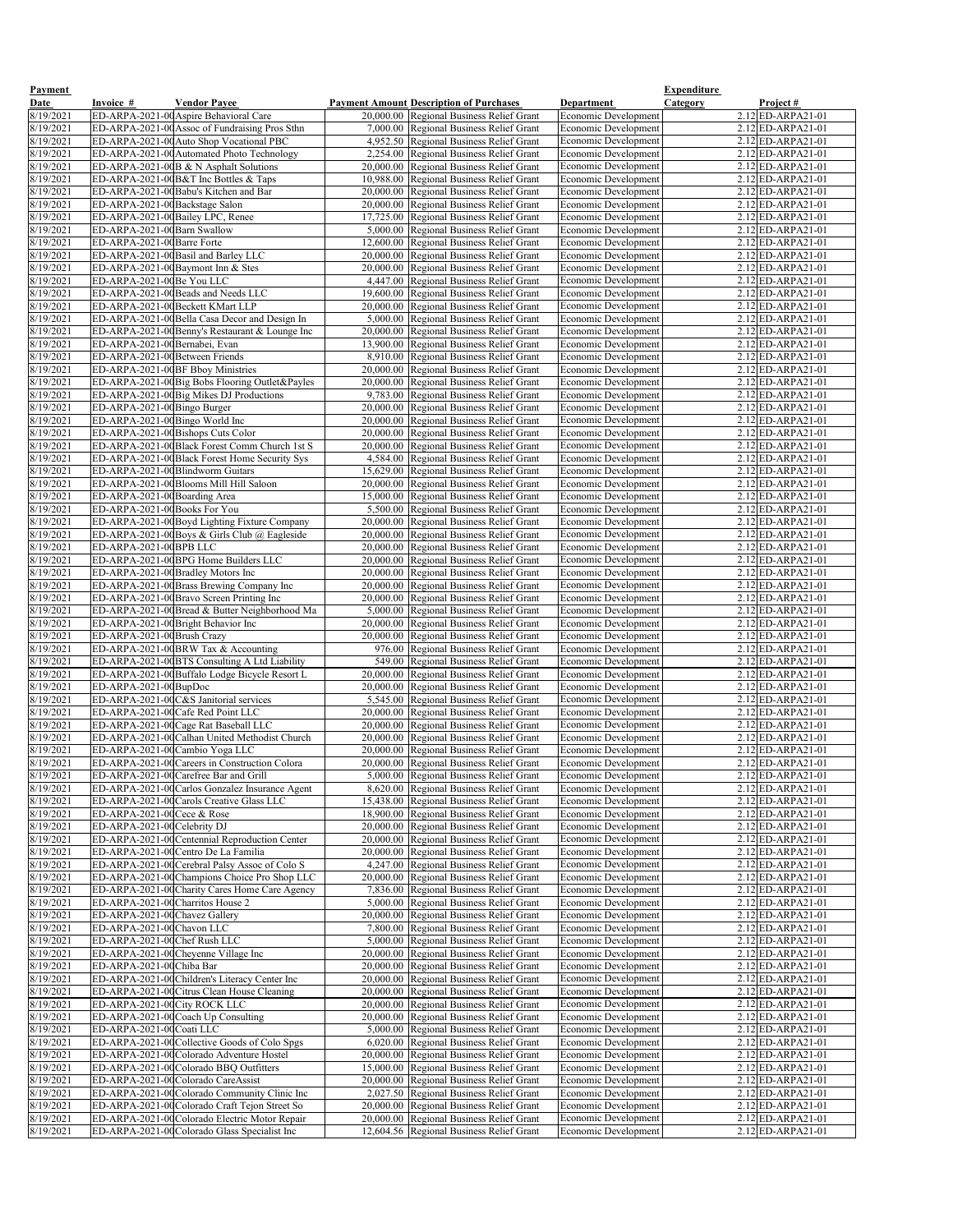| <b>Payment</b>           |                                                                   |                                                                                                  |                                                                                            |                                                            | <b>Expenditure</b>                               |
|--------------------------|-------------------------------------------------------------------|--------------------------------------------------------------------------------------------------|--------------------------------------------------------------------------------------------|------------------------------------------------------------|--------------------------------------------------|
| <b>Date</b><br>8/19/2021 | <b>Invoice #</b>                                                  | <b>Vendor Payee</b><br>ED-ARPA-2021-00 Aspire Behavioral Care                                    | <b>Payment Amount Description of Purchases</b><br>20,000.00 Regional Business Relief Grant | <b>Department</b><br>Economic Development                  | <u>Category</u><br>Project#<br>2.12 ED-ARPA21-01 |
| 8/19/2021                |                                                                   | ED-ARPA-2021-00 Assoc of Fundraising Pros Sthn                                                   | 7,000.00 Regional Business Relief Grant                                                    | <b>Economic Development</b>                                | $2.12$ ED-ARPA21-01                              |
| 8/19/2021                |                                                                   | ED-ARPA-2021-00 Auto Shop Vocational PBC                                                         | 4,952.50 Regional Business Relief Grant                                                    | Economic Development                                       | $2.12$ ED-ARPA21-01                              |
| 8/19/2021                |                                                                   | ED-ARPA-2021-00 Automated Photo Technology                                                       | 2,254.00 Regional Business Relief Grant                                                    | <b>Economic Development</b>                                | $2.12$ ED-ARPA21-01                              |
| 8/19/2021                |                                                                   | ED-ARPA-2021-00B & N Asphalt Solutions                                                           | 20,000.00 Regional Business Relief Grant                                                   | <b>Economic Development</b>                                | $2.12$ ED-ARPA21-01                              |
| 8/19/2021                |                                                                   | ED-ARPA-2021-00 B&T Inc Bottles & Taps                                                           | 10,988.00 Regional Business Relief Grant                                                   | <b>Economic Development</b>                                | $2.12$ ED-ARPA21-01                              |
| 8/19/2021                |                                                                   | ED-ARPA-2021-00 Babu's Kitchen and Bar                                                           | 20,000.00 Regional Business Relief Grant                                                   | <b>Economic Development</b>                                | $2.12$ ED-ARPA21-01                              |
| 8/19/2021                | ED-ARPA-2021-00 Backstage Salon                                   |                                                                                                  | 20,000.00 Regional Business Relief Grant                                                   | <b>Economic Development</b>                                | $2.12$ ED-ARPA21-01                              |
| 8/19/2021<br>8/19/2021   |                                                                   | ED-ARPA-2021-00 Bailey LPC, Renee                                                                | 17,725.00 Regional Business Relief Grant                                                   | <b>Economic Development</b>                                | $2.12$ ED-ARPA21-01                              |
| 8/19/2021                | ED-ARPA-2021-00 Barn Swallow<br>ED-ARPA-2021-00 Barre Forte       |                                                                                                  | 5,000.00 Regional Business Relief Grant<br>12,600.00 Regional Business Relief Grant        | <b>Economic Development</b><br><b>Economic Development</b> | $2.12$ ED-ARPA21-01<br>$2.12$ ED-ARPA21-01       |
| 8/19/2021                |                                                                   | ED-ARPA-2021-00 Basil and Barley LLC                                                             | 20,000.00 Regional Business Relief Grant                                                   | <b>Economic Development</b>                                | $2.12$ ED-ARPA21-01                              |
| 8/19/2021                |                                                                   | ED-ARPA-2021-00 Baymont Inn & Stes                                                               | 20,000.00 Regional Business Relief Grant                                                   | <b>Economic Development</b>                                | $2.12$ ED-ARPA21-01                              |
| 8/19/2021                | ED-ARPA-2021-00Be You LLC                                         |                                                                                                  | 4,447.00 Regional Business Relief Grant                                                    | <b>Economic Development</b>                                | $2.12$ ED-ARPA21-01                              |
| 8/19/2021                |                                                                   | ED-ARPA-2021-00 Beads and Needs LLC                                                              | 19,600.00 Regional Business Relief Grant                                                   | <b>Economic Development</b>                                | $2.12$ ED-ARPA21-01                              |
| 8/19/2021                |                                                                   | ED-ARPA-2021-00 Beckett KMart LLP                                                                | 20,000.00 Regional Business Relief Grant                                                   | <b>Economic Development</b>                                | $2.12$ ED-ARPA21-01                              |
| 8/19/2021                |                                                                   | ED-ARPA-2021-00 Bella Casa Decor and Design In                                                   | 5,000.00 Regional Business Relief Grant                                                    | <b>Economic Development</b>                                | $2.12$ ED-ARPA21-01                              |
| 8/19/2021                |                                                                   | ED-ARPA-2021-00 Benny's Restaurant & Lounge Inc                                                  | 20,000.00 Regional Business Relief Grant                                                   | Economic Development                                       | $2.12$ ED-ARPA21-01                              |
| 8/19/2021<br>8/19/2021   | ED-ARPA-2021-00 Bernabei, Evan<br>ED-ARPA-2021-00 Between Friends |                                                                                                  | 13,900.00 Regional Business Relief Grant<br>8,910.00 Regional Business Relief Grant        | <b>Economic Development</b><br>Economic Development        | $2.12$ ED-ARPA21-01<br>$2.12$ ED-ARPA21-01       |
| 8/19/2021                |                                                                   | ED-ARPA-2021-00BF Bboy Ministries                                                                | 20,000.00 Regional Business Relief Grant                                                   | <b>Economic Development</b>                                | $2.12$ ED-ARPA21-01                              |
| 8/19/2021                |                                                                   | ED-ARPA-2021-00 Big Bobs Flooring Outlet&Payles                                                  | 20,000.00 Regional Business Relief Grant                                                   | <b>Economic Development</b>                                | $2.12$ ED-ARPA21-01                              |
| 8/19/2021                |                                                                   | ED-ARPA-2021-00 Big Mikes DJ Productions                                                         | 9,783.00 Regional Business Relief Grant                                                    | <b>Economic Development</b>                                | $2.12$ ED-ARPA21-01                              |
| 8/19/2021                | ED-ARPA-2021-00 Bingo Burger                                      |                                                                                                  | 20,000.00 Regional Business Relief Grant                                                   | <b>Economic Development</b>                                | $2.12$ ED-ARPA21-01                              |
| 8/19/2021                | ED-ARPA-2021-00 Bingo World Inc                                   |                                                                                                  | 20,000.00 Regional Business Relief Grant                                                   | <b>Economic Development</b>                                | $2.12$ ED-ARPA21-01                              |
| 8/19/2021                |                                                                   | ED-ARPA-2021-00 Bishops Cuts Color                                                               | 20,000.00 Regional Business Relief Grant                                                   | <b>Economic Development</b>                                | $2.12$ ED-ARPA21-01                              |
| 8/19/2021<br>8/19/2021   |                                                                   | ED-ARPA-2021-00 Black Forest Comm Church 1st S<br>ED-ARPA-2021-00 Black Forest Home Security Sys | 20,000.00 Regional Business Relief Grant<br>4,584.00 Regional Business Relief Grant        | <b>Economic Development</b><br><b>Economic Development</b> | $2.12$ ED-ARPA21-01<br>$2.12$ ED-ARPA21-01       |
| 8/19/2021                | ED-ARPA-2021-00 Blindworm Guitars                                 |                                                                                                  | 15,629.00 Regional Business Relief Grant                                                   | <b>Economic Development</b>                                | $2.12$ ED-ARPA21-01                              |
| 8/19/2021                |                                                                   | ED-ARPA-2021-00 Blooms Mill Hill Saloon                                                          | 20,000.00 Regional Business Relief Grant                                                   | <b>Economic Development</b>                                | $2.12$ ED-ARPA21-01                              |
| 8/19/2021                | ED-ARPA-2021-00 Boarding Area                                     |                                                                                                  | 15,000.00 Regional Business Relief Grant                                                   | <b>Economic Development</b>                                | $2.12$ ED-ARPA21-01                              |
| 8/19/2021                | ED-ARPA-2021-00 Books For You                                     |                                                                                                  | 5,500.00 Regional Business Relief Grant                                                    | <b>Economic Development</b>                                | $2.12$ ED-ARPA21-01                              |
| 8/19/2021                |                                                                   | ED-ARPA-2021-00 Boyd Lighting Fixture Company                                                    | 20,000.00 Regional Business Relief Grant                                                   | <b>Economic Development</b>                                | $2.12$ ED-ARPA21-01                              |
| 8/19/2021                |                                                                   | ED-ARPA-2021-00 Boys & Girls Club @ Eagleside                                                    | 20,000.00 Regional Business Relief Grant                                                   | <b>Economic Development</b>                                | $2.12$ ED-ARPA21-01                              |
| 8/19/2021<br>8/19/2021   | ED-ARPA-2021-00BPB LLC                                            | ED-ARPA-2021-00 BPG Home Builders LLC                                                            | 20,000.00 Regional Business Relief Grant<br>20,000.00 Regional Business Relief Grant       | <b>Economic Development</b><br><b>Economic Development</b> | $2.12$ ED-ARPA21-01<br>$2.12$ ED-ARPA21-01       |
| 8/19/2021                |                                                                   | ED-ARPA-2021-00 Bradley Motors Inc                                                               | 20,000.00 Regional Business Relief Grant                                                   | <b>Economic Development</b>                                | $2.12$ ED-ARPA21-01                              |
| 8/19/2021                |                                                                   | ED-ARPA-2021-00 Brass Brewing Company Inc                                                        | 20,000.00 Regional Business Relief Grant                                                   | <b>Economic Development</b>                                | $2.12$ ED-ARPA21-01                              |
| 8/19/2021                |                                                                   | ED-ARPA-2021-00 Bravo Screen Printing Inc                                                        | 20,000.00 Regional Business Relief Grant                                                   | <b>Economic Development</b>                                | $2.12$ ED-ARPA21-01                              |
| 8/19/2021                |                                                                   | ED-ARPA-2021-00 Bread & Butter Neighborhood Ma                                                   | 5,000.00 Regional Business Relief Grant                                                    | <b>Economic Development</b>                                | $2.12$ ED-ARPA21-01                              |
| 8/19/2021                |                                                                   | ED-ARPA-2021-00 Bright Behavior Inc                                                              | 20,000.00 Regional Business Relief Grant                                                   | <b>Economic Development</b>                                | $2.12$ ED-ARPA21-01                              |
| 8/19/2021<br>8/19/2021   | ED-ARPA-2021-00 Brush Crazy                                       | ED-ARPA-2021-00BRW Tax & Accounting                                                              | 20,000.00 Regional Business Relief Grant<br>976.00 Regional Business Relief Grant          | <b>Economic Development</b><br><b>Economic Development</b> | $2.12$ ED-ARPA21-01<br>$2.12$ ED-ARPA21-01       |
| 8/19/2021                |                                                                   | ED-ARPA-2021-00BTS Consulting A Ltd Liability                                                    | 549.00 Regional Business Relief Grant                                                      | <b>Economic Development</b>                                | $2.12$ ED-ARPA21-01                              |
| 8/19/2021                |                                                                   | ED-ARPA-2021-00 Buffalo Lodge Bicycle Resort L                                                   | 20,000.00 Regional Business Relief Grant                                                   | <b>Economic Development</b>                                | $2.12$ ED-ARPA21-01                              |
| 8/19/2021                | ED-ARPA-2021-00BupDoc                                             |                                                                                                  | 20,000.00 Regional Business Relief Grant                                                   | <b>Economic Development</b>                                | $2.12$ ED-ARPA21-01                              |
| 8/19/2021                |                                                                   | ED-ARPA-2021-00C&S Janitorial services                                                           | 5,545.00 Regional Business Relief Grant                                                    | <b>Economic Development</b>                                | $2.12$ ED-ARPA21-01                              |
| 8/19/2021                |                                                                   | ED-ARPA-2021-00 Cafe Red Point LLC                                                               | 20,000.00 Regional Business Relief Grant                                                   | <b>Economic Development</b>                                | $2.12$ ED-ARPA21-01                              |
| 8/19/2021                |                                                                   | ED-ARPA-2021-00 Cage Rat Baseball LLC                                                            | 20,000.00 Regional Business Relief Grant                                                   | <b>Economic Development</b>                                | $2.12$ ED-ARPA21-01                              |
| 8/19/2021<br>8/19/2021   |                                                                   | ED-ARPA-2021-00 Calhan United Methodist Church<br>ED-ARPA-2021-00 Cambio Yoga LLC                | 20,000.00 Regional Business Relief Grant<br>20,000.00 Regional Business Relief Grant       | <b>Economic Development</b><br><b>Economic Development</b> | $2.12$ ED-ARPA21-01<br>$2.12$ ED-ARPA21-01       |
| 8/19/2021                |                                                                   | ED-ARPA-2021-00 Careers in Construction Colora                                                   | 20,000.00 Regional Business Relief Grant                                                   | <b>Economic Development</b>                                | $2.12$ ED-ARPA21-01                              |
| 8/19/2021                |                                                                   | ED-ARPA-2021-00 Carefree Bar and Grill                                                           | 5,000.00 Regional Business Relief Grant                                                    | <b>Economic Development</b>                                | $2.12$ ED-ARPA21-01                              |
| 8/19/2021                |                                                                   | ED-ARPA-2021-00 Carlos Gonzalez Insurance Agent                                                  | 8,620.00 Regional Business Relief Grant                                                    | <b>Economic Development</b>                                | $2.12$ ED-ARPA21-01                              |
| 8/19/2021                |                                                                   | ED-ARPA-2021-00 Carols Creative Glass LLC                                                        | 15,438.00 Regional Business Relief Grant                                                   | Economic Development                                       | $2.12$ ED-ARPA21-01                              |
| 8/19/2021                | ED-ARPA-2021-00 Cece & Rose                                       |                                                                                                  | 18,900.00 Regional Business Relief Grant                                                   | <b>Economic Development</b>                                | $2.12$ ED-ARPA21-01                              |
| 8/19/2021                | ED-ARPA-2021-00 Celebrity DJ                                      |                                                                                                  | 20,000.00 Regional Business Relief Grant                                                   | <b>Economic Development</b>                                | $2.12$ ED-ARPA21-01                              |
| 8/19/2021<br>8/19/2021   |                                                                   | ED-ARPA-2021-00 Centennial Reproduction Center<br>ED-ARPA-2021-00 Centro De La Familia           | 20,000.00 Regional Business Relief Grant<br>20,000.00 Regional Business Relief Grant       | Economic Development<br>Economic Development               | $2.12$ ED-ARPA21-01<br>2.12 ED-ARPA21-01         |
| 8/19/2021                |                                                                   | ED-ARPA-2021-00 Cerebral Palsy Assoc of Colo S                                                   | 4,247.00 Regional Business Relief Grant                                                    | <b>Economic Development</b>                                | 2.12 ED-ARPA21-01                                |
| 8/19/2021                |                                                                   | ED-ARPA-2021-00 Champions Choice Pro Shop LLC                                                    | 20,000.00 Regional Business Relief Grant                                                   | <b>Economic Development</b>                                | $2.12$ ED-ARPA21-01                              |
| 8/19/2021                |                                                                   | ED-ARPA-2021-00 Charity Cares Home Care Agency                                                   | 7,836.00 Regional Business Relief Grant                                                    | <b>Economic Development</b>                                | $2.12$ ED-ARPA21-01                              |
| 8/19/2021                | ED-ARPA-2021-00 Charritos House 2                                 |                                                                                                  | 5,000.00 Regional Business Relief Grant                                                    | <b>Economic Development</b>                                | $2.12$ ED-ARPA21-01                              |
| 8/19/2021<br>8/19/2021   | ED-ARPA-2021-00 Chavez Gallery<br>ED-ARPA-2021-00Chavon LLC       |                                                                                                  | 20,000.00 Regional Business Relief Grant<br>7,800.00 Regional Business Relief Grant        | <b>Economic Development</b>                                | $2.12$ ED-ARPA21-01<br>$2.12$ ED-ARPA21-01       |
| 8/19/2021                | ED-ARPA-2021-00 Chef Rush LLC                                     |                                                                                                  | 5,000.00 Regional Business Relief Grant                                                    | <b>Economic Development</b><br><b>Economic Development</b> | $2.12$ ED-ARPA21-01                              |
| 8/19/2021                |                                                                   | ED-ARPA-2021-00 Cheyenne Village Inc                                                             | 20,000.00 Regional Business Relief Grant                                                   | <b>Economic Development</b>                                | $2.12$ ED-ARPA21-01                              |
| 8/19/2021                | ED-ARPA-2021-00Chiba Bar                                          |                                                                                                  | 20,000.00 Regional Business Relief Grant                                                   | <b>Economic Development</b>                                | $2.12$ ED-ARPA21-01                              |
| 8/19/2021                |                                                                   | ED-ARPA-2021-00 Children's Literacy Center Inc                                                   | 20,000.00 Regional Business Relief Grant                                                   | <b>Economic Development</b>                                | $2.12$ ED-ARPA21-01                              |
| 8/19/2021                |                                                                   | ED-ARPA-2021-00 Citrus Clean House Cleaning                                                      | 20,000.00 Regional Business Relief Grant                                                   | <b>Economic Development</b>                                | $2.12$ ED-ARPA21-01                              |
| 8/19/2021                | ED-ARPA-2021-00 City ROCK LLC                                     |                                                                                                  | 20,000.00 Regional Business Relief Grant                                                   | <b>Economic Development</b>                                | $2.12$ ED-ARPA21-01                              |
| 8/19/2021<br>8/19/2021   | ED-ARPA-2021-00 Coati LLC                                         | ED-ARPA-2021-00 Coach Up Consulting                                                              | 20,000.00 Regional Business Relief Grant<br>5,000.00 Regional Business Relief Grant        | <b>Economic Development</b><br><b>Economic Development</b> | $2.12$ ED-ARPA21-01<br>$2.12$ ED-ARPA21-01       |
| 8/19/2021                |                                                                   | ED-ARPA-2021-00 Collective Goods of Colo Spgs                                                    | 6,020.00 Regional Business Relief Grant                                                    | <b>Economic Development</b>                                | $2.12$ ED-ARPA21-01                              |
| 8/19/2021                |                                                                   | ED-ARPA-2021-00 Colorado Adventure Hostel                                                        | 20,000.00 Regional Business Relief Grant                                                   | <b>Economic Development</b>                                | $2.12$ ED-ARPA21-01                              |
| 8/19/2021                |                                                                   | ED-ARPA-2021-00 Colorado BBQ Outfitters                                                          | 15,000.00 Regional Business Relief Grant                                                   | <b>Economic Development</b>                                | $2.12$ ED-ARPA21-01                              |
| 8/19/2021                |                                                                   | ED-ARPA-2021-00 Colorado CareAssist                                                              | 20,000.00 Regional Business Relief Grant                                                   | <b>Economic Development</b>                                | $2.12$ ED-ARPA21-01                              |
| 8/19/2021                |                                                                   | ED-ARPA-2021-00 Colorado Community Clinic Inc                                                    | 2,027.50 Regional Business Relief Grant                                                    | <b>Economic Development</b>                                | $2.12$ ED-ARPA21-01                              |
| 8/19/2021<br>8/19/2021   |                                                                   | ED-ARPA-2021-00 Colorado Craft Tejon Street So<br>ED-ARPA-2021-00 Colorado Electric Motor Repair | 20,000.00 Regional Business Relief Grant<br>20,000.00 Regional Business Relief Grant       | <b>Economic Development</b><br><b>Economic Development</b> | $2.12$ ED-ARPA21-01<br>$2.12$ ED-ARPA21-01       |
| 8/19/2021                |                                                                   | ED-ARPA-2021-00 Colorado Glass Specialist Inc                                                    | 12,604.56 Regional Business Relief Grant                                                   | <b>Economic Development</b>                                | 2.12 ED-ARPA21-01                                |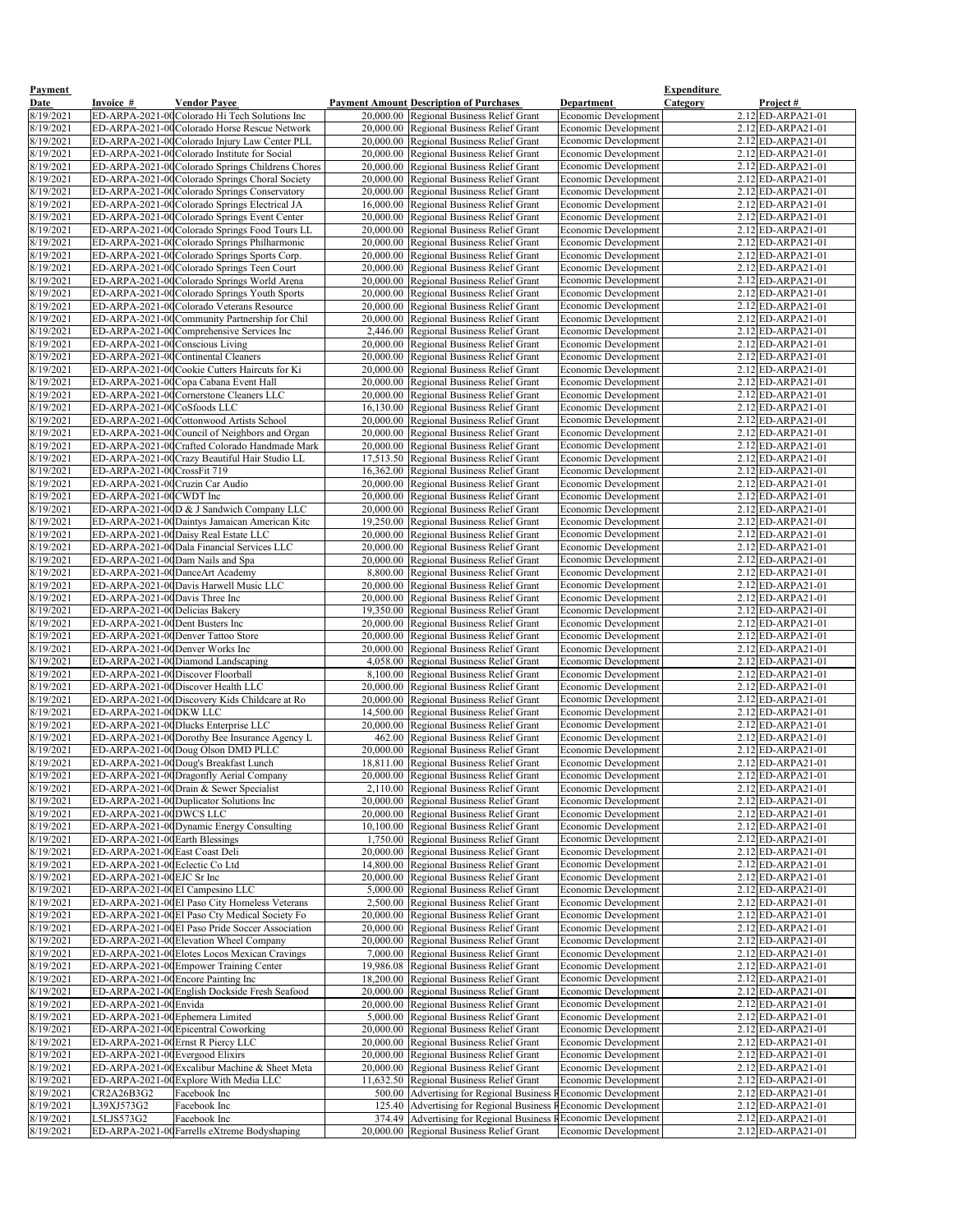| <b>Payment</b>         |                                                               |                                                                                                 |                                                                                                              |                                                            | <b>Expenditure</b> |                                                   |
|------------------------|---------------------------------------------------------------|-------------------------------------------------------------------------------------------------|--------------------------------------------------------------------------------------------------------------|------------------------------------------------------------|--------------------|---------------------------------------------------|
| Date                   | Invoice #                                                     | <b>Vendor Payee</b>                                                                             | <b>Payment Amount Description of Purchases</b>                                                               | <b>Department</b>                                          | Category           | Project#                                          |
| 8/19/2021<br>8/19/2021 |                                                               | ED-ARPA-2021-00 Colorado Hi Tech Solutions Inc<br>ED-ARPA-2021-00 Colorado Horse Rescue Network | 20,000.00 Regional Business Relief Grant<br>20,000.00 Regional Business Relief Grant                         | <b>Economic Development</b><br><b>Economic Development</b> |                    | $2.12$ ED-ARPA21-01<br>$2.12$ <b>ED-ARPA21-01</b> |
| 8/19/2021              |                                                               | ED-ARPA-2021-00 Colorado Injury Law Center PLL                                                  | 20,000.00 Regional Business Relief Grant                                                                     | Economic Development                                       |                    | $2.12$ ED-ARPA21-01                               |
| 8/19/2021              |                                                               | ED-ARPA-2021-00 Colorado Institute for Social                                                   | 20,000.00 Regional Business Relief Grant                                                                     | Economic Development                                       |                    | $2.12$ ED-ARPA21-01                               |
| 8/19/2021              |                                                               | ED-ARPA-2021-00 Colorado Springs Childrens Chores                                               | 20,000.00 Regional Business Relief Grant                                                                     | Economic Development                                       |                    | $2.12$ ED-ARPA21-01                               |
| 8/19/2021              |                                                               | ED-ARPA-2021-00 Colorado Springs Choral Society                                                 | 20,000.00 Regional Business Relief Grant                                                                     | Economic Development                                       |                    | $2.12$ ED-ARPA21-01                               |
| 8/19/2021<br>8/19/2021 |                                                               | ED-ARPA-2021-00 Colorado Springs Conservatory<br>ED-ARPA-2021-00 Colorado Springs Electrical JA | 20,000.00 Regional Business Relief Grant<br>16,000.00 Regional Business Relief Grant                         | <b>Economic Development</b><br>Economic Development        |                    | $2.12$ ED-ARPA21-01<br>$2.12$ ED-ARPA21-01        |
| 8/19/2021              |                                                               | ED-ARPA-2021-00 Colorado Springs Event Center                                                   | 20,000.00 Regional Business Relief Grant                                                                     | <b>Economic Development</b>                                |                    | $2.12$ ED-ARPA21-01                               |
| 8/19/2021              |                                                               | ED-ARPA-2021-00 Colorado Springs Food Tours LL                                                  | 20,000.00 Regional Business Relief Grant                                                                     | Economic Development                                       |                    | $2.12$ ED-ARPA21-01                               |
| 8/19/2021              |                                                               | ED-ARPA-2021-00 Colorado Springs Philharmonic                                                   | 20,000.00 Regional Business Relief Grant                                                                     | <b>Economic Development</b>                                |                    | $2.12$ ED-ARPA21-01                               |
| 8/19/2021              |                                                               | ED-ARPA-2021-00 Colorado Springs Sports Corp.                                                   | 20,000.00 Regional Business Relief Grant                                                                     | <b>Economic Development</b>                                |                    | $2.12$ ED-ARPA21-01                               |
| 8/19/2021<br>8/19/2021 |                                                               | ED-ARPA-2021-00 Colorado Springs Teen Court<br>ED-ARPA-2021-00 Colorado Springs World Arena     | 20,000.00 Regional Business Relief Grant<br>20,000.00 Regional Business Relief Grant                         | <b>Economic Development</b><br><b>Economic Development</b> |                    | 2.12 ED-ARPA21-01<br>$2.12$ ED-ARPA21-01          |
| 8/19/2021              |                                                               | ED-ARPA-2021-00 Colorado Springs Youth Sports                                                   | 20,000.00 Regional Business Relief Grant                                                                     | <b>Economic Development</b>                                |                    | $2.12$ ED-ARPA21-01                               |
| 8/19/2021              |                                                               | ED-ARPA-2021-00 Colorado Veterans Resource                                                      | 20,000.00 Regional Business Relief Grant                                                                     | <b>Economic Development</b>                                |                    | $2.12$ ED-ARPA21-01                               |
| 8/19/2021              |                                                               | ED-ARPA-2021-00 Community Partnership for Chil                                                  | 20,000.00 Regional Business Relief Grant                                                                     | <b>Economic Development</b>                                |                    | $2.12$ ED-ARPA21-01                               |
| 8/19/2021              |                                                               | ED-ARPA-2021-00 Comprehensive Services Inc                                                      | 2,446.00 Regional Business Relief Grant                                                                      | <b>Economic Development</b>                                |                    | $2.12$ ED-ARPA21-01                               |
| 8/19/2021<br>8/19/2021 | ED-ARPA-2021-00 Conscious Living                              | ED-ARPA-2021-00 Continental Cleaners                                                            | 20,000.00 Regional Business Relief Grant<br>20,000.00 Regional Business Relief Grant                         | <b>Economic Development</b><br><b>Economic Development</b> |                    | $2.12$ ED-ARPA21-01<br>$2.12$ ED-ARPA21-01        |
| 8/19/2021              |                                                               | ED-ARPA-2021-00 Cookie Cutters Haircuts for Ki                                                  | 20,000.00 Regional Business Relief Grant                                                                     | Economic Development                                       |                    | $2.12$ ED-ARPA21-01                               |
| 8/19/2021              |                                                               | ED-ARPA-2021-00 Copa Cabana Event Hall                                                          | 20,000.00 Regional Business Relief Grant                                                                     | Economic Development                                       |                    | $2.12$ ED-ARPA21-01                               |
| 8/19/2021              |                                                               | ED-ARPA-2021-00 Cornerstone Cleaners LLC                                                        | 20,000.00 Regional Business Relief Grant                                                                     | Economic Development                                       |                    | $2.12$ ED-ARPA21-01                               |
| 8/19/2021              | ED-ARPA-2021-00 CoSfoods LLC                                  |                                                                                                 | 16,130.00 Regional Business Relief Grant                                                                     | Economic Development                                       |                    | $2.12$ ED-ARPA21-01                               |
| 8/19/2021<br>8/19/2021 |                                                               | ED-ARPA-2021-00 Cottonwood Artists School<br>ED-ARPA-2021-00 Council of Neighbors and Organ     | 20,000.00 Regional Business Relief Grant<br>20,000.00 Regional Business Relief Grant                         | <b>Economic Development</b><br><b>Economic Development</b> |                    | $2.12$ ED-ARPA21-01<br>$2.12$ ED-ARPA21-01        |
| 8/19/2021              |                                                               | ED-ARPA-2021-00 Crafted Colorado Handmade Mark                                                  | 20,000.00 Regional Business Relief Grant                                                                     | <b>Economic Development</b>                                |                    | $2.12$ ED-ARPA21-01                               |
| 8/19/2021              |                                                               | ED-ARPA-2021-00 Crazy Beautiful Hair Studio LL                                                  | 17,513.50 Regional Business Relief Grant                                                                     | Economic Development                                       |                    | $2.12$ ED-ARPA21-01                               |
| 8/19/2021              | ED-ARPA-2021-00 CrossFit 719                                  |                                                                                                 | 16,362.00 Regional Business Relief Grant                                                                     | Economic Development                                       |                    | $2.12$ ED-ARPA21-01                               |
| 8/19/2021              | ED-ARPA-2021-00 Cruzin Car Audio                              |                                                                                                 | 20,000.00 Regional Business Relief Grant                                                                     | <b>Economic Development</b>                                |                    | $2.12$ ED-ARPA21-01                               |
| 8/19/2021<br>8/19/2021 | ED-ARPA-2021-00 CWDT Inc                                      | ED-ARPA-2021-00D & J Sandwich Company LLC                                                       | 20,000.00 Regional Business Relief Grant<br>20,000.00 Regional Business Relief Grant                         | <b>Economic Development</b><br><b>Economic Development</b> |                    | $2.12$ ED-ARPA21-01<br>$2.12$ ED-ARPA21-01        |
| 8/19/2021              |                                                               | ED-ARPA-2021-00 Daintys Jamaican American Kitc                                                  | 19,250.00 Regional Business Relief Grant                                                                     | <b>Economic Development</b>                                |                    | $2.12$ ED-ARPA21-01                               |
| 8/19/2021              |                                                               | ED-ARPA-2021-00 Daisy Real Estate LLC                                                           | 20,000.00 Regional Business Relief Grant                                                                     | <b>Economic Development</b>                                |                    | $2.12$ ED-ARPA21-01                               |
| 8/19/2021              |                                                               | ED-ARPA-2021-00Dala Financial Services LLC                                                      | 20,000.00 Regional Business Relief Grant                                                                     | <b>Economic Development</b>                                |                    | $2.12$ ED-ARPA21-01                               |
| 8/19/2021              |                                                               | ED-ARPA-2021-00 Dam Nails and Spa                                                               | 20,000.00 Regional Business Relief Grant                                                                     | <b>Economic Development</b>                                |                    | $2.12$ ED-ARPA21-01                               |
| 8/19/2021<br>8/19/2021 |                                                               | ED-ARPA-2021-00DanceArt Academy<br>ED-ARPA-2021-00 Davis Harwell Music LLC                      | 8,800.00 Regional Business Relief Grant<br>20,000.00 Regional Business Relief Grant                          | <b>Economic Development</b><br><b>Economic Development</b> |                    | $2.12$ ED-ARPA21-01<br>$2.12$ ED-ARPA21-01        |
| 8/19/2021              | ED-ARPA-2021-00 Davis Three Inc                               |                                                                                                 | 20,000.00 Regional Business Relief Grant                                                                     | <b>Economic Development</b>                                |                    | $2.12$ ED-ARPA21-01                               |
| 8/19/2021              | ED-ARPA-2021-00 Delicias Bakery                               |                                                                                                 | 19,350.00 Regional Business Relief Grant                                                                     | <b>Economic Development</b>                                |                    | $2.12$ ED-ARPA21-01                               |
| 8/19/2021              | ED-ARPA-2021-00 Dent Busters Inc                              |                                                                                                 | 20,000.00 Regional Business Relief Grant                                                                     | Economic Development                                       |                    | $2.12$ ED-ARPA21-01                               |
| 8/19/2021              |                                                               | ED-ARPA-2021-00 Denver Tattoo Store                                                             | 20,000.00 Regional Business Relief Grant                                                                     | <b>Economic Development</b>                                |                    | $2.12$ ED-ARPA21-01                               |
| 8/19/2021<br>8/19/2021 | ED-ARPA-2021-00Denver Works Inc                               | ED-ARPA-2021-00Diamond Landscaping                                                              | 20,000.00 Regional Business Relief Grant<br>4,058.00 Regional Business Relief Grant                          | <b>Economic Development</b><br><b>Economic Development</b> |                    | $2.12$ ED-ARPA21-01<br>$2.12$ ED-ARPA21-01        |
| 8/19/2021              | ED-ARPA-2021-00 Discover Floorball                            |                                                                                                 | 8,100.00 Regional Business Relief Grant                                                                      | <b>Economic Development</b>                                |                    | $2.12$ ED-ARPA21-01                               |
| 8/19/2021              |                                                               | ED-ARPA-2021-00Discover Health LLC                                                              | 20,000.00 Regional Business Relief Grant                                                                     | Economic Development                                       |                    | $2.12$ ED-ARPA21-01                               |
| 8/19/2021              |                                                               | ED-ARPA-2021-00 Discovery Kids Childcare at Ro                                                  | 20,000.00 Regional Business Relief Grant                                                                     | <b>Economic Development</b>                                |                    | $2.12$ ED-ARPA21-01                               |
| 8/19/2021              | ED-ARPA-2021-00DKWLLC                                         |                                                                                                 | 14,500.00 Regional Business Relief Grant                                                                     | Economic Development                                       |                    | $2.12$ ED-ARPA21-01                               |
| 8/19/2021<br>8/19/2021 |                                                               | ED-ARPA-2021-00Dlucks Enterprise LLC<br>ED-ARPA-2021-00Dorothy Bee Insurance Agency L           | 20,000.00 Regional Business Relief Grant<br>462.00 Regional Business Relief Grant                            | <b>Economic Development</b><br><b>Economic Development</b> |                    | $2.12$ ED-ARPA21-01<br>$2.12$ ED-ARPA21-01        |
| 8/19/2021              |                                                               | ED-ARPA-2021-00 Doug Olson DMD PLLC                                                             | 20,000.00 Regional Business Relief Grant                                                                     | <b>Economic Development</b>                                |                    | $2.12$ ED-ARPA21-01                               |
| 8/19/2021              |                                                               | ED-ARPA-2021-00 Doug's Breakfast Lunch                                                          | 18,811.00 Regional Business Relief Grant                                                                     | Economic Development                                       |                    | $2.12$ ED-ARPA21-01                               |
| 8/19/2021              |                                                               | ED-ARPA-2021-00Dragonfly Aerial Company                                                         | 20,000.00 Regional Business Relief Grant                                                                     | <b>Economic Development</b>                                |                    | $2.12$ ED-ARPA21-01                               |
| 8/19/2021              |                                                               | ED-ARPA-2021-00Drain & Sewer Specialist                                                         | 2,110.00 Regional Business Relief Grant                                                                      | <b>Economic Development</b>                                |                    | $2.12$ ED-ARPA21-01                               |
| 8/19/2021<br>8/19/2021 | ED-ARPA-2021-00DWCS LLC                                       | ED-ARPA-2021-00Duplicator Solutions Inc                                                         | 20,000.00 Regional Business Relief Grant<br>20,000.00 Regional Business Relief Grant                         | <b>Economic Development</b><br>Economic Development        |                    | $2.12$ ED-ARPA21-01<br>2.12 ED-ARPA21-01          |
| 8/19/2021              |                                                               | ED-ARPA-2021-00 Dynamic Energy Consulting                                                       | 10,100.00 Regional Business Relief Grant                                                                     | <b>Economic Development</b>                                |                    | $2.12$ ED-ARPA21-01                               |
| 8/19/2021              | ED-ARPA-2021-00 Earth Blessings                               |                                                                                                 | 1,750.00 Regional Business Relief Grant                                                                      | Economic Development                                       |                    | $2.12$ ED-ARPA21-01                               |
| 8/19/2021              | ED-ARPA-2021-00 East Coast Deli                               |                                                                                                 | 20,000.00 Regional Business Relief Grant                                                                     | Economic Development                                       |                    | 2.12 ED-ARPA21-01                                 |
| 8/19/2021<br>8/19/2021 | ED-ARPA-2021-00 Eclectic Co Ltd<br>ED-ARPA-2021-00 EJC Sr Inc |                                                                                                 | 14,800.00 Regional Business Relief Grant<br>20,000.00 Regional Business Relief Grant                         | <b>Economic Development</b><br><b>Economic Development</b> |                    | $2.12$ ED-ARPA21-01<br>$2.12$ ED-ARPA21-01        |
| 8/19/2021              |                                                               | ED-ARPA-2021-00El Campesino LLC                                                                 | 5,000.00 Regional Business Relief Grant                                                                      | <b>Economic Development</b>                                |                    | $2.12$ ED-ARPA21-01                               |
| 8/19/2021              |                                                               | ED-ARPA-2021-00El Paso City Homeless Veterans                                                   | 2,500.00 Regional Business Relief Grant                                                                      | <b>Economic Development</b>                                |                    | $2.12$ ED-ARPA21-01                               |
| 8/19/2021              |                                                               | ED-ARPA-2021-00El Paso Cty Medical Society Fo                                                   | 20,000.00 Regional Business Relief Grant                                                                     | <b>Economic Development</b>                                |                    | $2.12$ ED-ARPA21-01                               |
| 8/19/2021              |                                                               | ED-ARPA-2021-00El Paso Pride Soccer Association                                                 | 20,000.00 Regional Business Relief Grant                                                                     | <b>Economic Development</b>                                |                    | $2.12$ ED-ARPA21-01                               |
| 8/19/2021<br>8/19/2021 |                                                               | ED-ARPA-2021-00 Elevation Wheel Company<br>ED-ARPA-2021-00 Elotes Locos Mexican Cravings        | 20,000.00 Regional Business Relief Grant<br>7,000.00 Regional Business Relief Grant                          | <b>Economic Development</b><br><b>Economic Development</b> |                    | $2.12$ ED-ARPA21-01<br>$2.12$ ED-ARPA21-01        |
| 8/19/2021              |                                                               | ED-ARPA-2021-00 Empower Training Center                                                         | 19,986.08 Regional Business Relief Grant                                                                     | <b>Economic Development</b>                                |                    | $2.12$ ED-ARPA21-01                               |
| 8/19/2021              |                                                               | ED-ARPA-2021-00 Encore Painting Inc                                                             | 18,200.00 Regional Business Relief Grant                                                                     | <b>Economic Development</b>                                |                    | $2.12$ ED-ARPA21-01                               |
| 8/19/2021              |                                                               | ED-ARPA-2021-00 English Dockside Fresh Seafood                                                  | 20,000.00 Regional Business Relief Grant                                                                     | <b>Economic Development</b>                                |                    | $2.12$ ED-ARPA21-01                               |
| 8/19/2021              | ED-ARPA-2021-00Envida                                         |                                                                                                 | 20,000.00 Regional Business Relief Grant                                                                     | <b>Economic Development</b>                                |                    | $2.12$ ED-ARPA21-01                               |
| 8/19/2021<br>8/19/2021 | ED-ARPA-2021-00 Ephemera Limited                              | ED-ARPA-2021-00 Epicentral Coworking                                                            | 5,000.00 Regional Business Relief Grant<br>20,000.00 Regional Business Relief Grant                          | <b>Economic Development</b><br><b>Economic Development</b> |                    | $2.12$ ED-ARPA21-01<br>$2.12$ ED-ARPA21-01        |
| 8/19/2021              |                                                               | ED-ARPA-2021-00 Ernst R Piercy LLC                                                              | 20,000.00 Regional Business Relief Grant                                                                     | <b>Economic Development</b>                                |                    | $2.12$ ED-ARPA21-01                               |
| 8/19/2021              | ED-ARPA-2021-00 Evergood Elixirs                              |                                                                                                 | 20,000.00 Regional Business Relief Grant                                                                     | <b>Economic Development</b>                                |                    | $2.12$ ED-ARPA21-01                               |
| 8/19/2021              |                                                               | ED-ARPA-2021-00 Excalibur Machine & Sheet Meta                                                  | 20,000.00 Regional Business Relief Grant                                                                     | <b>Economic Development</b>                                |                    | $2.12$ ED-ARPA21-01                               |
| 8/19/2021<br>8/19/2021 | CR2A26B3G2                                                    | ED-ARPA-2021-00 Explore With Media LLC<br>Facebook Inc                                          | 11,632.50 Regional Business Relief Grant<br>500.00   Advertising for Regional Business REconomic Development | <b>Economic Development</b>                                |                    | $2.12$ ED-ARPA21-01<br>$2.12$ ED-ARPA21-01        |
| 8/19/2021              | L39XJ573G2                                                    | Facebook Inc                                                                                    | 125.40   Advertising for Regional Business REconomic Development                                             |                                                            |                    | $2.12$ ED-ARPA21-01                               |
| 8/19/2021              | L5LJS573G2                                                    | Facebook Inc                                                                                    | 374.49 Advertising for Regional Business REconomic Development                                               |                                                            |                    | $2.12$ ED-ARPA21-01                               |
| 8/19/2021              |                                                               | ED-ARPA-2021-00 Farrells eXtreme Bodyshaping                                                    | 20,000.00 Regional Business Relief Grant                                                                     | <b>Economic Development</b>                                |                    | 2.12 ED-ARPA21-01                                 |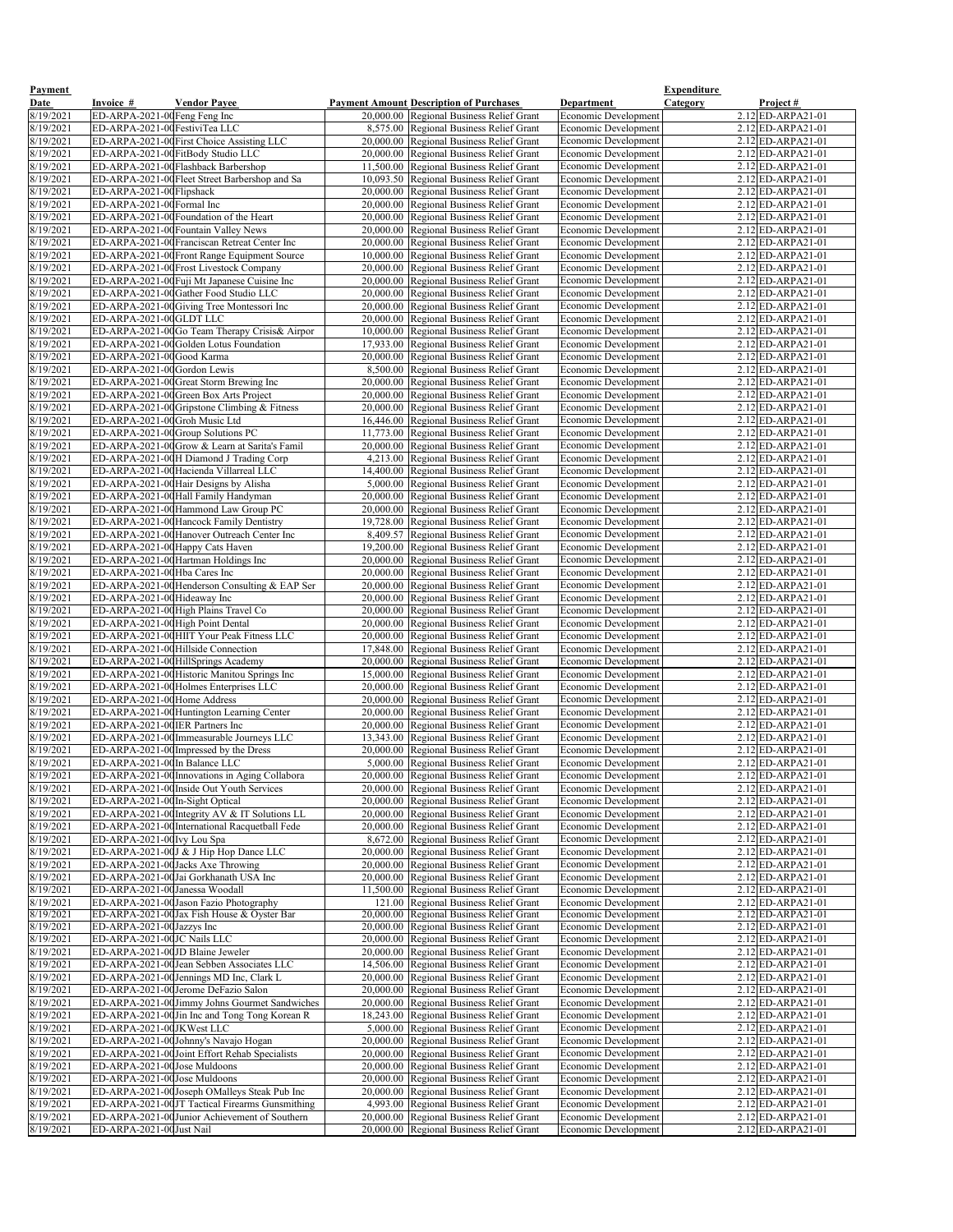| <b>Payment</b><br><b>Date</b> | Invoice #                         | <b>Vendor Payee</b>                                                                     | <b>Payment Amount Description of Purchases</b>                                       | <b>Department</b>                                          | <b>Expenditure</b><br><u>Category</u><br>Project# |
|-------------------------------|-----------------------------------|-----------------------------------------------------------------------------------------|--------------------------------------------------------------------------------------|------------------------------------------------------------|---------------------------------------------------|
| 8/19/2021                     | ED-ARPA-2021-00 Feng Feng Inc     |                                                                                         | 20,000.00 Regional Business Relief Grant                                             | Economic Development                                       | 2.12 ED-ARPA21-01                                 |
| 8/19/2021                     | ED-ARPA-2021-00 FestiviTea LLC    |                                                                                         | 8,575.00 Regional Business Relief Grant                                              | <b>Economic Development</b>                                | $2.12$ ED-ARPA21-01                               |
| 8/19/2021                     |                                   | ED-ARPA-2021-00 First Choice Assisting LLC                                              | 20,000.00 Regional Business Relief Grant                                             | Economic Development                                       | $2.12$ ED-ARPA21-01                               |
| 8/19/2021                     |                                   | ED-ARPA-2021-00 FitBody Studio LLC                                                      | 20,000.00 Regional Business Relief Grant                                             | Economic Development                                       | $2.12$ ED-ARPA21-01                               |
| 8/19/2021                     |                                   | ED-ARPA-2021-00 Flashback Barbershop                                                    | 11,500.00 Regional Business Relief Grant                                             | Economic Development                                       | $2.12$ ED-ARPA21-01                               |
| 8/19/2021                     |                                   | ED-ARPA-2021-00 Fleet Street Barbershop and Sa                                          | 10,093.50 Regional Business Relief Grant                                             | Economic Development                                       | $2.12$ ED-ARPA21-01                               |
| 8/19/2021                     | ED-ARPA-2021-00 Flipshack         |                                                                                         | 20,000.00 Regional Business Relief Grant                                             | Economic Development                                       | $2.12$ ED-ARPA21-01                               |
| 8/19/2021                     | ED-ARPA-2021-00 Formal Inc        | ED-ARPA-2021-00 Foundation of the Heart                                                 | 20,000.00 Regional Business Relief Grant                                             | Economic Development                                       | $2.12$ ED-ARPA21-01<br>$2.12$ ED-ARPA21-01        |
| 8/19/2021<br>8/19/2021        |                                   | ED-ARPA-2021-00 Fountain Valley News                                                    | 20,000.00 Regional Business Relief Grant<br>20,000.00 Regional Business Relief Grant | Economic Development<br>Economic Development               | $2.12$ ED-ARPA21-01                               |
| 8/19/2021                     |                                   | ED-ARPA-2021-00 Franciscan Retreat Center Inc                                           | 20,000.00 Regional Business Relief Grant                                             | <b>Economic Development</b>                                | $2.12$ ED-ARPA21-01                               |
| 8/19/2021                     |                                   | ED-ARPA-2021-00 Front Range Equipment Source                                            | 10,000.00 Regional Business Relief Grant                                             | <b>Economic Development</b>                                | $2.12$ ED-ARPA21-01                               |
| 8/19/2021                     |                                   | ED-ARPA-2021-00 Frost Livestock Company                                                 | 20,000.00 Regional Business Relief Grant                                             | Economic Development                                       | $2.12$ <b>ED-ARPA21-01</b>                        |
| 8/19/2021                     |                                   | ED-ARPA-2021-00 Fuji Mt Japanese Cuisine Inc                                            | 20,000.00 Regional Business Relief Grant                                             | Economic Development                                       | $2.12$ ED-ARPA21-01                               |
| 8/19/2021                     |                                   | ED-ARPA-2021-00 Gather Food Studio LLC                                                  | 20,000.00 Regional Business Relief Grant                                             | <b>Economic Development</b>                                | $2.12$ ED-ARPA21-01                               |
| 8/19/2021                     |                                   | ED-ARPA-2021-00 Giving Tree Montessori Inc                                              | 20,000.00 Regional Business Relief Grant                                             | Economic Development                                       | $2.12$ ED-ARPA21-01                               |
| 8/19/2021<br>8/19/2021        | ED-ARPA-2021-00GLDT LLC           | ED-ARPA-2021-00Go Team Therapy Crisis& Airpor                                           | 20,000.00 Regional Business Relief Grant<br>10,000.00 Regional Business Relief Grant | <b>Economic Development</b><br><b>Economic Development</b> | $2.12$ ED-ARPA21-01<br>$2.12$ ED-ARPA21-01        |
| 8/19/2021                     |                                   | ED-ARPA-2021-00 Golden Lotus Foundation                                                 | 17,933.00 Regional Business Relief Grant                                             | <b>Economic Development</b>                                | $2.12$ ED-ARPA21-01                               |
| 8/19/2021                     | ED-ARPA-2021-00 Good Karma        |                                                                                         | 20,000.00 Regional Business Relief Grant                                             | Economic Development                                       | $2.12$ ED-ARPA21-01                               |
| 8/19/2021                     | ED-ARPA-2021-00 Gordon Lewis      |                                                                                         | 8,500.00 Regional Business Relief Grant                                              | Economic Development                                       | $2.12$ ED-ARPA21-01                               |
| 8/19/2021                     |                                   | ED-ARPA-2021-00 Great Storm Brewing Inc                                                 | 20,000.00 Regional Business Relief Grant                                             | Economic Development                                       | 2.12 ED-ARPA21-01                                 |
| 8/19/2021                     |                                   | ED-ARPA-2021-00 Green Box Arts Project                                                  | 20,000.00 Regional Business Relief Grant                                             | Economic Development                                       | $2.12$ ED-ARPA21-01                               |
| 8/19/2021                     |                                   | ED-ARPA-2021-00 Gripstone Climbing & Fitness                                            | 20,000.00 Regional Business Relief Grant                                             | Economic Development                                       | $2.12$ ED-ARPA21-01                               |
| 8/19/2021<br>8/19/2021        | ED-ARPA-2021-00Groh Music Ltd     | ED-ARPA-2021-00 Group Solutions PC                                                      | 16,446.00 Regional Business Relief Grant                                             | <b>Economic Development</b><br><b>Economic Development</b> | $2.12$ ED-ARPA21-01<br>$2.12$ ED-ARPA21-01        |
| 8/19/2021                     |                                   | ED-ARPA-2021-00 Grow & Learn at Sarita's Famil                                          | 11,773.00 Regional Business Relief Grant<br>20,000.00 Regional Business Relief Grant | <b>Economic Development</b>                                | $2.12$ ED-ARPA21-01                               |
| 8/19/2021                     |                                   | ED-ARPA-2021-00H Diamond J Trading Corp                                                 | 4,213.00 Regional Business Relief Grant                                              | Economic Development                                       | $2.12$ ED-ARPA21-01                               |
| 8/19/2021                     |                                   | ED-ARPA-2021-00 Hacienda Villarreal LLC                                                 | 14,400.00 Regional Business Relief Grant                                             | Economic Development                                       | $2.12$ ED-ARPA21-01                               |
| 8/19/2021                     |                                   | ED-ARPA-2021-00 Hair Designs by Alisha                                                  | 5,000.00 Regional Business Relief Grant                                              | <b>Economic Development</b>                                | $2.12$ ED-ARPA21-01                               |
| 8/19/2021                     |                                   | ED-ARPA-2021-00 Hall Family Handyman                                                    | 20,000.00 Regional Business Relief Grant                                             | <b>Economic Development</b>                                | $2.12$ ED-ARPA21-01                               |
| 8/19/2021                     |                                   | ED-ARPA-2021-00 Hammond Law Group PC                                                    | 20,000.00 Regional Business Relief Grant                                             | Economic Development                                       | $2.12$ ED-ARPA21-01                               |
| 8/19/2021<br>8/19/2021        |                                   | ED-ARPA-2021-00 Hancock Family Dentistry<br>ED-ARPA-2021-00 Hanover Outreach Center Inc | 19,728.00 Regional Business Relief Grant<br>8,409.57 Regional Business Relief Grant  | <b>Economic Development</b><br><b>Economic Development</b> | $2.12$ ED-ARPA21-01<br>$2.12$ ED-ARPA21-01        |
| 8/19/2021                     | ED-ARPA-2021-00 Happy Cats Haven  |                                                                                         | 19,200.00 Regional Business Relief Grant                                             | <b>Economic Development</b>                                | $2.12$ ED-ARPA21-01                               |
| 8/19/2021                     |                                   | ED-ARPA-2021-00 Hartman Holdings Inc                                                    | 20,000.00 Regional Business Relief Grant                                             | <b>Economic Development</b>                                | $2.12$ ED-ARPA21-01                               |
| 8/19/2021                     | ED-ARPA-2021-00 Hba Cares Inc     |                                                                                         | 20,000.00 Regional Business Relief Grant                                             | <b>Economic Development</b>                                | $2.12$ ED-ARPA21-01                               |
| 8/19/2021                     |                                   | ED-ARPA-2021-00 Henderson Consulting & EAP Ser                                          | 20,000.00 Regional Business Relief Grant                                             | <b>Economic Development</b>                                | $2.12$ ED-ARPA21-01                               |
| 8/19/2021                     | ED-ARPA-2021-00 Hideaway Inc      |                                                                                         | 20,000.00 Regional Business Relief Grant                                             | <b>Economic Development</b>                                | $2.12$ ED-ARPA21-01                               |
| 8/19/2021                     | ED-ARPA-2021-00 High Point Dental | ED-ARPA-2021-00 High Plains Travel Co                                                   | 20,000.00 Regional Business Relief Grant<br>20,000.00 Regional Business Relief Grant | <b>Economic Development</b><br>Economic Development        | $2.12$ ED-ARPA21-01<br>$2.12$ ED-ARPA21-01        |
| 8/19/2021<br>8/19/2021        |                                   | ED-ARPA-2021-00 HIIT Your Peak Fitness LLC                                              | 20,000.00 Regional Business Relief Grant                                             | <b>Economic Development</b>                                | $2.12$ ED-ARPA21-01                               |
| 8/19/2021                     |                                   | ED-ARPA-2021-00Hillside Connection                                                      | 17,848.00 Regional Business Relief Grant                                             | Economic Development                                       | $2.12$ ED-ARPA21-01                               |
| 8/19/2021                     |                                   | ED-ARPA-2021-00 HillSprings Academy                                                     | 20,000.00 Regional Business Relief Grant                                             | Economic Development                                       | $2.12$ ED-ARPA21-01                               |
| 8/19/2021                     |                                   | ED-ARPA-2021-00 Historic Manitou Springs Inc                                            | 15,000.00 Regional Business Relief Grant                                             | <b>Economic Development</b>                                | $2.12$ ED-ARPA21-01                               |
| 8/19/2021                     |                                   | ED-ARPA-2021-00Holmes Enterprises LLC                                                   | 20,000.00 Regional Business Relief Grant                                             | Economic Development                                       | $2.12$ ED-ARPA21-01                               |
| 8/19/2021<br>8/19/2021        | ED-ARPA-2021-00 Home Address      |                                                                                         | 20,000.00 Regional Business Relief Grant                                             | <b>Economic Development</b>                                | $2.12$ ED-ARPA21-01<br>$2.12$ ED-ARPA21-01        |
| 8/19/2021                     | ED-ARPA-2021-00IER Partners Inc   | ED-ARPA-2021-00 Huntington Learning Center                                              | 20,000.00 Regional Business Relief Grant<br>20,000.00 Regional Business Relief Grant | Economic Development<br><b>Economic Development</b>        | 2.12 ED-ARPA21-01                                 |
| 8/19/2021                     |                                   | ED-ARPA-2021-00 Immeasurable Journeys LLC                                               | 13,343.00 Regional Business Relief Grant                                             | Economic Development                                       | $2.12$ ED-ARPA21-01                               |
| 8/19/2021                     |                                   | ED-ARPA-2021-00 Impressed by the Dress                                                  | 20,000.00 Regional Business Relief Grant                                             | <b>Economic Development</b>                                | $2.12$ ED-ARPA21-01                               |
| 8/19/2021                     | ED-ARPA-2021-00 In Balance LLC    |                                                                                         | 5,000.00 Regional Business Relief Grant                                              | Economic Development                                       | $2.12$ ED-ARPA21-01                               |
| 8/19/2021                     |                                   | ED-ARPA-2021-00 Innovations in Aging Collabora                                          | 20,000.00 Regional Business Relief Grant                                             | <b>Economic Development</b>                                | $2.12$ ED-ARPA21-01                               |
| 8/19/2021                     |                                   | ED-ARPA-2021-00 Inside Out Youth Services                                               | 20,000.00 Regional Business Relief Grant                                             | <b>Economic Development</b>                                | $2.12$ ED-ARPA21-01                               |
| 8/19/2021<br>8/19/2021        | ED-ARPA-2021-00 In-Sight Optical  | ED-ARPA-2021-00 Integrity AV & IT Solutions LL                                          | 20,000.00 Regional Business Relief Grant<br>20,000.00 Regional Business Relief Grant | <b>Economic Development</b><br><b>Economic Development</b> | $2.12$ ED-ARPA21-01<br>$2.12$ ED-ARPA21-01        |
| 8/19/2021                     |                                   | ED-ARPA-2021-00 International Racquetball Fede                                          | 20,000.00 Regional Business Relief Grant                                             | <b>Economic Development</b>                                | 2.12 ED-ARPA21-01                                 |
| 8/19/2021                     | ED-ARPA-2021-00 Ivy Lou Spa       |                                                                                         | 8,672.00 Regional Business Relief Grant                                              | Economic Development                                       | $2.12$ ED-ARPA21-01                               |
| 8/19/2021                     |                                   | ED-ARPA-2021-00J & J Hip Hop Dance LLC                                                  | 20,000.00 Regional Business Relief Grant                                             | Economic Development                                       | 2.12 ED-ARPA21-01                                 |
| 8/19/2021                     |                                   | ED-ARPA-2021-00 Jacks Axe Throwing                                                      | 20,000.00 Regional Business Relief Grant                                             | <b>Economic Development</b>                                | $2.12$ ED-ARPA21-01                               |
| 8/19/2021                     | ED-ARPA-2021-00 Janessa Woodall   | ED-ARPA-2021-00Jai Gorkhanath USA Inc                                                   | 20,000.00 Regional Business Relief Grant                                             | <b>Economic Development</b>                                | $2.12$ ED-ARPA21-01<br>$2.12$ ED-ARPA21-01        |
| 8/19/2021<br>8/19/2021        |                                   | ED-ARPA-2021-00 Jason Fazio Photography                                                 | 11,500.00 Regional Business Relief Grant<br>121.00 Regional Business Relief Grant    | <b>Economic Development</b><br><b>Economic Development</b> | $2.12$ ED-ARPA21-01                               |
| 8/19/2021                     |                                   | ED-ARPA-2021-00 Jax Fish House & Oyster Bar                                             | 20,000.00 Regional Business Relief Grant                                             | <b>Economic Development</b>                                | 2.12 ED-ARPA21-01                                 |
| 8/19/2021                     | ED-ARPA-2021-00 Jazzys Inc        |                                                                                         | 20,000.00 Regional Business Relief Grant                                             | <b>Economic Development</b>                                | 2.12 ED-ARPA21-01                                 |
| 8/19/2021                     | ED-ARPA-2021-00JC Nails LLC       |                                                                                         | 20,000.00 Regional Business Relief Grant                                             | <b>Economic Development</b>                                | $2.12$ ED-ARPA21-01                               |
| 8/19/2021                     | ED-ARPA-2021-00JD Blaine Jeweler  |                                                                                         | 20,000.00 Regional Business Relief Grant                                             | <b>Economic Development</b>                                | $2.12$ ED-ARPA21-01                               |
| 8/19/2021<br>8/19/2021        |                                   | ED-ARPA-2021-00Jean Sebben Associates LLC<br>ED-ARPA-2021-00 Jennings MD Inc, Clark L   | 14,506.00 Regional Business Relief Grant<br>20,000.00 Regional Business Relief Grant | <b>Economic Development</b><br><b>Economic Development</b> | $2.12$ ED-ARPA21-01<br>$2.12$ ED-ARPA21-01        |
| 8/19/2021                     |                                   | ED-ARPA-2021-00 Jerome DeFazio Salon                                                    | 20,000.00 Regional Business Relief Grant                                             | <b>Economic Development</b>                                | $2.12$ ED-ARPA21-01                               |
| 8/19/2021                     |                                   | ED-ARPA-2021-00 Jimmy Johns Gourmet Sandwiches                                          | 20,000.00 Regional Business Relief Grant                                             | <b>Economic Development</b>                                | $2.12$ ED-ARPA21-01                               |
| 8/19/2021                     |                                   | ED-ARPA-2021-00 Jin Inc and Tong Tong Korean R                                          | 18,243.00 Regional Business Relief Grant                                             | <b>Economic Development</b>                                | $2.12$ ED-ARPA21-01                               |
| 8/19/2021                     | ED-ARPA-2021-00JKWest LLC         |                                                                                         | 5,000.00 Regional Business Relief Grant                                              | <b>Economic Development</b>                                | $2.12$ ED-ARPA21-01                               |
| 8/19/2021                     |                                   | ED-ARPA-2021-00 Johnny's Navajo Hogan                                                   | 20,000.00 Regional Business Relief Grant                                             | <b>Economic Development</b>                                | $2.12$ ED-ARPA21-01                               |
| 8/19/2021<br>8/19/2021        | ED-ARPA-2021-00 Jose Muldoons     | ED-ARPA-2021-00 Joint Effort Rehab Specialists                                          | 20,000.00 Regional Business Relief Grant<br>20,000.00 Regional Business Relief Grant | <b>Economic Development</b><br><b>Economic Development</b> | $2.12$ ED-ARPA21-01<br>$2.12$ $ED-ARPA21-01$      |
| 8/19/2021                     | ED-ARPA-2021-00 Jose Muldoons     |                                                                                         | 20,000.00 Regional Business Relief Grant                                             | <b>Economic Development</b>                                | 2.12 ED-ARPA21-01                                 |
| 8/19/2021                     |                                   | ED-ARPA-2021-00 Joseph OMalleys Steak Pub Inc                                           | 20,000.00 Regional Business Relief Grant                                             | <b>Economic Development</b>                                | $2.12$ ED-ARPA21-01                               |
| 8/19/2021                     |                                   | ED-ARPA-2021-00JT Tactical Firearms Gunsmithing                                         | 4,993.00 Regional Business Relief Grant                                              | <b>Economic Development</b>                                | $2.12$ ED-ARPA21-01                               |
| 8/19/2021                     |                                   | ED-ARPA-2021-00 Junior Achievement of Southern                                          | 20,000.00 Regional Business Relief Grant                                             | <b>Economic Development</b>                                | $2.12$ ED-ARPA21-01                               |
| 8/19/2021                     | ED-ARPA-2021-00 Just Nail         |                                                                                         | 20,000.00 Regional Business Relief Grant                                             | <b>Economic Development</b>                                | $2.12$ ED-ARPA21-01                               |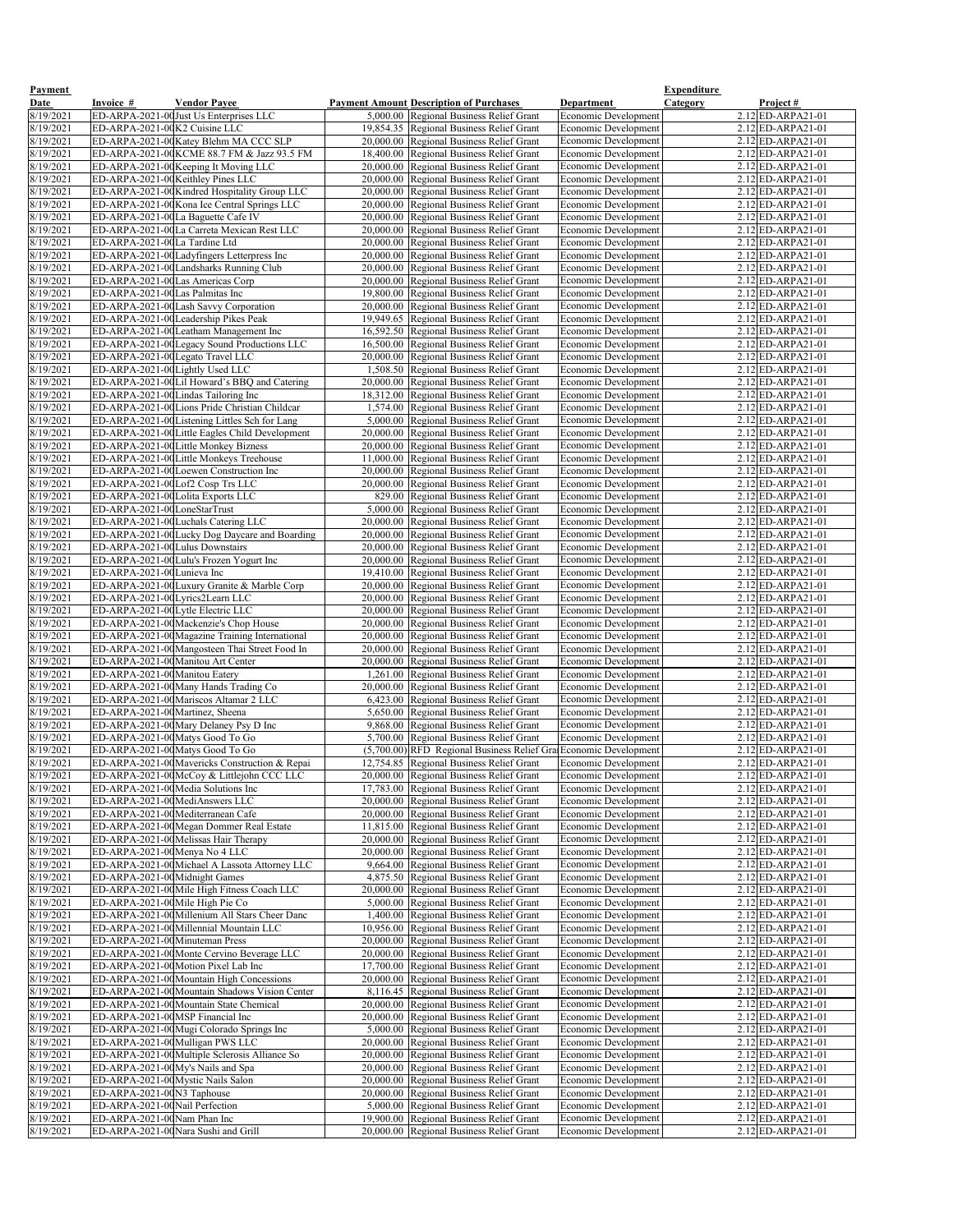| <b>Payment</b>         |                                                                |                                                                                        |                                                                                      |                                                            | <b>Expenditure</b> |                                            |
|------------------------|----------------------------------------------------------------|----------------------------------------------------------------------------------------|--------------------------------------------------------------------------------------|------------------------------------------------------------|--------------------|--------------------------------------------|
| Date                   | Invoice #                                                      | <b>Vendor Payee</b>                                                                    | <b>Payment Amount Description of Purchases</b>                                       | <b>Department</b>                                          | Category           | Project#                                   |
| 8/19/2021<br>8/19/2021 | ED-ARPA-2021-00K2 Cuisine LLC                                  | ED-ARPA-2021-00 Just Us Enterprises LLC                                                | $\overline{5,000.00}$ Regional Business Relief Grant                                 | <b>Economic Development</b>                                |                    | $2.12$ ED-ARPA21-01<br>$2.12$ ED-ARPA21-01 |
| 8/19/2021              |                                                                | ED-ARPA-2021-00 Katey Blehm MA CCC SLP                                                 | 19,854.35 Regional Business Relief Grant<br>20,000.00 Regional Business Relief Grant | <b>Economic Development</b><br>Economic Development        |                    | $2.12$ ED-ARPA21-01                        |
| 8/19/2021              |                                                                | ED-ARPA-2021-00KCME 88.7 FM & Jazz 93.5 FM                                             | 18,400.00 Regional Business Relief Grant                                             | <b>Economic Development</b>                                |                    | $2.12$ ED-ARPA21-01                        |
| 8/19/2021              |                                                                | ED-ARPA-2021-00 Keeping It Moving LLC                                                  | 20,000.00 Regional Business Relief Grant                                             | Economic Development                                       |                    | $2.12$ ED-ARPA21-01                        |
| 8/19/2021              |                                                                | ED-ARPA-2021-00 Keithley Pines LLC                                                     | 20,000.00 Regional Business Relief Grant                                             | Economic Development                                       |                    | $2.12$ ED-ARPA21-01                        |
| 8/19/2021              |                                                                | ED-ARPA-2021-00 Kindred Hospitality Group LLC                                          | 20,000.00 Regional Business Relief Grant                                             | <b>Economic Development</b>                                |                    | $2.12$ ED-ARPA21-01                        |
| 8/19/2021              |                                                                | ED-ARPA-2021-00 Kona Ice Central Springs LLC                                           | 20,000.00 Regional Business Relief Grant                                             | Economic Development                                       |                    | $2.12$ ED-ARPA21-01                        |
| 8/19/2021              |                                                                | ED-ARPA-2021-00La Baguette Cafe IV                                                     | 20,000.00 Regional Business Relief Grant                                             | <b>Economic Development</b>                                |                    | $2.12$ ED-ARPA21-01                        |
| 8/19/2021<br>8/19/2021 | ED-ARPA-2021-00La Tardine Ltd                                  | ED-ARPA-2021-00La Carreta Mexican Rest LLC                                             | 20,000.00 Regional Business Relief Grant<br>20,000.00 Regional Business Relief Grant | Economic Development<br><b>Economic Development</b>        |                    | $2.12$ ED-ARPA21-01<br>$2.12$ ED-ARPA21-01 |
| 8/19/2021              |                                                                | ED-ARPA-2021-00Ladyfingers Letterpress Inc                                             | 20,000.00 Regional Business Relief Grant                                             | Economic Development                                       |                    | $2.12$ ED-ARPA21-01                        |
| 8/19/2021              |                                                                | ED-ARPA-2021-00 Landsharks Running Club                                                | 20,000.00 Regional Business Relief Grant                                             | <b>Economic Development</b>                                |                    | 2.12 ED-ARPA21-01                          |
| 8/19/2021              | ED-ARPA-2021-00 Las Americas Corp                              |                                                                                        | 20,000.00 Regional Business Relief Grant                                             | Economic Development                                       |                    | $2.12$ ED-ARPA21-01                        |
| 8/19/2021              | ED-ARPA-2021-00Las Palmitas Inc                                |                                                                                        | 19,800.00 Regional Business Relief Grant                                             | <b>Economic Development</b>                                |                    | $2.12$ ED-ARPA21-01                        |
| 8/19/2021              |                                                                | ED-ARPA-2021-00 Lash Savvy Corporation                                                 | 20,000.00 Regional Business Relief Grant                                             | Economic Development                                       |                    | $2.12$ ED-ARPA21-01                        |
| 8/19/2021              |                                                                | ED-ARPA-2021-00 Leadership Pikes Peak                                                  | 19,949.65 Regional Business Relief Grant                                             | <b>Economic Development</b>                                |                    | $2.12$ ED-ARPA21-01                        |
| 8/19/2021<br>8/19/2021 |                                                                | ED-ARPA-2021-00 Leatham Management Inc<br>ED-ARPA-2021-00 Legacy Sound Productions LLC | 16,592.50 Regional Business Relief Grant<br>16,500.00 Regional Business Relief Grant | Economic Development<br><b>Economic Development</b>        |                    | $2.12$ ED-ARPA21-01<br>$2.12$ ED-ARPA21-01 |
| 8/19/2021              |                                                                | ED-ARPA-2021-00 Legato Travel LLC                                                      | 20,000.00 Regional Business Relief Grant                                             | <b>Economic Development</b>                                |                    | $2.12$ ED-ARPA21-01                        |
| 8/19/2021              | ED-ARPA-2021-00Lightly Used LLC                                |                                                                                        | 1,508.50 Regional Business Relief Grant                                              | Economic Development                                       |                    | $2.12$ ED-ARPA21-01                        |
| 8/19/2021              |                                                                | ED-ARPA-2021-00Lil Howard's BBQ and Catering                                           | 20,000.00 Regional Business Relief Grant                                             | Economic Development                                       |                    | $2.12$ ED-ARPA21-01                        |
| 8/19/2021              |                                                                | ED-ARPA-2021-00 Lindas Tailoring Inc                                                   | 18,312.00 Regional Business Relief Grant                                             | Economic Development                                       |                    | $2.12$ ED-ARPA21-01                        |
| 8/19/2021              |                                                                | ED-ARPA-2021-00 Lions Pride Christian Childcar                                         | 1,574.00 Regional Business Relief Grant                                              | Economic Development                                       |                    | $2.12$ ED-ARPA21-01                        |
| 8/19/2021              |                                                                | ED-ARPA-2021-00Listening Littles Sch for Lang                                          | 5,000.00 Regional Business Relief Grant                                              | <b>Economic Development</b>                                |                    | $2.12$ ED-ARPA21-01                        |
| 8/19/2021              |                                                                | ED-ARPA-2021-00Little Eagles Child Development                                         | 20,000.00 Regional Business Relief Grant                                             | <b>Economic Development</b>                                |                    | $2.12$ ED-ARPA21-01                        |
| 8/19/2021<br>8/19/2021 |                                                                | ED-ARPA-2021-00 Little Monkey Bizness<br>ED-ARPA-2021-00Little Monkeys Treehouse       | 20,000.00 Regional Business Relief Grant<br>11,000.00 Regional Business Relief Grant | <b>Economic Development</b><br>Economic Development        |                    | $2.12$ ED-ARPA21-01<br>$2.12$ ED-ARPA21-01 |
| 8/19/2021              |                                                                | ED-ARPA-2021-00 Loewen Construction Inc                                                | 20,000.00 Regional Business Relief Grant                                             | Economic Development                                       |                    | $2.12$ ED-ARPA21-01                        |
| 8/19/2021              |                                                                | ED-ARPA-2021-00Lof2 Cosp Trs LLC                                                       | 20,000.00 Regional Business Relief Grant                                             | <b>Economic Development</b>                                |                    | $2.12$ ED-ARPA21-01                        |
| 8/19/2021              |                                                                | ED-ARPA-2021-00Lolita Exports LLC                                                      | 829.00 Regional Business Relief Grant                                                | Economic Development                                       |                    | $2.12$ ED-ARPA21-01                        |
| 8/19/2021              | ED-ARPA-2021-00LoneStarTrust                                   |                                                                                        | 5,000.00 Regional Business Relief Grant                                              | <b>Economic Development</b>                                |                    | $2.12$ ED-ARPA21-01                        |
| 8/19/2021              |                                                                | ED-ARPA-2021-00 Luchals Catering LLC                                                   | 20,000.00 Regional Business Relief Grant                                             | <b>Economic Development</b>                                |                    | $2.12$ ED-ARPA21-01                        |
| 8/19/2021              |                                                                | ED-ARPA-2021-00 Lucky Dog Daycare and Boarding                                         | 20,000.00 Regional Business Relief Grant                                             | <b>Economic Development</b>                                |                    | $2.12$ ED-ARPA21-01                        |
| 8/19/2021              | ED-ARPA-2021-00Lulus Downstairs                                |                                                                                        | 20,000.00 Regional Business Relief Grant                                             | <b>Economic Development</b>                                |                    | $2.12$ ED-ARPA21-01                        |
| 8/19/2021              | ED-ARPA-2021-00Lunieva Inc                                     | ED-ARPA-2021-00Lulu's Frozen Yogurt Inc                                                | 20,000.00 Regional Business Relief Grant                                             | <b>Economic Development</b><br><b>Economic Development</b> |                    | $2.12$ ED-ARPA21-01<br>$2.12$ ED-ARPA21-01 |
| 8/19/2021<br>8/19/2021 |                                                                | ED-ARPA-2021-00Luxury Granite & Marble Corp                                            | 19,410.00 Regional Business Relief Grant<br>20,000.00 Regional Business Relief Grant | <b>Economic Development</b>                                |                    | $2.12$ ED-ARPA21-01                        |
| 8/19/2021              | ED-ARPA-2021-00Lyrics2Learn LLC                                |                                                                                        | 20,000.00 Regional Business Relief Grant                                             | <b>Economic Development</b>                                |                    | $2.12$ ED-ARPA21-01                        |
| 8/19/2021              | ED-ARPA-2021-00Lytle Electric LLC                              |                                                                                        | 20,000.00 Regional Business Relief Grant                                             | <b>Economic Development</b>                                |                    | $2.12$ ED-ARPA21-01                        |
| 8/19/2021              |                                                                | ED-ARPA-2021-00 Mackenzie's Chop House                                                 | 20,000.00 Regional Business Relief Grant                                             | Economic Development                                       |                    | $2.12$ ED-ARPA21-01                        |
| 8/19/2021              |                                                                | ED-ARPA-2021-00 Magazine Training International                                        | 20,000.00 Regional Business Relief Grant                                             | <b>Economic Development</b>                                |                    | $2.12$ ED-ARPA21-01                        |
| 8/19/2021              |                                                                | ED-ARPA-2021-00 Mangosteen Thai Street Food In                                         | 20,000.00 Regional Business Relief Grant                                             | <b>Economic Development</b>                                |                    | $2.12$ ED-ARPA21-01                        |
| 8/19/2021              |                                                                | ED-ARPA-2021-00 Manitou Art Center                                                     | 20,000.00 Regional Business Relief Grant                                             | <b>Economic Development</b>                                |                    | $2.12$ ED-ARPA21-01                        |
| 8/19/2021<br>8/19/2021 | ED-ARPA-2021-00 Manitou Eatery                                 | ED-ARPA-2021-00 Many Hands Trading Co                                                  | 1,261.00 Regional Business Relief Grant<br>20,000.00 Regional Business Relief Grant  | <b>Economic Development</b><br>Economic Development        |                    | $2.12$ ED-ARPA21-01<br>$2.12$ ED-ARPA21-01 |
| 8/19/2021              |                                                                | ED-ARPA-2021-00 Mariscos Altamar 2 LLC                                                 | 6,423.00 Regional Business Relief Grant                                              | <b>Economic Development</b>                                |                    | $2.12$ ED-ARPA21-01                        |
| 8/19/2021              | ED-ARPA-2021-00 Martinez, Sheena                               |                                                                                        | 5,650.00 Regional Business Relief Grant                                              | Economic Development                                       |                    | $2.12$ ED-ARPA21-01                        |
| 8/19/2021              |                                                                | ED-ARPA-2021-00 Mary Delaney Psy D Inc                                                 | 9,868.00 Regional Business Relief Grant                                              | <b>Economic Development</b>                                |                    | 2.12 ED-ARPA21-01                          |
| 8/19/2021              |                                                                | ED-ARPA-2021-00 Matys Good To Go                                                       | 5,700.00 Regional Business Relief Grant                                              | <b>Economic Development</b>                                |                    | $2.12$ ED-ARPA21-01                        |
| 8/19/2021              |                                                                | ED-ARPA-2021-00 Matys Good To Go                                                       | (5,700.00) RFD Regional Business Relief Gra Economic Development                     |                                                            |                    | $2.12$ ED-ARPA21-01                        |
| 8/19/2021              |                                                                | ED-ARPA-2021-00 Mavericks Construction & Repai                                         | 12,754.85 Regional Business Relief Grant                                             | Economic Development                                       |                    | 2.12 ED-ARPA21-01                          |
| 8/19/2021              |                                                                | ED-ARPA-2021-00 McCoy & Littlejohn CCC LLC<br>ED-ARPA-2021-00 Media Solutions Inc      | 20,000.00 Regional Business Relief Grant                                             | <b>Economic Development</b>                                |                    | $2.12$ ED-ARPA21-01<br>$2.12$ ED-ARPA21-01 |
| 8/19/2021<br>8/19/2021 |                                                                | ED-ARPA-2021-00 MediAnswers LLC                                                        | 17,783.00 Regional Business Relief Grant<br>20,000.00 Regional Business Relief Grant | <b>Economic Development</b><br><b>Economic Development</b> |                    | $2.12$ ED-ARPA21-01                        |
| 8/19/2021              |                                                                | ED-ARPA-2021-00 Mediterranean Cafe                                                     | 20,000.00 Regional Business Relief Grant                                             | Economic Development                                       |                    | 2.12 ED-ARPA21-01                          |
| 8/19/2021              |                                                                | ED-ARPA-2021-00 Megan Dommer Real Estate                                               | 11,815.00 Regional Business Relief Grant                                             | <b>Economic Development</b>                                |                    | $2.12$ ED-ARPA21-01                        |
| 8/19/2021              |                                                                | ED-ARPA-2021-00 Melissas Hair Therapy                                                  | 20,000.00 Regional Business Relief Grant                                             | Economic Development                                       |                    | $2.12$ ED-ARPA21-01                        |
| 8/19/2021              | ED-ARPA-2021-00 Menya No 4 LLC                                 |                                                                                        | 20,000.00 Regional Business Relief Grant                                             | Economic Development                                       |                    | 2.12 ED-ARPA21-01                          |
| 8/19/2021              |                                                                | ED-ARPA-2021-00 Michael A Lassota Attorney LLC                                         | 9,664.00 Regional Business Relief Grant                                              | <b>Economic Development</b>                                |                    | $2.12$ ED-ARPA21-01                        |
| 8/19/2021              | ED-ARPA-2021-00 Midnight Games                                 |                                                                                        | 4,875.50 Regional Business Relief Grant                                              | <b>Economic Development</b>                                |                    | $2.12$ ED-ARPA21-01                        |
| 8/19/2021<br>8/19/2021 | ED-ARPA-2021-00 Mile High Pie Co                               | ED-ARPA-2021-00 Mile High Fitness Coach LLC                                            | 20,000.00 Regional Business Relief Grant<br>5,000.00 Regional Business Relief Grant  | <b>Economic Development</b><br><b>Economic Development</b> |                    | $2.12$ ED-ARPA21-01<br>$2.12$ ED-ARPA21-01 |
| 8/19/2021              |                                                                | ED-ARPA-2021-00 Millenium All Stars Cheer Danc                                         | 1,400.00 Regional Business Relief Grant                                              | <b>Economic Development</b>                                |                    | $2.12$ ED-ARPA21-01                        |
| 8/19/2021              |                                                                | ED-ARPA-2021-00 Millennial Mountain LLC                                                | 10,956.00 Regional Business Relief Grant                                             | <b>Economic Development</b>                                |                    | $2.12$ ED-ARPA21-01                        |
| 8/19/2021              | ED-ARPA-2021-00 Minuteman Press                                |                                                                                        | 20,000.00   Regional Business Relief Grant                                           | <b>Economic Development</b>                                |                    | $2.12$ ED-ARPA21-01                        |
| 8/19/2021              |                                                                | ED-ARPA-2021-00 Monte Cervino Beverage LLC                                             | 20,000.00 Regional Business Relief Grant                                             | <b>Economic Development</b>                                |                    | 2.12 ED-ARPA21-01                          |
| 8/19/2021              |                                                                | ED-ARPA-2021-00 Motion Pixel Lab Inc                                                   | 17,700.00 Regional Business Relief Grant                                             | <b>Economic Development</b>                                |                    | 2.12 ED-ARPA21-01                          |
| 8/19/2021              |                                                                | ED-ARPA-2021-00 Mountain High Concessions                                              | 20,000.00 Regional Business Relief Grant                                             | <b>Economic Development</b>                                |                    | $2.12$ ED-ARPA21-01                        |
| 8/19/2021              |                                                                | ED-ARPA-2021-00 Mountain Shadows Vision Center                                         | 8,116.45 Regional Business Relief Grant                                              | <b>Economic Development</b>                                |                    | $2.12$ ED-ARPA21-01                        |
| 8/19/2021<br>8/19/2021 | ED-ARPA-2021-00 MSP Financial Inc                              | ED-ARPA-2021-00 Mountain State Chemical                                                | 20,000.00 Regional Business Relief Grant<br>20,000.00 Regional Business Relief Grant | <b>Economic Development</b><br><b>Economic Development</b> |                    | $2.12$ ED-ARPA21-01<br>$2.12$ ED-ARPA21-01 |
| 8/19/2021              |                                                                | ED-ARPA-2021-00 Mugi Colorado Springs Inc                                              | 5,000.00 Regional Business Relief Grant                                              | <b>Economic Development</b>                                |                    | $2.12$ ED-ARPA21-01                        |
| 8/19/2021              |                                                                | ED-ARPA-2021-00 Mulligan PWS LLC                                                       | 20,000.00 Regional Business Relief Grant                                             | <b>Economic Development</b>                                |                    | $2.12$ ED-ARPA21-01                        |
| 8/19/2021              |                                                                | ED-ARPA-2021-00 Multiple Sclerosis Alliance So                                         | 20,000.00 Regional Business Relief Grant                                             | <b>Economic Development</b>                                |                    | $2.12$ ED-ARPA21-01                        |
| 8/19/2021              |                                                                | ED-ARPA-2021-00 My's Nails and Spa                                                     | 20,000.00 Regional Business Relief Grant                                             | <b>Economic Development</b>                                |                    | $2.12$ ED-ARPA21-01                        |
| 8/19/2021              | ED-ARPA-2021-00 Mystic Nails Salon                             |                                                                                        | 20,000.00 Regional Business Relief Grant                                             | <b>Economic Development</b>                                |                    | $2.12$ ED-ARPA21-01                        |
| 8/19/2021              | ED-ARPA-2021-00N3 Taphouse                                     |                                                                                        | 20,000.00 Regional Business Relief Grant                                             | Economic Development                                       |                    | $2.12$ ED-ARPA21-01                        |
| 8/19/2021              | ED-ARPA-2021-00 Nail Perfection<br>ED-ARPA-2021-00Nam Phan Inc |                                                                                        | 5,000.00 Regional Business Relief Grant                                              | <b>Economic Development</b>                                |                    | $2.12$ ED-ARPA21-01                        |
| 8/19/2021<br>8/19/2021 |                                                                | ED-ARPA-2021-00 Nara Sushi and Grill                                                   | 19,900.00 Regional Business Relief Grant<br>20,000.00 Regional Business Relief Grant | <b>Economic Development</b><br><b>Economic Development</b> |                    | $2.12$ ED-ARPA21-01<br>2.12 ED-ARPA21-01   |
|                        |                                                                |                                                                                        |                                                                                      |                                                            |                    |                                            |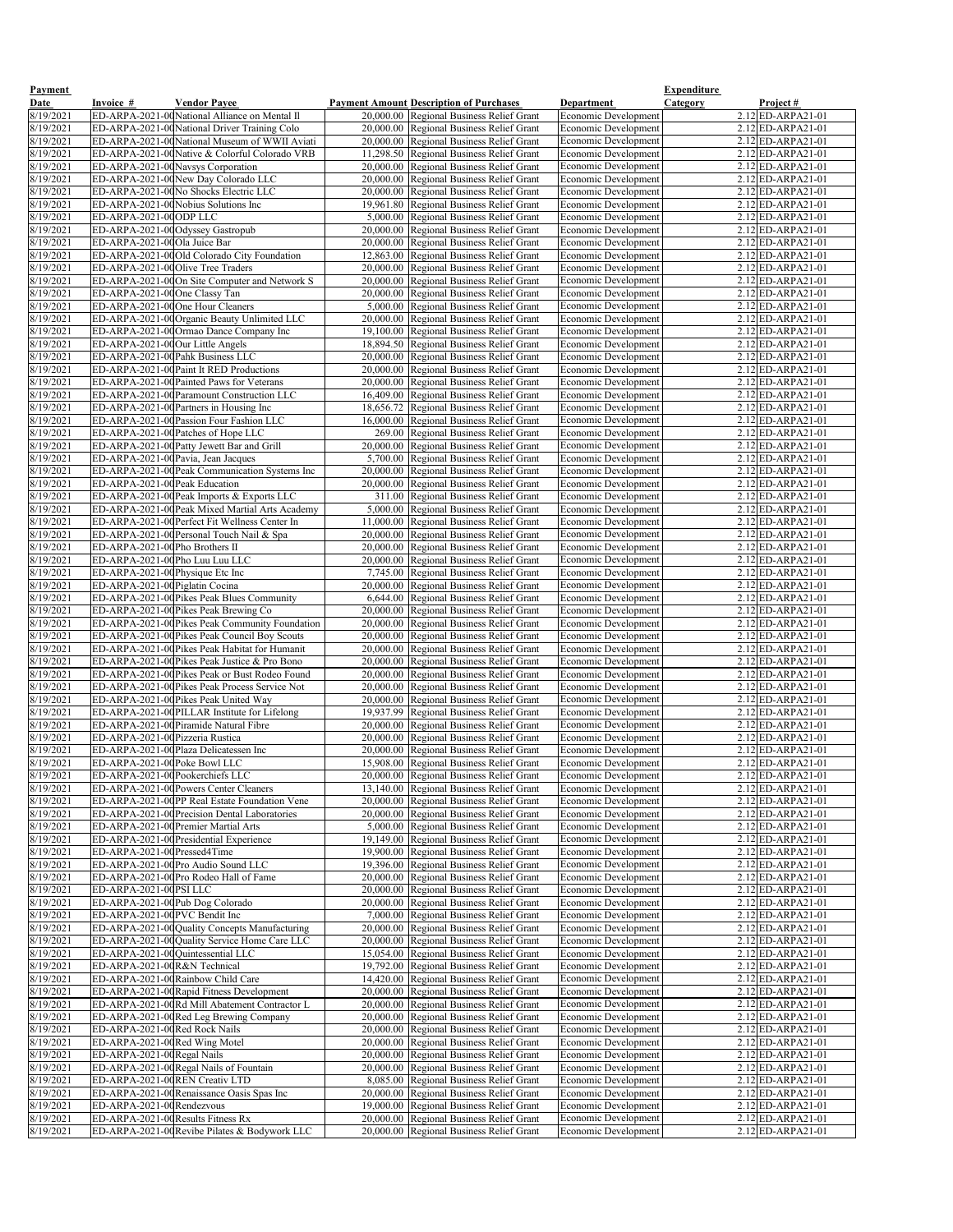| <b>Payment</b>         |                                                                     |                                                                                       |                                                                                      |                                                            | <b>Expenditure</b>                         |
|------------------------|---------------------------------------------------------------------|---------------------------------------------------------------------------------------|--------------------------------------------------------------------------------------|------------------------------------------------------------|--------------------------------------------|
| <b>Date</b>            | <b>Invoice</b> #                                                    | <b>Vendor Payee</b>                                                                   | <b>Payment Amount Description of Purchases</b>                                       | <b>Department</b>                                          | <b>Category</b><br><u>Project #</u>        |
| 8/19/2021              |                                                                     | ED-ARPA-2021-00 National Alliance on Mental Il                                        | 20,000.00 Regional Business Relief Grant                                             | Economic Development                                       | $2.12$ ED-ARPA21-01                        |
| 8/19/2021              |                                                                     | ED-ARPA-2021-00 National Driver Training Colo                                         | 20,000.00 Regional Business Relief Grant                                             | <b>Economic Development</b>                                | $2.12$ ED-ARPA21-01                        |
| 8/19/2021              |                                                                     | ED-ARPA-2021-00 National Museum of WWII Aviati                                        | 20,000.00 Regional Business Relief Grant                                             | <b>Economic Development</b>                                | $2.12$ ED-ARPA21-01                        |
| 8/19/2021              |                                                                     | ED-ARPA-2021-00 Native & Colorful Colorado VRB<br>ED-ARPA-2021-00Navsys Corporation   | 11,298.50 Regional Business Relief Grant                                             | <b>Economic Development</b><br>Economic Development        | $2.12$ ED-ARPA21-01<br>$2.12$ ED-ARPA21-01 |
| 8/19/2021<br>8/19/2021 |                                                                     | ED-ARPA-2021-00New Day Colorado LLC                                                   | 20,000.00 Regional Business Relief Grant<br>20,000.00 Regional Business Relief Grant | <b>Economic Development</b>                                | $2.12$ ED-ARPA21-01                        |
| 8/19/2021              |                                                                     | ED-ARPA-2021-00No Shocks Electric LLC                                                 | 20,000.00 Regional Business Relief Grant                                             | Economic Development                                       | $2.12$ ED-ARPA21-01                        |
| 8/19/2021              |                                                                     | ED-ARPA-2021-00 Nobius Solutions Inc                                                  | 19,961.80 Regional Business Relief Grant                                             | <b>Economic Development</b>                                | $2.12$ ED-ARPA21-01                        |
| 8/19/2021              | ED-ARPA-2021-00 ODP LLC                                             |                                                                                       | 5,000.00 Regional Business Relief Grant                                              | Economic Development                                       | $2.12$ ED-ARPA21-01                        |
| 8/19/2021              |                                                                     | ED-ARPA-2021-00 Odyssey Gastropub                                                     | 20,000.00 Regional Business Relief Grant                                             | Economic Development                                       | $2.12$ ED-ARPA21-01                        |
| 8/19/2021              | ED-ARPA-2021-00Ola Juice Bar                                        |                                                                                       | 20,000.00 Regional Business Relief Grant                                             | Economic Development                                       | $2.12$ ED-ARPA21-01                        |
| 8/19/2021              |                                                                     | ED-ARPA-2021-00 Old Colorado City Foundation                                          | 12,863.00 Regional Business Relief Grant                                             | <b>Economic Development</b>                                | $2.12$ ED-ARPA21-01                        |
| 8/19/2021              | ED-ARPA-2021-00 Olive Tree Traders                                  |                                                                                       | 20,000.00 Regional Business Relief Grant                                             | Economic Development                                       | $2.12$ ED-ARPA21-01                        |
| 8/19/2021              |                                                                     | ED-ARPA-2021-00On Site Computer and Network S                                         | 20,000.00 Regional Business Relief Grant                                             | <b>Economic Development</b>                                | $2.12$ ED-ARPA21-01                        |
| 8/19/2021              | ED-ARPA-2021-00 One Classy Tan                                      |                                                                                       | 20,000.00 Regional Business Relief Grant                                             | <b>Economic Development</b>                                | $2.12$ ED-ARPA21-01                        |
| 8/19/2021<br>8/19/2021 | ED-ARPA-2021-00 One Hour Cleaners                                   | ED-ARPA-2021-00 Organic Beauty Unlimited LLC                                          | 5,000.00 Regional Business Relief Grant<br>20,000.00 Regional Business Relief Grant  | Economic Development<br><b>Economic Development</b>        | $2.12$ ED-ARPA21-01<br>$2.12$ ED-ARPA21-01 |
| 8/19/2021              |                                                                     | ED-ARPA-2021-00 Ormao Dance Company Inc                                               | 19,100.00 Regional Business Relief Grant                                             | <b>Economic Development</b>                                | $2.12$ ED-ARPA21-01                        |
| 8/19/2021              | ED-ARPA-2021-00 Our Little Angels                                   |                                                                                       | 18,894.50 Regional Business Relief Grant                                             | <b>Economic Development</b>                                | $2.12$ ED-ARPA21-01                        |
| 8/19/2021              |                                                                     | ED-ARPA-2021-00 Pahk Business LLC                                                     | 20,000.00 Regional Business Relief Grant                                             | <b>Economic Development</b>                                | $2.12$ ED-ARPA21-01                        |
| 8/19/2021              |                                                                     | ED-ARPA-2021-00 Paint It RED Productions                                              | 20,000.00 Regional Business Relief Grant                                             | <b>Economic Development</b>                                | $2.12$ ED-ARPA21-01                        |
| 8/19/2021              |                                                                     | ED-ARPA-2021-00 Painted Paws for Veterans                                             | 20,000.00 Regional Business Relief Grant                                             | <b>Economic Development</b>                                | $2.12$ ED-ARPA21-01                        |
| 8/19/2021              |                                                                     | ED-ARPA-2021-00 Paramount Construction LLC                                            | 16,409.00 Regional Business Relief Grant                                             | <b>Economic Development</b>                                | $2.12$ ED-ARPA21-01                        |
| 8/19/2021              |                                                                     | ED-ARPA-2021-00 Partners in Housing Inc                                               | 18,656.72 Regional Business Relief Grant                                             | <b>Economic Development</b>                                | $2.12$ ED-ARPA21-01                        |
| 8/19/2021              |                                                                     | ED-ARPA-2021-00 Passion Four Fashion LLC                                              | 16,000.00 Regional Business Relief Grant                                             | <b>Economic Development</b>                                | $2.12$ ED-ARPA21-01                        |
| 8/19/2021<br>8/19/2021 |                                                                     | ED-ARPA-2021-00 Patches of Hope LLC<br>ED-ARPA-2021-00 Patty Jewett Bar and Grill     | 269.00 Regional Business Relief Grant<br>20,000.00 Regional Business Relief Grant    | <b>Economic Development</b><br><b>Economic Development</b> | 2.12 ED-ARPA21-01<br>$2.12$ ED-ARPA21-01   |
| 8/19/2021              |                                                                     | ED-ARPA-2021-00 Pavia, Jean Jacques                                                   | 5,700.00 Regional Business Relief Grant                                              | Economic Development                                       | 2.12 ED-ARPA21-01                          |
| 8/19/2021              |                                                                     | ED-ARPA-2021-00 Peak Communication Systems Inc                                        | 20,000.00 Regional Business Relief Grant                                             | Economic Development                                       | $2.12$ ED-ARPA21-01                        |
| 8/19/2021              | ED-ARPA-2021-00 Peak Education                                      |                                                                                       | 20,000.00 Regional Business Relief Grant                                             | <b>Economic Development</b>                                | $2.12$ ED-ARPA21-01                        |
| 8/19/2021              |                                                                     | ED-ARPA-2021-00 Peak Imports & Exports LLC                                            | 311.00 Regional Business Relief Grant                                                | Economic Development                                       | $2.12$ ED-ARPA21-01                        |
| 8/19/2021              |                                                                     | ED-ARPA-2021-00 Peak Mixed Martial Arts Academy                                       | 5,000.00 Regional Business Relief Grant                                              | Economic Development                                       | 2.12 ED-ARPA21-01                          |
| 8/19/2021              |                                                                     | ED-ARPA-2021-00 Perfect Fit Wellness Center In                                        | 11,000.00 Regional Business Relief Grant                                             | <b>Economic Development</b>                                | $2.12$ ED-ARPA21-01                        |
| 8/19/2021              |                                                                     | ED-ARPA-2021-00 Personal Touch Nail & Spa                                             | 20,000.00 Regional Business Relief Grant                                             | <b>Economic Development</b>                                | $2.12$ ED-ARPA21-01                        |
| 8/19/2021              | ED-ARPA-2021-00Pho Brothers II                                      |                                                                                       | 20,000.00 Regional Business Relief Grant                                             | <b>Economic Development</b>                                | $2.12$ ED-ARPA21-01                        |
| 8/19/2021              | ED-ARPA-2021-00Pho Luu Luu LLC                                      |                                                                                       | 20,000.00 Regional Business Relief Grant                                             | Economic Development                                       | $2.12$ ED-ARPA21-01<br>2.12 ED-ARPA21-01   |
| 8/19/2021<br>8/19/2021 | ED-ARPA-2021-00 Physique Etc Inc<br>ED-ARPA-2021-00 Piglatin Cocina |                                                                                       | 7,745.00 Regional Business Relief Grant<br>20,000.00 Regional Business Relief Grant  | <b>Economic Development</b><br><b>Economic Development</b> | 2.12 ED-ARPA21-01                          |
| 8/19/2021              |                                                                     | ED-ARPA-2021-00 Pikes Peak Blues Community                                            | 6,644.00 Regional Business Relief Grant                                              | Economic Development                                       | $2.12$ ED-ARPA21-01                        |
| 8/19/2021              |                                                                     | ED-ARPA-2021-00 Pikes Peak Brewing Co                                                 | 20,000.00 Regional Business Relief Grant                                             | <b>Economic Development</b>                                | $2.12$ ED-ARPA21-01                        |
| 8/19/2021              |                                                                     | ED-ARPA-2021-00 Pikes Peak Community Foundation                                       | 20,000.00 Regional Business Relief Grant                                             | <b>Economic Development</b>                                | $2.12$ ED-ARPA21-01                        |
| 8/19/2021              |                                                                     | ED-ARPA-2021-00 Pikes Peak Council Boy Scouts                                         | 20,000.00 Regional Business Relief Grant                                             | <b>Economic Development</b>                                | $2.12$ ED-ARPA21-01                        |
| 8/19/2021              |                                                                     | ED-ARPA-2021-00 Pikes Peak Habitat for Humanit                                        | 20,000.00 Regional Business Relief Grant                                             | <b>Economic Development</b>                                | $2.12$ ED-ARPA21-01                        |
| 8/19/2021              |                                                                     | ED-ARPA-2021-00 Pikes Peak Justice & Pro Bono                                         | 20,000.00 Regional Business Relief Grant                                             | <b>Economic Development</b>                                | $2.12$ ED-ARPA21-01                        |
| 8/19/2021              |                                                                     | ED-ARPA-2021-00 Pikes Peak or Bust Rodeo Found                                        | 20,000.00 Regional Business Relief Grant                                             | Economic Development                                       | 2.12 ED-ARPA21-01                          |
| 8/19/2021              |                                                                     | ED-ARPA-2021-00 Pikes Peak Process Service Not                                        | 20,000.00 Regional Business Relief Grant                                             | Economic Development                                       | $2.12$ ED-ARPA21-01                        |
| 8/19/2021<br>8/19/2021 |                                                                     | ED-ARPA-2021-00 Pikes Peak United Way<br>ED-ARPA-2021-00PILLAR Institute for Lifelong | 20,000.00 Regional Business Relief Grant<br>19,937.99 Regional Business Relief Grant | Economic Development<br>Economic Development               | 2.12 ED-ARPA21-01<br>$2.12$ ED-ARPA21-01   |
| 8/19/2021              |                                                                     | ED-ARPA-2021-00 Piramide Natural Fibre                                                | 20,000.00 Regional Business Relief Grant                                             | Economic Development                                       | $2.12$ ED-ARPA21-01                        |
| 8/19/2021              | ED-ARPA-2021-00 Pizzeria Rustica                                    |                                                                                       | 20,000.00 Regional Business Relief Grant                                             | Economic Development                                       | $2.12$ ED-ARPA21-01                        |
| 8/19/2021              |                                                                     | ED-ARPA-2021-00 Plaza Delicatessen Inc                                                | 20,000.00 Regional Business Relief Grant                                             | <b>Economic Development</b>                                | $2.12$ ED-ARPA21-01                        |
| 8/19/2021              | ED-ARPA-2021-00Poke Bowl LLC                                        |                                                                                       | 15,908.00 Regional Business Relief Grant                                             | <b>Economic Development</b>                                | $2.12$ ED-ARPA21-01                        |
| 8/19/2021              | ED-ARPA-2021-00 Pookerchiefs LLC                                    |                                                                                       | 20,000.00 Regional Business Relief Grant                                             | <b>Economic Development</b>                                | $2.12$ ED-ARPA21-01                        |
| 8/19/2021              |                                                                     | ED-ARPA-2021-00 Powers Center Cleaners                                                | 13,140.00 Regional Business Relief Grant                                             | Economic Development                                       | $2.12$ ED-ARPA21-01                        |
| 8/19/2021              |                                                                     | ED-ARPA-2021-00PP Real Estate Foundation Vene                                         | 20,000.00   Regional Business Relief Grant                                           | <b>Economic Development</b>                                | $2.12$ ED-ARPA21-01                        |
| 8/19/2021              |                                                                     | ED-ARPA-2021-00 Precision Dental Laboratories                                         | 20,000.00 Regional Business Relief Grant                                             | <b>Economic Development</b>                                | $2.12$ ED-ARPA21-01                        |
| 8/19/2021<br>8/19/2021 |                                                                     | ED-ARPA-2021-00 Premier Martial Arts<br>ED-ARPA-2021-00 Presidential Experience       | 5,000.00 Regional Business Relief Grant<br>19,149.00 Regional Business Relief Grant  | <b>Economic Development</b><br>Economic Development        | $2.12$ ED-ARPA21-01<br>2.12 ED-ARPA21-01   |
| 8/19/2021              | ED-ARPA-2021-00Pressed4Time                                         |                                                                                       | 19,900.00 Regional Business Relief Grant                                             | Economic Development                                       | 2.12 ED-ARPA21-01                          |
| 8/19/2021              |                                                                     | ED-ARPA-2021-00Pro Audio Sound LLC                                                    | 19,396.00 Regional Business Relief Grant                                             | <b>Economic Development</b>                                | $2.12$ ED-ARPA21-01                        |
| 8/19/2021              |                                                                     | ED-ARPA-2021-00 Pro Rodeo Hall of Fame                                                | 20,000.00 Regional Business Relief Grant                                             | <b>Economic Development</b>                                | $2.12$ ED-ARPA21-01                        |
| 8/19/2021              | ED-ARPA-2021-00PSI LLC                                              |                                                                                       | 20,000.00 Regional Business Relief Grant                                             | Economic Development                                       | $2.12$ ED-ARPA21-01                        |
| 8/19/2021              |                                                                     | ED-ARPA-2021-00 Pub Dog Colorado                                                      | 20,000.00 Regional Business Relief Grant                                             | <b>Economic Development</b>                                | $2.12$ ED-ARPA21-01                        |
| 8/19/2021              | ED-ARPA-2021-00PVC Bendit Inc                                       |                                                                                       | 7,000.00 Regional Business Relief Grant                                              | <b>Economic Development</b>                                | $2.12$ ED-ARPA21-01                        |
| 8/19/2021              |                                                                     | ED-ARPA-2021-00 Quality Concepts Manufacturing                                        | 20,000.00 Regional Business Relief Grant                                             | <b>Economic Development</b>                                | $2.12$ ED-ARPA21-01                        |
| 8/19/2021<br>8/19/2021 |                                                                     | ED-ARPA-2021-00 Quality Service Home Care LLC<br>ED-ARPA-2021-00Quintessential LLC    | 20,000.00 Regional Business Relief Grant<br>15,054.00 Regional Business Relief Grant | <b>Economic Development</b><br><b>Economic Development</b> | $2.12$ ED-ARPA21-01<br>$2.12$ ED-ARPA21-01 |
| 8/19/2021              | ED-ARPA-2021-00R&N Technical                                        |                                                                                       | 19,792.00 Regional Business Relief Grant                                             | <b>Economic Development</b>                                | $2.12$ ED-ARPA21-01                        |
| 8/19/2021              |                                                                     | ED-ARPA-2021-00 Rainbow Child Care                                                    | 14,420.00 Regional Business Relief Grant                                             | <b>Economic Development</b>                                | $2.12$ ED-ARPA21-01                        |
| 8/19/2021              |                                                                     | ED-ARPA-2021-00 Rapid Fitness Development                                             | 20,000.00 Regional Business Relief Grant                                             | <b>Economic Development</b>                                | $2.12$ ED-ARPA21-01                        |
| 8/19/2021              |                                                                     | ED-ARPA-2021-00Rd Mill Abatement Contractor L                                         | 20,000.00 Regional Business Relief Grant                                             | <b>Economic Development</b>                                | $2.12$ ED-ARPA21-01                        |
| 8/19/2021              |                                                                     | ED-ARPA-2021-00Red Leg Brewing Company                                                | 20,000.00 Regional Business Relief Grant                                             | <b>Economic Development</b>                                | $2.12$ ED-ARPA21-01                        |
| 8/19/2021              | ED-ARPA-2021-00Red Rock Nails                                       |                                                                                       | 20,000.00 Regional Business Relief Grant                                             | <b>Economic Development</b>                                | $2.12$ ED-ARPA21-01                        |
| 8/19/2021              | ED-ARPA-2021-00Red Wing Motel                                       |                                                                                       | 20,000.00 Regional Business Relief Grant                                             | <b>Economic Development</b>                                | $2.12$ ED-ARPA21-01                        |
| 8/19/2021              | ED-ARPA-2021-00 Regal Nails                                         |                                                                                       | 20,000.00 Regional Business Relief Grant                                             | <b>Economic Development</b>                                | $2.12$ ED-ARPA21-01                        |
| 8/19/2021              | ED-ARPA-2021-00REN Creativ LTD                                      | ED-ARPA-2021-00Regal Nails of Fountain                                                | 20,000.00 Regional Business Relief Grant<br>8,085.00 Regional Business Relief Grant  | <b>Economic Development</b><br><b>Economic Development</b> | $2.12$ ED-ARPA21-01<br>$2.12$ ED-ARPA21-01 |
| 8/19/2021<br>8/19/2021 |                                                                     | ED-ARPA-2021-00Renaissance Oasis Spas Inc                                             | 20,000.00 Regional Business Relief Grant                                             | <b>Economic Development</b>                                | $2.12$ ED-ARPA21-01                        |
| 8/19/2021              | ED-ARPA-2021-00Rendezvous                                           |                                                                                       | 19,000.00 Regional Business Relief Grant                                             | <b>Economic Development</b>                                | $2.12$ ED-ARPA21-01                        |
| 8/19/2021              | ED-ARPA-2021-00 Results Fitness Rx                                  |                                                                                       | 20,000.00 Regional Business Relief Grant                                             | <b>Economic Development</b>                                | $2.12$ ED-ARPA21-01                        |
| 8/19/2021              |                                                                     | ED-ARPA-2021-00 Revibe Pilates & Bodywork LLC                                         | 20,000.00 Regional Business Relief Grant                                             | Economic Development                                       | $2.12$ ED-ARPA21-01                        |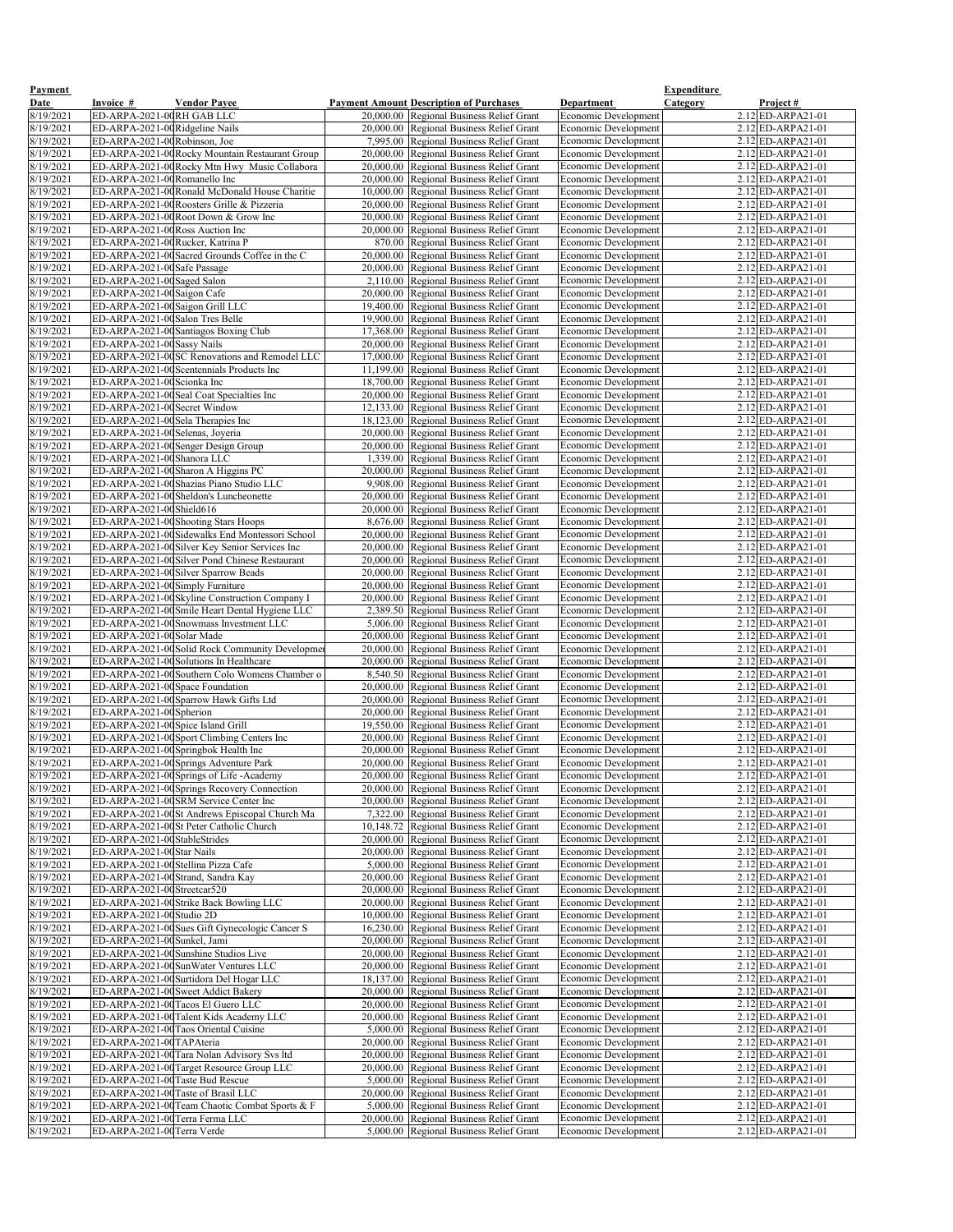| <b>Payment</b>         |                                                                      |                                                                                                 |                                                                                      |                                                            | <b>Expenditure</b>                                |
|------------------------|----------------------------------------------------------------------|-------------------------------------------------------------------------------------------------|--------------------------------------------------------------------------------------|------------------------------------------------------------|---------------------------------------------------|
| <b>Date</b>            | Invoice #                                                            | <b>Vendor Payee</b>                                                                             | <b>Payment Amount Description of Purchases</b>                                       | Department                                                 | <b>Category</b><br>Project#                       |
| 8/19/2021              | ED-ARPA-2021-00RH GAB LLC                                            |                                                                                                 | 20,000.00 Regional Business Relief Grant                                             | Economic Development                                       | 2.12 ED-ARPA21-01                                 |
| 8/19/2021              | ED-ARPA-2021-00Ridgeline Nails                                       |                                                                                                 | 20,000.00 Regional Business Relief Grant                                             | <b>Economic Development</b>                                | $2.12$ ED-ARPA21-01                               |
| 8/19/2021              | ED-ARPA-2021-00 Robinson, Joe                                        |                                                                                                 | 7,995.00 Regional Business Relief Grant                                              | Economic Development                                       | $2.12$ ED-ARPA21-01                               |
| 8/19/2021              |                                                                      | ED-ARPA-2021-00 Rocky Mountain Restaurant Group                                                 | 20,000.00 Regional Business Relief Grant                                             | <b>Economic Development</b>                                | $2.12$ ED-ARPA21-01                               |
| 8/19/2021<br>8/19/2021 | ED-ARPA-2021-00Romanello Inc                                         | ED-ARPA-2021-00 Rocky Mtn Hwy Music Collabora                                                   | 20,000.00 Regional Business Relief Grant<br>20,000.00 Regional Business Relief Grant | <b>Economic Development</b><br><b>Economic Development</b> | $2.12$ ED-ARPA21-01<br>$2.12$ ED-ARPA21-01        |
| 8/19/2021              |                                                                      | ED-ARPA-2021-00Ronald McDonald House Charitie                                                   | 10,000.00 Regional Business Relief Grant                                             | Economic Development                                       | $2.12$ ED-ARPA21-01                               |
| 8/19/2021              |                                                                      | ED-ARPA-2021-00 Roosters Grille & Pizzeria                                                      | 20,000.00 Regional Business Relief Grant                                             | <b>Economic Development</b>                                | $2.12$ ED-ARPA21-01                               |
| 8/19/2021              |                                                                      | ED-ARPA-2021-00 Root Down & Grow Inc                                                            | 20,000.00 Regional Business Relief Grant                                             | Economic Development                                       | $2.12$ ED-ARPA21-01                               |
| 8/19/2021              | ED-ARPA-2021-00 Ross Auction Inc                                     |                                                                                                 | 20,000.00 Regional Business Relief Grant                                             | Economic Development                                       | $2.12$ ED-ARPA21-01                               |
| 8/19/2021              | ED-ARPA-2021-00Rucker, Katrina P                                     |                                                                                                 | 870.00 Regional Business Relief Grant                                                | <b>Economic Development</b>                                | $2.12$ ED-ARPA21-01                               |
| 8/19/2021              |                                                                      | ED-ARPA-2021-00 Sacred Grounds Coffee in the C                                                  | 20,000.00 Regional Business Relief Grant                                             | Economic Development                                       | $2.12$ ED-ARPA21-01                               |
| 8/19/2021              | ED-ARPA-2021-00 Safe Passage                                         |                                                                                                 | 20,000.00 Regional Business Relief Grant                                             | Economic Development                                       | $2.12$ ED-ARPA21-01                               |
| 8/19/2021              | ED-ARPA-2021-00Saged Salon                                           |                                                                                                 | 2,110.00 Regional Business Relief Grant                                              | Economic Development                                       | $2.12$ ED-ARPA21-01                               |
| 8/19/2021              | ED-ARPA-2021-00 Saigon Cafe                                          |                                                                                                 | 20,000.00 Regional Business Relief Grant                                             | Economic Development                                       | $2.12$ ED-ARPA21-01                               |
| 8/19/2021<br>8/19/2021 | ED-ARPA-2021-00 Saigon Grill LLC<br>ED-ARPA-2021-00 Salon Tres Belle |                                                                                                 | 19,400.00 Regional Business Relief Grant<br>19,900.00 Regional Business Relief Grant | <b>Economic Development</b><br><b>Economic Development</b> | $2.12$ ED-ARPA21-01<br>$2.12$ ED-ARPA21-01        |
| 8/19/2021              |                                                                      | ED-ARPA-2021-00 Santiagos Boxing Club                                                           | 17,368.00 Regional Business Relief Grant                                             | <b>Economic Development</b>                                | $2.12$ ED-ARPA21-01                               |
| 8/19/2021              | ED-ARPA-2021-00 Sassy Nails                                          |                                                                                                 | 20,000.00 Regional Business Relief Grant                                             | <b>Economic Development</b>                                | $2.12$ ED-ARPA21-01                               |
| 8/19/2021              |                                                                      | ED-ARPA-2021-00SC Renovations and Remodel LLC                                                   | 17,000.00 Regional Business Relief Grant                                             | <b>Economic Development</b>                                | $2.12$ ED-ARPA21-01                               |
| 8/19/2021              |                                                                      | ED-ARPA-2021-00 Scentennials Products Inc                                                       | 11,199.00 Regional Business Relief Grant                                             | <b>Economic Development</b>                                | 2.12 ED-ARPA21-01                                 |
| 8/19/2021              | ED-ARPA-2021-00 Scionka Inc                                          |                                                                                                 | 18,700.00 Regional Business Relief Grant                                             | <b>Economic Development</b>                                | $2.12$ ED-ARPA21-01                               |
| 8/19/2021              |                                                                      | ED-ARPA-2021-00Seal Coat Specialties Inc                                                        | 20,000.00 Regional Business Relief Grant                                             | <b>Economic Development</b>                                | $2.12$ ED-ARPA21-01                               |
| 8/19/2021              | ED-ARPA-2021-00 Secret Window                                        |                                                                                                 | 12,133.00 Regional Business Relief Grant                                             | <b>Economic Development</b>                                | $2.12$ ED-ARPA21-01                               |
| 8/19/2021              | ED-ARPA-2021-00Sela Therapies Inc<br>ED-ARPA-2021-00Selenas, Joyeria |                                                                                                 | 18,123.00 Regional Business Relief Grant                                             | <b>Economic Development</b><br><b>Economic Development</b> | $2.12$ ED-ARPA21-01<br>$2.12$ ED-ARPA21-01        |
| 8/19/2021<br>8/19/2021 |                                                                      | ED-ARPA-2021-00 Senger Design Group                                                             | 20,000.00 Regional Business Relief Grant<br>20,000.00 Regional Business Relief Grant | <b>Economic Development</b>                                | $2.12$ ED-ARPA21-01                               |
| 8/19/2021              | ED-ARPA-2021-00 Shanora LLC                                          |                                                                                                 | 1,339.00 Regional Business Relief Grant                                              | Economic Development                                       | $2.12$ ED-ARPA21-01                               |
| 8/19/2021              |                                                                      | ED-ARPA-2021-00 Sharon A Higgins PC                                                             | 20,000.00 Regional Business Relief Grant                                             | <b>Economic Development</b>                                | 2.12 ED-ARPA21-01                                 |
| 8/19/2021              |                                                                      | ED-ARPA-2021-00 Shazias Piano Studio LLC                                                        | 9,908.00 Regional Business Relief Grant                                              | Economic Development                                       | $2.12$ ED-ARPA21-01                               |
| 8/19/2021              |                                                                      | ED-ARPA-2021-00 Sheldon's Luncheonette                                                          | 20,000.00 Regional Business Relief Grant                                             | Economic Development                                       | $2.12$ ED-ARPA21-01                               |
| 8/19/2021              | ED-ARPA-2021-00 Shield616                                            |                                                                                                 | 20,000.00 Regional Business Relief Grant                                             | Economic Development                                       | $2.12$ ED-ARPA21-01                               |
| 8/19/2021              |                                                                      | ED-ARPA-2021-00 Shooting Stars Hoops                                                            | 8,676.00 Regional Business Relief Grant                                              | <b>Economic Development</b>                                | $2.12$ ED-ARPA21-01                               |
| 8/19/2021              |                                                                      | ED-ARPA-2021-00Sidewalks End Montessori School                                                  | 20,000.00 Regional Business Relief Grant                                             | <b>Economic Development</b>                                | $2.12$ ED-ARPA21-01                               |
| 8/19/2021<br>8/19/2021 |                                                                      | ED-ARPA-2021-00 Silver Key Senior Services Inc<br>ED-ARPA-2021-00Silver Pond Chinese Restaurant | 20,000.00 Regional Business Relief Grant<br>20,000.00 Regional Business Relief Grant | <b>Economic Development</b><br><b>Economic Development</b> | $2.12$ ED-ARPA21-01<br>$2.12$ ED-ARPA21-01        |
| 8/19/2021              |                                                                      | ED-ARPA-2021-00Silver Sparrow Beads                                                             | 20,000.00 Regional Business Relief Grant                                             | <b>Economic Development</b>                                | $2.12$ ED-ARPA21-01                               |
| 8/19/2021              | ED-ARPA-2021-00 Simply Furniture                                     |                                                                                                 | 20,000.00 Regional Business Relief Grant                                             | <b>Economic Development</b>                                | 2.12 ED-ARPA21-01                                 |
| 8/19/2021              |                                                                      | ED-ARPA-2021-00Skyline Construction Company I                                                   | 20,000.00 Regional Business Relief Grant                                             | Economic Development                                       | $2.12$ ED-ARPA21-01                               |
| 8/19/2021              |                                                                      | ED-ARPA-2021-00 Smile Heart Dental Hygiene LLC                                                  | 2,389.50 Regional Business Relief Grant                                              | <b>Economic Development</b>                                | 2.12 ED-ARPA21-01                                 |
| 8/19/2021              |                                                                      | ED-ARPA-2021-00 Snowmass Investment LLC                                                         | 5,006.00 Regional Business Relief Grant                                              | <b>Economic Development</b>                                | $2.12$ ED-ARPA21-01                               |
| 8/19/2021              | ED-ARPA-2021-00 Solar Made                                           |                                                                                                 | 20,000.00 Regional Business Relief Grant                                             | <b>Economic Development</b>                                | $2.12$ ED-ARPA21-01                               |
| 8/19/2021              |                                                                      | ED-ARPA-2021-00 Solid Rock Community Developmer                                                 | 20,000.00 Regional Business Relief Grant                                             | Economic Development                                       | $2.12$ ED-ARPA21-01                               |
| 8/19/2021              |                                                                      | ED-ARPA-2021-00 Solutions In Healthcare                                                         | 20,000.00 Regional Business Relief Grant                                             | <b>Economic Development</b>                                | $2.12$ ED-ARPA21-01                               |
| 8/19/2021<br>8/19/2021 | ED-ARPA-2021-00Space Foundation                                      | ED-ARPA-2021-00 Southern Colo Womens Chamber o                                                  | 8,540.50 Regional Business Relief Grant<br>20,000.00 Regional Business Relief Grant  | Economic Development<br><b>Economic Development</b>        | $2.12$ ED-ARPA21-01<br>$2.12$ ED-ARPA21-01        |
| 8/19/2021              |                                                                      | ED-ARPA-2021-00 Sparrow Hawk Gifts Ltd                                                          | 20,000.00 Regional Business Relief Grant                                             | Economic Development                                       | 2.12 ED-ARPA21-01                                 |
| 8/19/2021              | ED-ARPA-2021-00 Spherion                                             |                                                                                                 | 20,000.00 Regional Business Relief Grant                                             | Economic Development                                       | $2.12$ ED-ARPA21-01                               |
| 8/19/2021              | ED-ARPA-2021-00 Spice Island Grill                                   |                                                                                                 | 19,550.00 Regional Business Relief Grant                                             | Economic Development                                       | $2.12$ ED-ARPA21-01                               |
| 8/19/2021              |                                                                      | ED-ARPA-2021-00 Sport Climbing Centers Inc                                                      | 20,000.00 Regional Business Relief Grant                                             | Economic Development                                       | $2.12$ ED-ARPA21-01                               |
| 8/19/2021              |                                                                      | ED-ARPA-2021-00 Springbok Health Inc                                                            | 20,000.00 Regional Business Relief Grant                                             | Economic Development                                       | $2.12$ ED-ARPA21-01                               |
| 8/19/2021              |                                                                      | ED-ARPA-2021-00 Springs Adventure Park                                                          | 20,000.00 Regional Business Relief Grant                                             | <b>Economic Development</b>                                | $2.12$ ED-ARPA21-01                               |
| 8/19/2021              |                                                                      | ED-ARPA-2021-00 Springs of Life - Academy                                                       | 20,000.00 Regional Business Relief Grant                                             | <b>Economic Development</b>                                | $2.12$ ED-ARPA21-01<br>$2.12$ ED-ARPA21-01        |
| 8/19/2021<br>8/19/2021 |                                                                      | ED-ARPA-2021-00 Springs Recovery Connection<br>ED-ARPA-2021-00SRM Service Center Inc            | 20,000.00 Regional Business Relief Grant                                             | <b>Economic Development</b><br><b>Economic Development</b> | $2.12$ ED-ARPA21-01                               |
| 8/19/2021              |                                                                      | ED-ARPA-2021-00St Andrews Episcopal Church Ma                                                   | 20,000.00 Regional Business Relief Grant<br>7,322.00 Regional Business Relief Grant  | Economic Development                                       | $2.12$ ED-ARPA21-01                               |
| 8/19/2021              |                                                                      | ED-ARPA-2021-00St Peter Catholic Church                                                         | 10,148.72 Regional Business Relief Grant                                             | <b>Economic Development</b>                                | $2.12$ ED-ARPA21-01                               |
| 8/19/2021              | ED-ARPA-2021-00 StableStrides                                        |                                                                                                 | 20,000.00 Regional Business Relief Grant                                             | Economic Development                                       | $2.12$ ED-ARPA21-01                               |
| 8/19/2021              | ED-ARPA-2021-00 Star Nails                                           |                                                                                                 | 20,000.00 Regional Business Relief Grant                                             | Economic Development                                       | 2.12 ED-ARPA21-01                                 |
| 8/19/2021              | ED-ARPA-2021-00 Stellina Pizza Cafe                                  |                                                                                                 | 5,000.00 Regional Business Relief Grant                                              | <b>Economic Development</b>                                | $2.12$ ED-ARPA21-01                               |
| 8/19/2021              |                                                                      | ED-ARPA-2021-00 Strand, Sandra Kay                                                              | 20,000.00 Regional Business Relief Grant                                             | <b>Economic Development</b>                                | $2.12$ ED-ARPA21-01                               |
| 8/19/2021              | ED-ARPA-2021-00Streetcar520                                          |                                                                                                 | 20,000.00 Regional Business Relief Grant                                             | <b>Economic Development</b>                                | $2.12$ ED-ARPA21-01                               |
| 8/19/2021              | ED-ARPA-2021-00 Studio 2D                                            | ED-ARPA-2021-00 Strike Back Bowling LLC                                                         | 20,000.00 Regional Business Relief Grant<br>10,000.00 Regional Business Relief Grant | <b>Economic Development</b><br><b>Economic Development</b> | $2.12$ ED-ARPA21-01<br>$2.12$ ED-ARPA21-01        |
| 8/19/2021<br>8/19/2021 |                                                                      | ED-ARPA-2021-00 Sues Gift Gynecologic Cancer S                                                  | 16,230.00 Regional Business Relief Grant                                             | <b>Economic Development</b>                                | $2.12$ ED-ARPA21-01                               |
| 8/19/2021              | ED-ARPA-2021-00 Sunkel, Jami                                         |                                                                                                 | 20,000.00 Regional Business Relief Grant                                             | <b>Economic Development</b>                                | $2.12$ ED-ARPA21-01                               |
| 8/19/2021              |                                                                      | ED-ARPA-2021-00 Sunshine Studios Live                                                           | 20,000.00 Regional Business Relief Grant                                             | <b>Economic Development</b>                                | $2.12$ ED-ARPA21-01                               |
| 8/19/2021              |                                                                      | ED-ARPA-2021-00 Sun Water Ventures LLC                                                          | 20,000.00 Regional Business Relief Grant                                             | <b>Economic Development</b>                                | $2.12$ ED-ARPA21-01                               |
| 8/19/2021              |                                                                      | ED-ARPA-2021-00 Surtidora Del Hogar LLC                                                         | 18,137.00 Regional Business Relief Grant                                             | <b>Economic Development</b>                                | $2.12$ ED-ARPA21-01                               |
| 8/19/2021              |                                                                      | ED-ARPA-2021-00 Sweet Addict Bakery                                                             | 20,000.00 Regional Business Relief Grant                                             | <b>Economic Development</b>                                | $2.12$ ED-ARPA21-01                               |
| 8/19/2021              |                                                                      | ED-ARPA-2021-00 Tacos El Guero LLC                                                              | 20,000.00 Regional Business Relief Grant                                             | <b>Economic Development</b>                                | $2.12$ ED-ARPA21-01                               |
| 8/19/2021<br>8/19/2021 |                                                                      | ED-ARPA-2021-00 Talent Kids Academy LLC<br>ED-ARPA-2021-00 Taos Oriental Cuisine                | 20,000.00 Regional Business Relief Grant                                             | <b>Economic Development</b>                                | $2.12$ <b>ED-ARPA21-01</b><br>$2.12$ ED-ARPA21-01 |
| 8/19/2021              | ED-ARPA-2021-00TAPAteria                                             |                                                                                                 | 5,000.00 Regional Business Relief Grant<br>20,000.00 Regional Business Relief Grant  | <b>Economic Development</b><br><b>Economic Development</b> | 2.12 ED-ARPA21-01                                 |
| 8/19/2021              |                                                                      | ED-ARPA-2021-00 Tara Nolan Advisory Svs ltd                                                     | 20,000.00 Regional Business Relief Grant                                             | <b>Economic Development</b>                                | $2.12$ ED-ARPA21-01                               |
| 8/19/2021              |                                                                      | ED-ARPA-2021-00 Target Resource Group LLC                                                       | 20,000.00 Regional Business Relief Grant                                             | <b>Economic Development</b>                                | 2.12 ED-ARPA21-01                                 |
| 8/19/2021              | ED-ARPA-2021-00 Taste Bud Rescue                                     |                                                                                                 | 5,000.00 Regional Business Relief Grant                                              | <b>Economic Development</b>                                | $2.12$ ED-ARPA21-01                               |
| 8/19/2021              |                                                                      | ED-ARPA-2021-00 Taste of Brasil LLC                                                             | 20,000.00 Regional Business Relief Grant                                             | <b>Economic Development</b>                                | $2.12$ ED-ARPA21-01                               |
| 8/19/2021              |                                                                      | ED-ARPA-2021-00 Team Chaotic Combat Sports & F                                                  | 5,000.00 Regional Business Relief Grant                                              | <b>Economic Development</b>                                | $2.12$ ED-ARPA21-01                               |
| 8/19/2021              | ED-ARPA-2021-00 Terra Ferma LLC                                      |                                                                                                 | 20,000.00 Regional Business Relief Grant                                             | <b>Economic Development</b>                                | $2.12$ ED-ARPA21-01                               |
| 8/19/2021              | ED-ARPA-2021-00Terra Verde                                           |                                                                                                 | 5,000.00 Regional Business Relief Grant                                              | <b>Economic Development</b>                                | $2.12$ ED-ARPA21-01                               |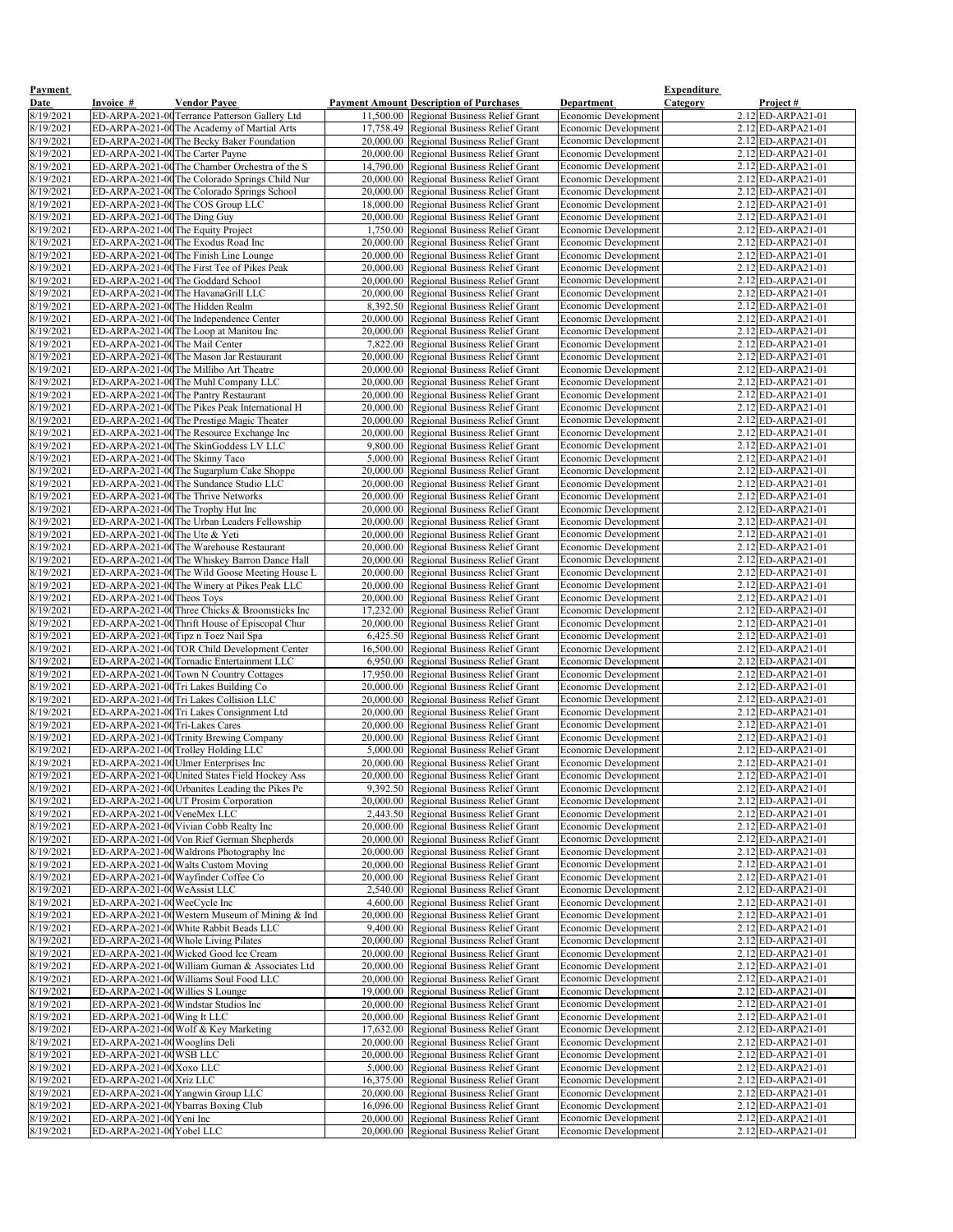| <b>Payment</b>         |                                    |                                                                                                |                                                                                                  |                                                            | <b>Expenditure</b>                         |
|------------------------|------------------------------------|------------------------------------------------------------------------------------------------|--------------------------------------------------------------------------------------------------|------------------------------------------------------------|--------------------------------------------|
| <b>Date</b>            | <b>Invoice</b> #                   | <b>Vendor Payee</b>                                                                            | <b>Payment Amount Description of Purchases</b>                                                   | <b>Department</b>                                          | <b>Category</b><br><u>Project #</u>        |
| 8/19/2021              |                                    | ED-ARPA-2021-00 Terrance Patterson Gallery Ltd                                                 | 11,500.00 Regional Business Relief Grant                                                         | Economic Development                                       | $2.12$ ED-ARPA21-01                        |
| 8/19/2021              |                                    | ED-ARPA-2021-00 The Academy of Martial Arts                                                    | 17,758.49 Regional Business Relief Grant                                                         | <b>Economic Development</b>                                | $2.12$ ED-ARPA21-01                        |
| 8/19/2021              |                                    | ED-ARPA-2021-00 The Becky Baker Foundation                                                     | 20,000.00 Regional Business Relief Grant                                                         | <b>Economic Development</b>                                | $2.12$ ED-ARPA21-01                        |
| 8/19/2021              | ED-ARPA-2021-00 The Carter Payne   | ED-ARPA-2021-00 The Chamber Orchestra of the S                                                 | 20,000.00 Regional Business Relief Grant                                                         | <b>Economic Development</b>                                | $2.12$ ED-ARPA21-01<br>$2.12$ ED-ARPA21-01 |
| 8/19/2021<br>8/19/2021 |                                    | ED-ARPA-2021-00 The Colorado Springs Child Nur                                                 | 14,790.00 Regional Business Relief Grant<br>20,000.00 Regional Business Relief Grant             | <b>Economic Development</b><br><b>Economic Development</b> | $2.12$ ED-ARPA21-01                        |
| 8/19/2021              |                                    | ED-ARPA-2021-00 The Colorado Springs School                                                    | 20,000.00 Regional Business Relief Grant                                                         | Economic Development                                       | $2.12$ ED-ARPA21-01                        |
| 8/19/2021              |                                    | ED-ARPA-2021-00 The COS Group LLC                                                              | 18,000.00 Regional Business Relief Grant                                                         | Economic Development                                       | $2.12$ ED-ARPA21-01                        |
| 8/19/2021              | ED-ARPA-2021-00 The Ding Guy       |                                                                                                | 20,000.00 Regional Business Relief Grant                                                         | Economic Development                                       | $2.12$ ED-ARPA21-01                        |
| 8/19/2021              | ED-ARPA-2021-00 The Equity Project |                                                                                                | 1,750.00 Regional Business Relief Grant                                                          | <b>Economic Development</b>                                | $2.12$ ED-ARPA21-01                        |
| 8/19/2021              |                                    | ED-ARPA-2021-00 The Exodus Road Inc                                                            | 20,000.00 Regional Business Relief Grant                                                         | Economic Development                                       | $2.12$ ED-ARPA21-01                        |
| 8/19/2021              |                                    | ED-ARPA-2021-00 The Finish Line Lounge                                                         | 20,000.00 Regional Business Relief Grant                                                         | Economic Development                                       | $2.12$ ED-ARPA21-01                        |
| 8/19/2021              |                                    | ED-ARPA-2021-00 The First Tee of Pikes Peak                                                    | 20,000.00 Regional Business Relief Grant                                                         | Economic Development                                       | $2.12$ ED-ARPA21-01                        |
| 8/19/2021              |                                    | ED-ARPA-2021-00 The Goddard School                                                             | 20,000.00 Regional Business Relief Grant                                                         | <b>Economic Development</b>                                | $2.12$ ED-ARPA21-01                        |
| 8/19/2021              | ED-ARPA-2021-00 The Hidden Realm   | ED-ARPA-2021-00 The HavanaGrill LLC                                                            | $\overline{20,000.00}$ Regional Business Relief Grant<br>8,392.50 Regional Business Relief Grant | Economic Development                                       | $2.12$ ED-ARPA21-01<br>$2.12$ ED-ARPA21-01 |
| 8/19/2021<br>8/19/2021 |                                    | ED-ARPA-2021-00 The Independence Center                                                        | 20,000.00 Regional Business Relief Grant                                                         | Economic Development<br>Economic Development               | $2.12$ ED-ARPA21-01                        |
| 8/19/2021              |                                    | ED-ARPA-2021-00 The Loop at Manitou Inc                                                        | 20,000.00 Regional Business Relief Grant                                                         | Economic Development                                       | $2.12$ ED-ARPA21-01                        |
| 8/19/2021              | ED-ARPA-2021-00 The Mail Center    |                                                                                                | 7,822.00 Regional Business Relief Grant                                                          | <b>Economic Development</b>                                | $2.12$ ED-ARPA21-01                        |
| 8/19/2021              |                                    | ED-ARPA-2021-00 The Mason Jar Restaurant                                                       | 20,000.00 Regional Business Relief Grant                                                         | <b>Economic Development</b>                                | $2.12$ ED-ARPA21-01                        |
| 8/19/2021              |                                    | ED-ARPA-2021-00 The Millibo Art Theatre                                                        | 20,000.00 Regional Business Relief Grant                                                         | Economic Development                                       | $2.12$ ED-ARPA21-01                        |
| 8/19/2021              |                                    | ED-ARPA-2021-00 The Muhl Company LLC                                                           | 20,000.00 Regional Business Relief Grant                                                         | <b>Economic Development</b>                                | $2.12$ ED-ARPA21-01                        |
| 8/19/2021              |                                    | ED-ARPA-2021-00 The Pantry Restaurant                                                          | 20,000.00 Regional Business Relief Grant                                                         | <b>Economic Development</b>                                | $2.12$ ED-ARPA21-01                        |
| 8/19/2021              |                                    | ED-ARPA-2021-00 The Pikes Peak International H                                                 | 20,000.00 Regional Business Relief Grant                                                         | Economic Development                                       | $2.12$ ED-ARPA21-01                        |
| 8/19/2021              |                                    | ED-ARPA-2021-00 The Prestige Magic Theater                                                     | 20,000.00 Regional Business Relief Grant                                                         | <b>Economic Development</b>                                | $2.12$ ED-ARPA21-01                        |
| 8/19/2021<br>8/19/2021 |                                    | ED-ARPA-2021-00 The Resource Exchange Inc<br>ED-ARPA-2021-00 The SkinGoddess LV LLC            | 20,000.00 Regional Business Relief Grant<br>9,800.00 Regional Business Relief Grant              | <b>Economic Development</b><br><b>Economic Development</b> | $2.12$ ED-ARPA21-01<br>$2.12$ ED-ARPA21-01 |
| 8/19/2021              | ED-ARPA-2021-00 The Skinny Taco    |                                                                                                | 5,000.00 Regional Business Relief Grant                                                          | Economic Development                                       | $2.12$ ED-ARPA21-01                        |
| 8/19/2021              |                                    | ED-ARPA-2021-00 The Sugarplum Cake Shoppe                                                      | 20,000.00 Regional Business Relief Grant                                                         | Economic Development                                       | $2.12$ ED-ARPA21-01                        |
| 8/19/2021              |                                    | ED-ARPA-2021-00 The Sundance Studio LLC                                                        | 20,000.00 Regional Business Relief Grant                                                         | <b>Economic Development</b>                                | $2.12$ ED-ARPA21-01                        |
| 8/19/2021              |                                    | ED-ARPA-2021-00 The Thrive Networks                                                            | 20,000.00 Regional Business Relief Grant                                                         | Economic Development                                       | $2.12$ ED-ARPA21-01                        |
| 8/19/2021              |                                    | ED-ARPA-2021-00 The Trophy Hut Inc                                                             | 20,000.00 Regional Business Relief Grant                                                         | <b>Economic Development</b>                                | $2.12$ ED-ARPA21-01                        |
| 8/19/2021              |                                    | ED-ARPA-2021-00 The Urban Leaders Fellowship                                                   | 20,000.00 Regional Business Relief Grant                                                         | <b>Economic Development</b>                                | $2.12$ ED-ARPA21-01                        |
| 8/19/2021              | ED-ARPA-2021-00 The Ute & Yeti     |                                                                                                | 20,000.00 Regional Business Relief Grant                                                         | <b>Economic Development</b>                                | $2.12$ ED-ARPA21-01                        |
| 8/19/2021              |                                    | ED-ARPA-2021-00 The Warehouse Restaurant                                                       | 20,000.00 Regional Business Relief Grant                                                         | <b>Economic Development</b>                                | $2.12$ ED-ARPA21-01                        |
| 8/19/2021              |                                    | ED-ARPA-2021-00 The Whiskey Barron Dance Hall                                                  | 20,000.00 Regional Business Relief Grant                                                         | <b>Economic Development</b>                                | $2.12$ ED-ARPA21-01<br>2.12 ED-ARPA21-01   |
| 8/19/2021<br>8/19/2021 |                                    | ED-ARPA-2021-00 The Wild Goose Meeting House L<br>ED-ARPA-2021-00 The Winery at Pikes Peak LLC | 20,000.00 Regional Business Relief Grant<br>20,000.00 Regional Business Relief Grant             | <b>Economic Development</b><br><b>Economic Development</b> | $2.12$ ED-ARPA21-01                        |
| 8/19/2021              | ED-ARPA-2021-00 Theos Toys         |                                                                                                | 20,000.00 Regional Business Relief Grant                                                         | Economic Development                                       | $2.12$ ED-ARPA21-01                        |
| 8/19/2021              |                                    | ED-ARPA-2021-00 Three Chicks & Broomsticks Inc                                                 | 17,232.00 Regional Business Relief Grant                                                         | <b>Economic Development</b>                                | $2.12$ ED-ARPA21-01                        |
| 8/19/2021              |                                    | ED-ARPA-2021-00 Thrift House of Episcopal Chur                                                 | 20,000.00 Regional Business Relief Grant                                                         | <b>Economic Development</b>                                | $2.12$ ED-ARPA21-01                        |
| 8/19/2021              |                                    | ED-ARPA-2021-00Tipz n Toez Nail Spa                                                            | 6,425.50 Regional Business Relief Grant                                                          | <b>Economic Development</b>                                | $2.12$ ED-ARPA21-01                        |
| 8/19/2021              |                                    | ED-ARPA-2021-00 TOR Child Development Center                                                   | 16,500.00 Regional Business Relief Grant                                                         | <b>Economic Development</b>                                | $2.12$ ED-ARPA21-01                        |
| 8/19/2021              |                                    | ED-ARPA-2021-00 Tornadic Entertainment LLC                                                     | 6,950.00 Regional Business Relief Grant                                                          | <b>Economic Development</b>                                | $2.12$ ED-ARPA21-01                        |
| 8/19/2021              |                                    | ED-ARPA-2021-00 Town N Country Cottages                                                        | 17,950.00 Regional Business Relief Grant                                                         | Economic Development                                       | 2.12 ED-ARPA21-01                          |
| 8/19/2021              |                                    | ED-ARPA-2021-00 Tri Lakes Building Co                                                          | 20,000.00 Regional Business Relief Grant                                                         | <b>Economic Development</b>                                | $2.12$ ED-ARPA21-01                        |
| 8/19/2021<br>8/19/2021 |                                    | ED-ARPA-2021-00 Tri Lakes Collision LLC<br>ED-ARPA-2021-00 Tri Lakes Consignment Ltd           | 20,000.00 Regional Business Relief Grant<br>20,000.00 Regional Business Relief Grant             | Economic Development<br>Economic Development               | $2.12$ ED-ARPA21-01<br>2.12 ED-ARPA21-01   |
| 8/19/2021              | ED-ARPA-2021-00 Tri-Lakes Cares    |                                                                                                | 20,000.00 Regional Business Relief Grant                                                         | Economic Development                                       | $2.12$ ED-ARPA21-01                        |
| 8/19/2021              |                                    | ED-ARPA-2021-00 Trinity Brewing Company                                                        | 20,000.00 Regional Business Relief Grant                                                         | <b>Economic Development</b>                                | $2.12$ ED-ARPA21-01                        |
| 8/19/2021              |                                    | ED-ARPA-2021-00 Trolley Holding LLC                                                            | 5,000.00 Regional Business Relief Grant                                                          | <b>Economic Development</b>                                | $2.12$ <b>ED-ARPA21-01</b>                 |
| 8/19/2021              |                                    | ED-ARPA-2021-00 Ulmer Enterprises Inc                                                          | 20,000.00 Regional Business Relief Grant                                                         | Economic Development                                       | $2.12$ ED-ARPA21-01                        |
| 8/19/2021              |                                    | ED-ARPA-2021-00 United States Field Hockey Ass                                                 | 20,000.00 Regional Business Relief Grant                                                         | <b>Economic Development</b>                                | $2.12$ ED-ARPA21-01                        |
| 8/19/2021              |                                    | ED-ARPA-2021-00 Urbanites Leading the Pikes Pe                                                 | 9,392.50 Regional Business Relief Grant                                                          | Economic Development                                       | $2.12$ ED-ARPA21-01                        |
| 8/19/2021              |                                    | ED-ARPA-2021-00UT Prosim Corporation                                                           | 20,000.00 Regional Business Relief Grant                                                         | <b>Economic Development</b>                                | $2.12$ ED-ARPA21-01                        |
| 8/19/2021              | ED-ARPA-2021-00 VeneMex LLC        | ED-ARPA-2021-00 Vivian Cobb Realty Inc                                                         | 2,443.50 Regional Business Relief Grant                                                          | <b>Economic Development</b>                                | 2.12 ED-ARPA21-01<br>$2.12$ ED-ARPA21-01   |
| 8/19/2021<br>8/19/2021 |                                    | ED-ARPA-2021-00 Von Rief German Shepherds                                                      | 20,000.00 Regional Business Relief Grant<br>20,000.00 Regional Business Relief Grant             | <b>Economic Development</b><br>Economic Development        | 2.12 ED-ARPA21-01                          |
| 8/19/2021              |                                    | ED-ARPA-2021-00 Waldrons Photography Inc                                                       | 20,000.00   Regional Business Relief Grant                                                       | Economic Development                                       | 2.12 ED-ARPA21-01                          |
| 8/19/2021              |                                    | ED-ARPA-2021-00 Walts Custom Moving                                                            | 20,000.00 Regional Business Relief Grant                                                         | <b>Economic Development</b>                                | $2.12$ ED-ARPA21-01                        |
| 8/19/2021              |                                    | ED-ARPA-2021-00 Wayfinder Coffee Co                                                            | 20,000.00 Regional Business Relief Grant                                                         | <b>Economic Development</b>                                | $2.12$ ED-ARPA21-01                        |
| 8/19/2021              | ED-ARPA-2021-00 WeAssist LLC       |                                                                                                | 2,540.00 Regional Business Relief Grant                                                          | <b>Economic Development</b>                                | $2.12$ ED-ARPA21-01                        |
| 8/19/2021              | ED-ARPA-2021-00 WeeCycle Inc       |                                                                                                | 4,600.00 Regional Business Relief Grant                                                          | <b>Economic Development</b>                                | $2.12$ ED-ARPA21-01                        |
| 8/19/2021              |                                    | ED-ARPA-2021-00 Western Museum of Mining & Ind                                                 | 20,000.00 Regional Business Relief Grant                                                         | <b>Economic Development</b>                                | $2.12$ ED-ARPA21-01                        |
| 8/19/2021              |                                    | ED-ARPA-2021-00 White Rabbit Beads LLC                                                         | 9,400.00 Regional Business Relief Grant                                                          | <b>Economic Development</b>                                | $2.12$ ED-ARPA21-01                        |
| 8/19/2021<br>8/19/2021 |                                    | ED-ARPA-2021-00 Whole Living Pilates<br>ED-ARPA-2021-00 Wicked Good Ice Cream                  | 20,000.00 Regional Business Relief Grant<br>20,000.00 Regional Business Relief Grant             | <b>Economic Development</b><br><b>Economic Development</b> | $2.12$ ED-ARPA21-01<br>$2.12$ ED-ARPA21-01 |
| 8/19/2021              |                                    | ED-ARPA-2021-00 William Guman & Associates Ltd                                                 | 20,000.00 Regional Business Relief Grant                                                         | <b>Economic Development</b>                                | $2.12$ ED-ARPA21-01                        |
| 8/19/2021              |                                    | ED-ARPA-2021-00 Williams Soul Food LLC                                                         | 20,000.00 Regional Business Relief Grant                                                         | <b>Economic Development</b>                                | $2.12$ ED-ARPA21-01                        |
| 8/19/2021              | ED-ARPA-2021-00 Willies S Lounge   |                                                                                                | 19,000.00 Regional Business Relief Grant                                                         | <b>Economic Development</b>                                | $2.12$ ED-ARPA21-01                        |
| 8/19/2021              |                                    | ED-ARPA-2021-00 Windstar Studios Inc                                                           | 20,000.00 Regional Business Relief Grant                                                         | <b>Economic Development</b>                                | $2.12$ ED-ARPA21-01                        |
| 8/19/2021              | ED-ARPA-2021-00 Wing It LLC        |                                                                                                | 20,000.00 Regional Business Relief Grant                                                         | <b>Economic Development</b>                                | $2.12$ ED-ARPA21-01                        |
| 8/19/2021              |                                    | ED-ARPA-2021-00 Wolf & Key Marketing                                                           | 17,632.00 Regional Business Relief Grant                                                         | <b>Economic Development</b>                                | $2.12$ ED-ARPA21-01                        |
| 8/19/2021              | ED-ARPA-2021-00 Wooglins Deli      |                                                                                                | 20,000.00 Regional Business Relief Grant                                                         | <b>Economic Development</b>                                | $2.12$ ED-ARPA21-01                        |
| 8/19/2021              | ED-ARPA-2021-00 WSB LLC            |                                                                                                | 20,000.00 Regional Business Relief Grant                                                         | <b>Economic Development</b>                                | $2.12$ ED-ARPA21-01                        |
| 8/19/2021              | ED-ARPA-2021-00Xoxo LLC            |                                                                                                | 5,000.00 Regional Business Relief Grant                                                          | <b>Economic Development</b>                                | $2.12$ ED-ARPA21-01<br>$2.12$ ED-ARPA21-01 |
| 8/19/2021<br>8/19/2021 | ED-ARPA-2021-00 Xriz LLC           | ED-ARPA-2021-00 Yangwin Group LLC                                                              | 16,375.00 Regional Business Relief Grant<br>20,000.00 Regional Business Relief Grant             | Economic Development<br><b>Economic Development</b>        | $2.12$ ED-ARPA21-01                        |
| 8/19/2021              |                                    | ED-ARPA-2021-00 Ybarras Boxing Club                                                            | 16,096.00 Regional Business Relief Grant                                                         | <b>Economic Development</b>                                | $2.12$ ED-ARPA21-01                        |
| 8/19/2021              | ED-ARPA-2021-00 Yeni Inc           |                                                                                                | 20,000.00 Regional Business Relief Grant                                                         | <b>Economic Development</b>                                | $2.12$ ED-ARPA21-01                        |
| 8/19/2021              | ED-ARPA-2021-00 Yobel LLC          |                                                                                                | 20,000.00 Regional Business Relief Grant                                                         | Economic Development                                       | $2.12$ ED-ARPA21-01                        |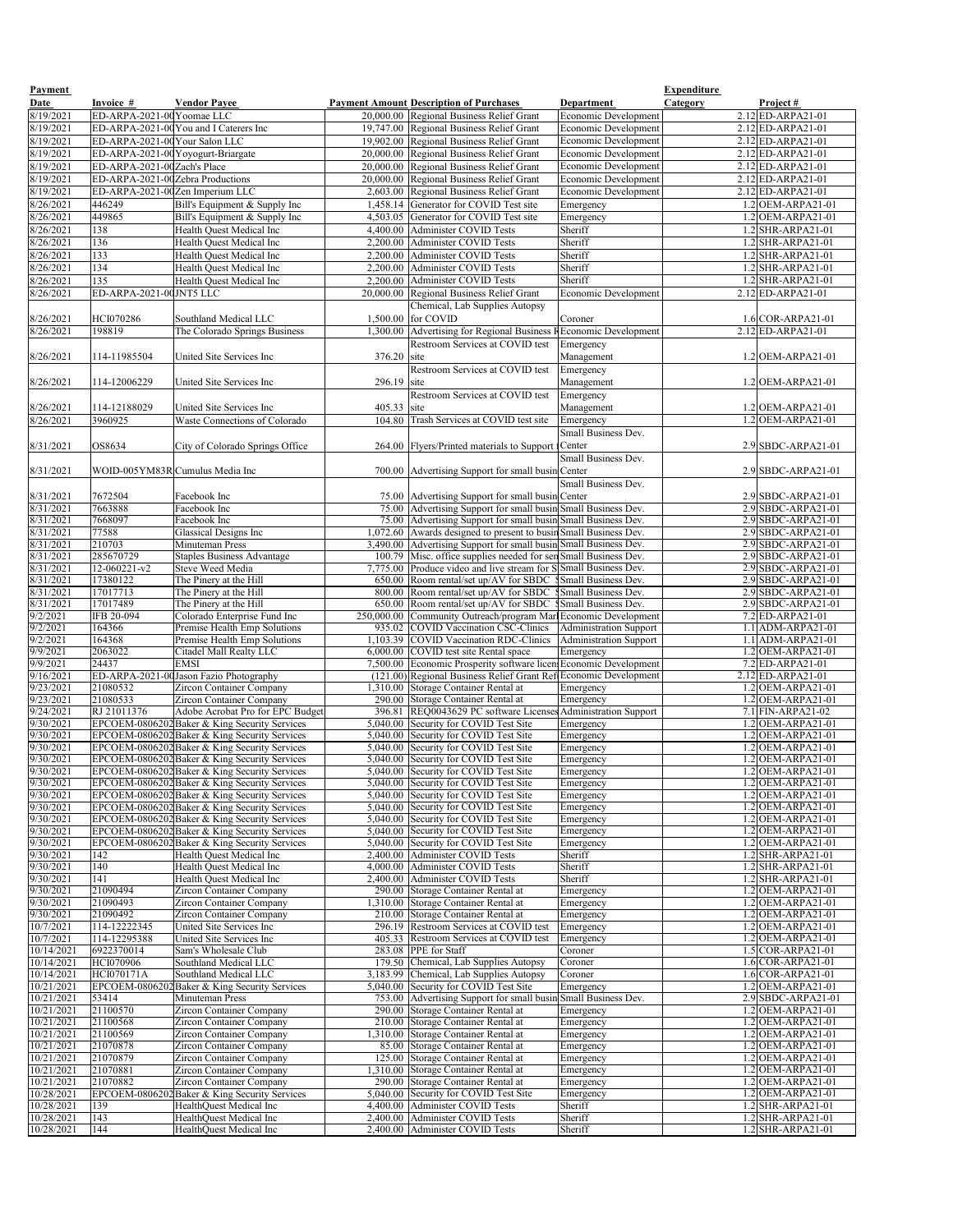| Payment<br>Date          | Invoice #                        | <b>Vendor Payee</b>                                                              |               | <b>Payment Amount Description of Purchases</b>                                                                    | <b>Department</b>                | <b>Expenditure</b><br><b>Category</b> | Project#                                  |
|--------------------------|----------------------------------|----------------------------------------------------------------------------------|---------------|-------------------------------------------------------------------------------------------------------------------|----------------------------------|---------------------------------------|-------------------------------------------|
| 8/19/2021                | ED-ARPA-2021-00 Yoomae LLC       |                                                                                  |               | 20,000.00 Regional Business Relief Grant                                                                          | <b>Economic Development</b>      |                                       | $2.12$ ED-ARPA21-01                       |
| 8/19/2021                |                                  | ED-ARPA-2021-00 You and I Caterers Inc                                           |               | 19,747.00 Regional Business Relief Grant                                                                          | <b>Economic Development</b>      |                                       | $2.12$ ED-ARPA21-01                       |
| 8/19/2021                | ED-ARPA-2021-00 Your Salon LLC   |                                                                                  |               | 19,902.00 Regional Business Relief Grant                                                                          | <b>Economic Development</b>      |                                       | $2.12$ ED-ARPA21-01                       |
| 8/19/2021                |                                  | ED-ARPA-2021-00 Yoyogurt-Briargate                                               |               | 20,000.00 Regional Business Relief Grant                                                                          | <b>Economic Development</b>      |                                       | $2.12$ ED-ARPA21-01                       |
| 8/19/2021                | ED-ARPA-2021-00 Zach's Place     |                                                                                  |               | 20,000.00   Regional Business Relief Grant                                                                        | <b>Economic Development</b>      |                                       | $2.12$ ED-ARPA21-01                       |
| 8/19/2021                | ED-ARPA-2021-00Zebra Productions |                                                                                  |               | 20,000.00 Regional Business Relief Grant                                                                          | <b>Economic Development</b>      |                                       | $2.12$ ED-ARPA21-01                       |
| 8/19/2021                |                                  | ED-ARPA-2021-00Zen Imperium LLC                                                  |               | 2,603.00 Regional Business Relief Grant                                                                           | <b>Economic Development</b>      |                                       | $2.12$ ED-ARPA21-01                       |
| 8/26/2021                | 446249                           | Bill's Equipment & Supply Inc                                                    |               | 1,458.14 Generator for COVID Test site                                                                            | Emergency                        |                                       | 1.2 OEM-ARPA21-01                         |
| 8/26/2021                | 449865                           | Bill's Equipment & Supply Inc                                                    |               | 4,503.05 Generator for COVID Test site                                                                            | Emergency                        |                                       | $1.2$ OEM-ARPA21-01                       |
| 8/26/2021                | 138                              | Health Quest Medical Inc                                                         |               | 4,400.00 Administer COVID Tests                                                                                   | Sheriff                          |                                       | $1.2$ SHR-ARPA21-01                       |
| 8/26/2021                | 136                              | Health Quest Medical Inc                                                         |               | 2,200.00 Administer COVID Tests                                                                                   | Sheriff                          |                                       | 1.2 SHR-ARPA21-01                         |
| 8/26/2021                | 133                              | <b>Health Quest Medical Inc</b>                                                  | 2,200.00      | <b>Administer COVID Tests</b>                                                                                     | Sheriff                          |                                       | $.2$ SHR-ARPA21-01                        |
| 8/26/2021                | 134                              | Health Ouest Medical Inc                                                         |               | 2,200.00 Administer COVID Tests                                                                                   | Sheriff                          |                                       | $.2$ SHR-ARPA21-01                        |
| 8/26/2021                | 135                              | Health Quest Medical Inc                                                         | 2,200.00      | <b>Administer COVID Tests</b>                                                                                     | Sheriff                          |                                       | 1.2 SHR-ARPA21-01                         |
| 8/26/2021                | ED-ARPA-2021-00JNT5 LLC          |                                                                                  |               | 20,000.00 Regional Business Relief Grant                                                                          | <b>Economic Development</b>      |                                       | $2.12$ ED-ARPA21-01                       |
|                          |                                  |                                                                                  |               | Chemical, Lab Supplies Autopsy                                                                                    |                                  |                                       |                                           |
| 8/26/2021                | HCI070286                        | Southland Medical LLC                                                            |               | 1,500.00 for COVID                                                                                                | Coroner                          |                                       | $1.6$ COR-ARPA21-01                       |
| 8/26/2021                | 198819                           | The Colorado Springs Business                                                    |               | 1,300.00 Advertising for Regional Business REconomic Development                                                  |                                  |                                       | $2.12$ ED-ARPA21-01                       |
|                          |                                  |                                                                                  |               | <b>Restroom Services at COVID test</b>                                                                            | Emergency                        |                                       |                                           |
| 8/26/2021                | 114-11985504                     | United Site Services Inc                                                         | 376.20        | site                                                                                                              | Management                       |                                       | $1.2$ OEM-ARPA21-01                       |
|                          |                                  |                                                                                  |               | <b>Restroom Services at COVID test</b>                                                                            | Emergency                        |                                       |                                           |
| 8/26/2021                | 114-12006229                     | United Site Services Inc                                                         | $296.19$ site |                                                                                                                   | Management                       |                                       | $1.2$ OEM-ARPA21-01                       |
|                          |                                  |                                                                                  |               | <b>Restroom Services at COVID test</b>                                                                            |                                  |                                       |                                           |
| 8/26/2021                | 114-12188029                     | United Site Services Inc                                                         | 405.33 site   |                                                                                                                   | Emergency                        |                                       | $1.2$ OEM-ARPA21-01                       |
| 8/26/2021                | 3960925                          | Waste Connections of Colorado                                                    | 104.80        | Trash Services at COVID test site                                                                                 | Management                       |                                       | 1.2 OEM-ARPA21-01                         |
|                          |                                  |                                                                                  |               |                                                                                                                   | Emergency<br>Small Business Dev. |                                       |                                           |
| 8/31/2021                | OS8634                           | City of Colorado Springs Office                                                  |               | 264.00 Flyers/Printed materials to Support Center                                                                 |                                  |                                       | $2.9$ SBDC-ARPA21-01                      |
|                          |                                  |                                                                                  |               |                                                                                                                   | <b>Small Business Dev.</b>       |                                       |                                           |
| 8/31/2021                |                                  | WOID-005YM83R Cumulus Media Inc                                                  |               | 700.00 Advertising Support for small busin Center                                                                 |                                  |                                       | $2.9$ SBDC-ARPA21-01                      |
|                          |                                  |                                                                                  |               |                                                                                                                   | Small Business Dev.              |                                       |                                           |
| 8/31/2021                | 7672504                          | Facebook Inc                                                                     |               |                                                                                                                   |                                  |                                       | $2.9$ SBDC-ARPA21-01                      |
| 8/31/2021                | 7663888                          | Facebook Inc                                                                     |               | 75.00 Advertising Support for small busin Center<br>75.00 Advertising Support for small busin Small Business Dev. |                                  |                                       | 2.9 SBDC-ARPA21-01                        |
| 8/31/2021                | 7668097                          | Facebook Inc                                                                     |               | 75.00 Advertising Support for small busin Small Business Dev.                                                     |                                  |                                       | $2.9$ SBDC-ARPA21-01                      |
| 8/31/2021                | 77588                            | Glassical Designs Inc                                                            |               | 1,072.60 Awards designed to present to busin Small Business Dev.                                                  |                                  |                                       | $2.9$ SBDC-ARPA21-01                      |
| 8/31/2021                | 210703                           | Minuteman Press                                                                  |               | 3,490.00 Advertising Support for small busin Small Business Dev.                                                  |                                  |                                       | $2.9$ SBDC-ARPA21-01                      |
| 8/31/2021                | 285670729                        | <b>Staples Business Advantage</b>                                                |               | 100.79 Misc. office supplies needed for sen Small Business Dev.                                                   |                                  |                                       | 2.9 SBDC-ARPA21-01                        |
| 8/31/2021                | 12-060221-v2                     | Steve Weed Media                                                                 |               | 7,775.00 Produce video and live stream for SS Small Business Dev.                                                 |                                  |                                       | $2.9$ SBDC-ARPA21-01                      |
| 8/31/2021                | 17380122                         | The Pinery at the Hill                                                           |               | 650.00 Room rental/set up/AV for SBDC §Small Business Dev.                                                        |                                  |                                       | 2.9 SBDC-ARPA21-01                        |
| 8/31/2021                | 17017713                         | The Pinery at the Hill                                                           |               | 800.00 Room rental/set up/AV for SBDC SSmall Business Dev.                                                        |                                  |                                       | $2.9$ SBDC-ARPA21-01                      |
| 8/31/2021                | 17017489                         | The Pinery at the Hill                                                           |               | 650.00 Room rental/set up/AV for SBDC \$Small Business Dev.                                                       |                                  |                                       | $2.9$ SBDC-ARPA21-01                      |
| 9/2/2021                 | IFB 20-094                       | Colorado Enterprise Fund Inc                                                     |               | 250,000.00 Community Outreach/program Marl Economic Development                                                   |                                  |                                       | $7.2$ ED-ARPA21-01                        |
| 9/2/2021                 | 164366                           | Premise Health Emp Solutions                                                     |               | 935.02 COVID Vaccination CSC-Clinics                                                                              | Administration Support           |                                       | $1.1$ ADM-ARPA21-01                       |
| 9/2/2021                 | 164368                           | Premise Health Emp Solutions                                                     |               | 1,103.39 COVID Vaccination RDC-Clinics                                                                            | Administration Support           |                                       | 1.1 ADM-ARPA21-01                         |
| 9/9/2021                 | 2063022                          | Citadel Mall Realty LLC                                                          |               | 6,000.00 COVID test site Rental space                                                                             | Emergency                        |                                       | 1.2 OEM-ARPA21-01                         |
| 9/9/2021                 | 24437                            | <b>EMSI</b>                                                                      |               | 7,500.00 Economic Prosperity software licen Economic Development                                                  |                                  |                                       | $7.2$ ED-ARPA21-01                        |
| 9/16/2021<br>9/23/2021   | 21080532                         | ED-ARPA-2021-00 Jason Fazio Photography                                          |               | (121.00) Regional Business Relief Grant Ref Economic Development                                                  |                                  |                                       | 2.12 ED-ARPA21-01<br>1.2 OEM-ARPA21-01    |
| 9/23/2021                | 21080533                         | <b>Zircon Container Company</b><br><b>Zircon Container Company</b>               |               | 1,310.00 Storage Container Rental at<br>290.00 Storage Container Rental at                                        | Emergency<br>Emergency           |                                       | 1.2 OEM-ARPA21-01                         |
| 9/24/2021                | RJ 21011376                      | Adobe Acrobat Pro for EPC Budget                                                 |               | 396.81 REQ0043629 PC software License                                                                             | s Administration Support         |                                       | $7.1$ FIN-ARPA21-02                       |
| 9/30/2021                |                                  | EPCOEM-0806202 Baker & King Security Services                                    |               | 5,040.00 Security for COVID Test Site                                                                             | Emergency                        |                                       | 1.2 OEM-ARPA21-01                         |
| 9/30/2021                |                                  | EPCOEM-0806202 Baker & King Security Services                                    |               | 5,040.00 Security for COVID Test Site                                                                             | Emergency                        |                                       | $.2$ OEM-ARPA21-01                        |
| 9/30/2021                |                                  | EPCOEM-0806202 Baker & King Security Services                                    |               | 5,040.00 Security for COVID Test Site                                                                             | Emergency                        |                                       | $.2$ OEM-ARPA21-01                        |
| 9/30/2021                |                                  | EPCOEM-0806202 Baker & King Security Services                                    |               | 5,040.00 Security for COVID Test Site                                                                             | Emergency                        |                                       | 1.2 OEM-ARPA21-01                         |
| 9/30/2021                |                                  | EPCOEM-0806202 Baker & King Security Services                                    |               | 5,040.00 Security for COVID Test Site                                                                             | Emergency                        |                                       | $.2$ OEM-ARPA21-01                        |
| 9/30/2021                |                                  | EPCOEM-0806202 Baker & King Security Services                                    |               | 5,040.00 Security for COVID Test Site                                                                             | Emergency                        |                                       | $.2$ OEM-ARPA21-01                        |
| 9/30/2021                |                                  | EPCOEM-0806202 Baker & King Security Services                                    |               | 5,040.00 Security for COVID Test Site                                                                             | Emergency                        |                                       | 1.2 OEM-ARPA21-01                         |
| 9/30/2021                |                                  | EPCOEM-0806202Baker & King Security Services                                     |               | 5,040.00 Security for COVID Test Site                                                                             | Emergency                        |                                       | $.2$ OEM-ARPA21-01                        |
| 9/30/2021                |                                  | EPCOEM-0806202 Baker & King Security Services                                    |               | 5,040.00 Security for COVID Test Site                                                                             | Emergency                        |                                       | $.2$ OEM-ARPA21-01                        |
| 9/30/2021                |                                  | EPCOEM-0806202 Baker & King Security Services                                    |               | 5,040.00 Security for COVID Test Site                                                                             | Emergency                        |                                       | $1.2$ OEM-ARPA21-01                       |
| 9/30/2021                |                                  | EPCOEM-0806202 Baker & King Security Services                                    |               | 5,040.00 Security for COVID Test Site                                                                             | Emergency                        |                                       | 1.2 OEM-ARPA21-01                         |
| 9/30/2021                | 142                              | Health Quest Medical Inc                                                         |               | 2,400.00 Administer COVID Tests                                                                                   | Sheriff<br>Sheriff               |                                       | 1.2 SHR-ARPA21-01<br>1.2 SHR-ARPA21-01    |
| 9/30/2021<br>9/30/2021   | 140<br>141                       | Health Quest Medical Inc<br>Health Quest Medical Inc                             |               | 4,000.00 Administer COVID Tests<br>2,400.00 Administer COVID Tests                                                | Sheriff                          |                                       | 1.2 SHR-ARPA21-01                         |
| 9/30/2021                | 21090494                         | <b>Zircon Container Company</b>                                                  |               | 290.00 Storage Container Rental at                                                                                | Emergency                        |                                       | $1.2$ OEM-ARPA21-01                       |
| 9/30/2021                | 21090493                         | <b>Zircon Container Company</b>                                                  |               | 1,310.00 Storage Container Rental at                                                                              | Emergency                        |                                       | 1.2 OEM-ARPA21-01                         |
| 9/30/2021                | 21090492                         | <b>Zircon Container Company</b>                                                  |               | 210.00 Storage Container Rental at                                                                                | Emergency                        |                                       | $1.2$ OEM-ARPA21-01                       |
| 10/7/2021                | 114-12222345                     | United Site Services Inc                                                         |               | 296.19 Restroom Services at COVID test                                                                            | Emergency                        |                                       | $.2$ OEM-ARPA21-01                        |
| 10/7/2021                | 114-12295388                     | United Site Services Inc                                                         |               | 405.33 Restroom Services at COVID test                                                                            | Emergency                        |                                       | 1.2 OEM-ARPA21-01                         |
| 10/14/2021               | 6922370014                       | Sam's Wholesale Club                                                             |               | 283.08 PPE for Staff                                                                                              | Coroner                          |                                       | 1.5 COR-ARPA21-01                         |
| 10/14/2021               | HCI070906                        | Southland Medical LLC                                                            |               | 179.50 Chemical, Lab Supplies Autopsy                                                                             | Coroner                          |                                       | $1.6$ COR-ARPA21-01                       |
| 10/14/2021               | <b>HCI070171A</b>                | Southland Medical LLC                                                            |               | 3,183.99 Chemical, Lab Supplies Autopsy                                                                           | Coroner                          |                                       | $1.6$ COR-ARPA21-01                       |
| 10/21/2021               |                                  | EPCOEM-0806202 Baker & King Security Services                                    |               | 5,040.00 Security for COVID Test Site                                                                             | Emergency                        |                                       | $.2$ OEM-ARPA21-01                        |
| 10/21/2021               | 53414                            | <b>Minuteman Press</b>                                                           |               | 753.00 Advertising Support for small businGsmall Business Dev.                                                    |                                  |                                       | $2.9$ SBDC-ARPA21-01                      |
| 10/21/2021               | 21100570                         | <b>Zircon Container Company</b>                                                  |               | 290.00 Storage Container Rental at                                                                                | Emergency                        |                                       | 1.2 OEM-ARPA21-01                         |
| 10/21/2021               | 21100568                         | <b>Zircon Container Company</b>                                                  |               | 210.00 Storage Container Rental at                                                                                | Emergency                        |                                       | $1.2$ OEM-ARPA21-01                       |
| 10/21/2021               | 21100569                         | <b>Zircon Container Company</b>                                                  |               | 1,310.00 Storage Container Rental at                                                                              | Emergency                        |                                       | $.2$ OEM-ARPA21-01                        |
| 10/21/2021               | 21070878                         | <b>Zircon Container Company</b>                                                  |               | 85.00 Storage Container Rental at                                                                                 | Emergency                        |                                       | $.2$ OEM-ARPA21-01                        |
| 10/21/2021               | 21070879                         | <b>Zircon Container Company</b>                                                  |               | 125.00 Storage Container Rental at                                                                                | Emergency                        |                                       | $.2$ OEM-ARPA21-01                        |
| 10/21/2021               | 21070881<br>21070882             | <b>Zircon Container Company</b>                                                  |               | 310.00 Storage Container Rental at                                                                                | Emergency                        |                                       | $1.2$ OEM-ARPA21-01<br>$.2$ OEM-ARPA21-01 |
| 10/21/2021<br>10/28/2021 |                                  | <b>Zircon Container Company</b><br>EPCOEM-0806202 Baker & King Security Services |               | 290.00 Storage Container Rental at<br>5,040.00 Security for COVID Test Site                                       | Emergency<br>Emergency           |                                       | $1.2$ OEM-ARPA21-01                       |
| 10/28/2021               | 139                              | HealthQuest Medical Inc                                                          |               | 4,400.00 Administer COVID Tests                                                                                   | Sheriff                          |                                       | $1.2$ SHR-ARPA21-01                       |
| 10/28/2021               | 143                              | HealthQuest Medical Inc                                                          |               | 2,400.00 Administer COVID Tests                                                                                   | Sheriff                          |                                       | $.2$ SHR-ARPA21-01                        |
| 10/28/2021               | 144                              | HealthQuest Medical Inc                                                          |               | 2,400.00   Administer COVID Tests                                                                                 | Sheriff                          |                                       | 1.2 SHR-ARPA21-01                         |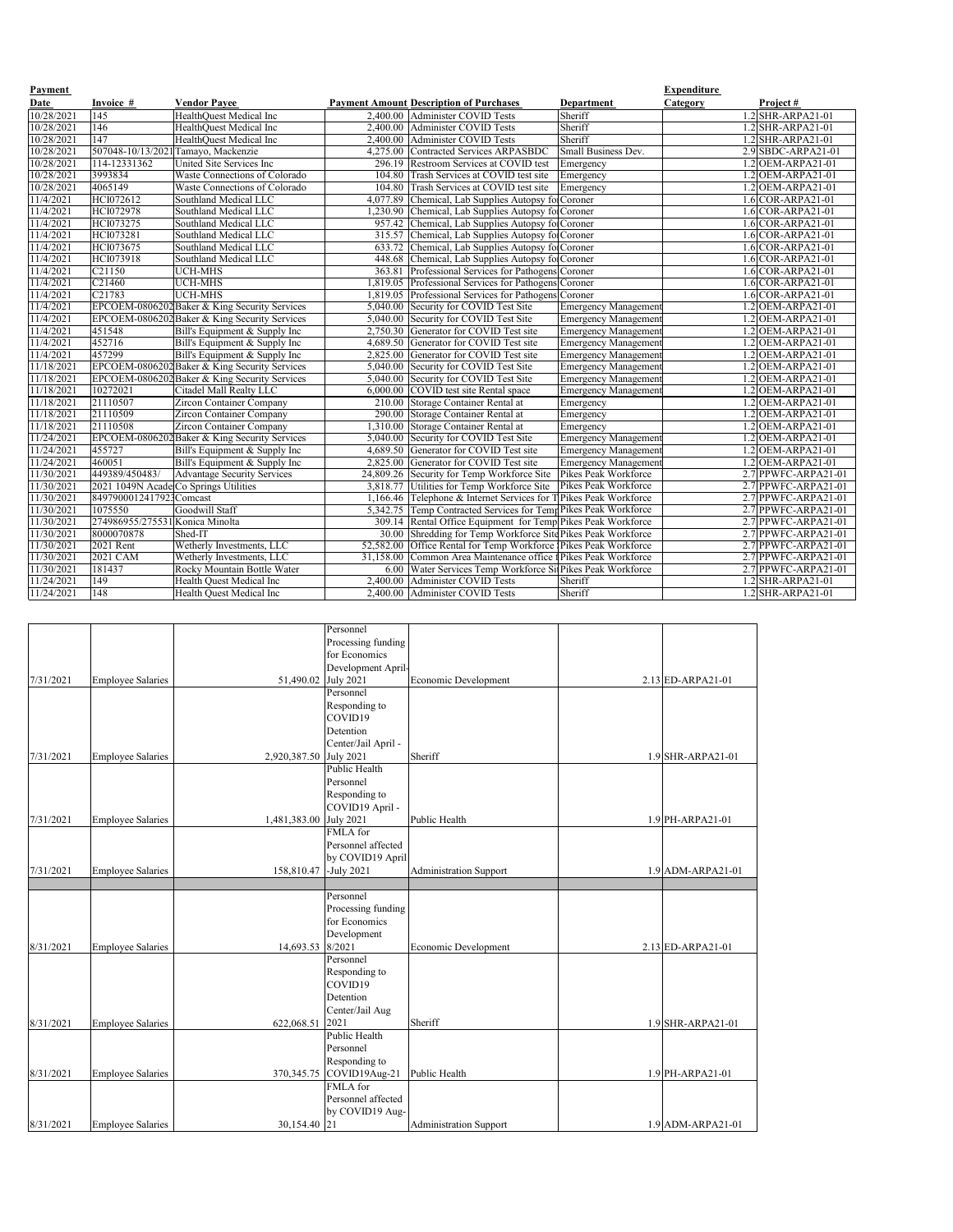| <b>Payment</b> |                                       |                                               |        |                                                                 |                             | <b>Expenditure</b> |                              |
|----------------|---------------------------------------|-----------------------------------------------|--------|-----------------------------------------------------------------|-----------------------------|--------------------|------------------------------|
| Date           | Invoice #                             | <b>Vendor Payee</b>                           |        | <b>Payment Amount Description of Purchases</b>                  | Department                  | <b>Category</b>    | Project#                     |
| 10/28/2021     | 145                                   | HealthQuest Medical Inc                       |        | 2,400.00 Administer COVID Tests                                 | Sheriff                     |                    | 1.2 SHR-ARPA21-01            |
| 10/28/2021     | $\overline{146}$                      | HealthQuest Medical Inc                       |        | 2,400.00 Administer COVID Tests                                 | Sheriff                     |                    | $1.2$ SHR-ARPA21-01          |
| 10/28/2021     | $\overline{147}$                      | <b>HealthQuest Medical Inc</b>                |        | 2,400.00 Administer COVID Tests                                 | Sheriff                     |                    | $1.2$ SHR-ARPA21-01          |
| 10/28/2021     |                                       | 507048-10/13/2021 Tamayo, Mackenzie           |        | 4,275.00 Contracted Services ARPASBDC                           | <b>Small Business Dev.</b>  |                    | $2.9$ SBDC-ARPA21-01         |
| 10/28/2021     | 114-12331362                          | United Site Services Inc                      |        | 296.19 Restroom Services at COVID test                          | Emergency                   |                    | $.2$ OEM-ARPA21-01           |
| 10/28/2021     | 3993834                               | Waste Connections of Colorado                 | 104.80 | Trash Services at COVID test site                               | Emergency                   |                    | $.2$ OEM-ARPA21-01           |
| 10/28/2021     | 4065149                               | Waste Connections of Colorado                 |        | 104.80 Trash Services at COVID test site                        | Emergency                   |                    | $.2$ OEM-ARPA21-01           |
| 11/4/2021      | HCI072612                             | Southland Medical LLC                         |        | 4,077.89 Chemical, Lab Supplies Autopsy fo Coroner              |                             |                    | $1.6$ COR-ARPA21-01          |
| 11/4/2021      | HCI072978                             | Southland Medical LLC                         |        | ,230.90 Chemical, Lab Supplies Autopsy fol Coroner              |                             |                    | $1.6$ COR-ARPA21-01          |
| 11/4/2021      | HCI073275                             | Southland Medical LLC                         |        | 957.42 Chemical, Lab Supplies Autopsy fo Coroner                |                             |                    | $1.6$ COR-ARPA21-01          |
| 11/4/2021      | HCI073281                             | Southland Medical LLC                         |        | 315.57 Chemical, Lab Supplies Autopsy fo Coroner                |                             |                    | 1.6 COR-ARPA21-01            |
| 11/4/2021      | HCI073675                             | Southland Medical LLC                         |        | 633.72 Chemical, Lab Supplies Autopsy fol Coroner               |                             |                    | $1.6$ COR-ARPA21-01          |
| 11/4/2021      | HCI073918                             | Southland Medical LLC                         | 448.68 | Chemical, Lab Supplies Autopsy for Coroner                      |                             |                    | $1.6$ COR-ARPA21-01          |
| 11/4/2021      | C21150                                | <b>UCH-MHS</b>                                | 363.81 | Professional Services for Pathogens Coroner                     |                             |                    | $1.6$ COR-ARPA21-01          |
| 11/4/2021      | C <sub>21460</sub>                    | <b>UCH-MHS</b>                                |        | ,819.05 Professional Services for Pathogens Coroner             |                             |                    | $.6$ COR-ARPA21-01           |
| 11/4/2021      | C <sub>21783</sub>                    | <b>UCH-MHS</b>                                |        | 1,819.05 Professional Services for Pathogens Coroner            |                             |                    | $1.6$ COR-ARPA21-01          |
| 11/4/2021      |                                       | EPCOEM-0806202 Baker & King Security Services |        | 5,040.00 Security for COVID Test Site                           | <b>Emergency Management</b> |                    | $1.2$ OEM-ARPA21-01          |
| 11/4/2021      |                                       | EPCOEM-0806202 Baker & King Security Services |        | 5,040.00 Security for COVID Test Site                           | <b>Emergency Management</b> |                    | $1.2$ OEM-ARPA21-01          |
| 11/4/2021      | 451548                                | Bill's Equipment & Supply Inc                 |        | 2,750.30 Generator for COVID Test site                          | <b>Emergency Management</b> |                    | 1.2 OEM-ARPA21-01            |
| 11/4/2021      | 452716                                | Bill's Equipment & Supply Inc                 |        | 4,689.50 Generator for COVID Test site                          | <b>Emergency Management</b> |                    | 1.2 OEM-ARPA21-01            |
| 11/4/2021      | 457299                                | Bill's Equipment & Supply Inc                 |        | 2,825.00 Generator for COVID Test site                          | <b>Emergency Management</b> |                    | $.2$ OEM-ARPA21-01           |
| 11/18/2021     |                                       | EPCOEM-0806202 Baker & King Security Services |        | 5,040.00 Security for COVID Test Site                           | <b>Emergency Management</b> |                    | $1.2$ OEM-ARPA21-01          |
| 11/18/2021     |                                       | EPCOEM-0806202 Baker & King Security Services |        | 5,040.00 Security for COVID Test Site                           | <b>Emergency Management</b> |                    | $1.2$ OEM-ARPA21-01          |
| 11/18/2021     | 10272021                              | Citadel Mall Realty LLC                       |        | 6,000.00 COVID test site Rental space                           | <b>Emergency Management</b> |                    | .2 OEM-ARPA21-01             |
| 11/18/2021     | 21110507                              | <b>Zircon Container Company</b>               |        | 210.00 Storage Container Rental at                              | Emergency                   |                    | $\overline{.2$ OEM-ARPA21-01 |
| 11/18/2021     | 21110509                              | <b>Zircon Container Company</b>               |        | 290.00 Storage Container Rental at                              | Emergency                   |                    | $.2$ OEM-ARPA21-01           |
| 11/18/2021     | 21110508                              | <b>Zircon Container Company</b>               |        | ,310.00 Storage Container Rental at                             | Emergency                   |                    | $.2$ OEM-ARPA21-01           |
| 11/24/2021     |                                       | EPCOEM-0806202 Baker & King Security Services |        | 5,040.00 Security for COVID Test Site                           | <b>Emergency Management</b> |                    | $1.2$ OEM-ARPA21-01          |
| 11/24/2021     | 455727                                | Bill's Equipment & Supply Inc                 |        | 4,689.50 Generator for COVID Test site                          | <b>Emergency Management</b> |                    | .2 OEM-ARPA21-01             |
| 11/24/2021     | 460051                                | Bill's Equipment $&$ Supply Inc               |        | 2,825.00 Generator for COVID Test site                          | <b>Emergency Management</b> |                    | $1.2$ OEM-ARPA21-01          |
| 11/30/2021     | 449389/450483/                        | <b>Advantage Security Services</b>            |        | 24,809.26 Security for Temp Workforce Site Pikes Peak Workforce |                             |                    | $2.7$ PPWFC-ARPA21-01        |
| 11/30/2021     | 2021 1049N Acade Co Springs Utilities |                                               |        | 3,818.77 Utilities for Temp Workforce Site Pikes Peak Workforce |                             |                    | 2.7 PPWFC-ARPA21-01          |
| 11/30/2021     | 8497900012417923Comcast               |                                               |        | ,166.46 Telephone & Internet Services for TPikes Peak Workforce |                             |                    | 2.7 PPWFC-ARPA21-01          |
| 11/30/2021     | 1075550                               | Goodwill Staff                                |        | 5,342.75 Temp Contracted Services for TempPikes Peak Workforce  |                             |                    | 2.7 PPWFC-ARPA21-01          |
| 11/30/2021     | 274986955/275531 Konica Minolta       |                                               |        | 309.14 Rental Office Equipment for Temp Pikes Peak Workforce    |                             |                    | 2.7 PPWFC-ARPA21-01          |
| 11/30/2021     | 8000070878                            | Shed-IT                                       |        | 30.00 Shredding for Temp Workforce Site Pikes Peak Workforce    |                             |                    | 2.7 PPWFC-ARPA21-01          |
| 11/30/2021     | 2021 Rent                             | Wetherly Investments, LLC                     |        | 52,582.00 Office Rental for Temp Workforce Pikes Peak Workforce |                             |                    | $2.7$ PPWFC-ARPA21-01        |
| 11/30/2021     | 2021 CAM                              | Wetherly Investments, LLC                     |        | 31,158.00 Common Area Maintenance office f Pikes Peak Workforce |                             |                    | 2.7 PPWFC-ARPA21-01          |
| 11/30/2021     | 181437                                | Rocky Mountain Bottle Water                   |        | 6.00 Water Services Temp Workforce SitPikes Peak Workforce      |                             |                    | 2.7 PPWFC-ARPA21-01          |
| 11/24/2021     | 149                                   | Health Quest Medical Inc                      |        | 2,400.00 Administer COVID Tests                                 | Sheriff                     |                    | $1.2$ SHR-ARPA21-01          |
| 11/24/2021     | 148                                   | Health Quest Medical Inc                      |        | 2,400.00   Administer COVID Tests                               | Sheriff                     |                    | $1.2$ SHR-ARPA21-01          |

|           |                          |              | Personnel           |                               |                     |
|-----------|--------------------------|--------------|---------------------|-------------------------------|---------------------|
|           |                          |              | Processing funding  |                               |                     |
|           |                          |              | for Economics       |                               |                     |
|           |                          |              | Development April-  |                               |                     |
| 7/31/2021 | <b>Employee Salaries</b> | 51,490.02    | <b>July 2021</b>    | Economic Development          | $2.13$ ED-ARPA21-01 |
|           |                          |              | Personnel           |                               |                     |
|           |                          |              | Responding to       |                               |                     |
|           |                          |              | COVID19             |                               |                     |
|           |                          |              | Detention           |                               |                     |
|           |                          |              | Center/Jail April - |                               |                     |
| 7/31/2021 | <b>Employee Salaries</b> | 2,920,387.50 | <b>July 2021</b>    | Sheriff                       | 1.9 SHR-ARPA21-01   |
|           |                          |              | Public Health       |                               |                     |
|           |                          |              | Personnel           |                               |                     |
|           |                          |              | Responding to       |                               |                     |
|           |                          |              | COVID19 April -     |                               |                     |
| 7/31/2021 | <b>Employee Salaries</b> | 1,481,383.00 | <b>July 2021</b>    | Public Health                 | $1.9$ PH-ARPA21-01  |
|           |                          |              | FMLA for            |                               |                     |
|           |                          |              | Personnel affected  |                               |                     |
|           |                          |              | by COVID19 April    |                               |                     |
| 7/31/2021 | <b>Employee Salaries</b> | 158,810.47   | -July $2021$        | <b>Administration Support</b> | 1.9 ADM-ARPA21-01   |
|           |                          |              |                     |                               |                     |
|           |                          |              | Personnel           |                               |                     |
|           |                          |              | Processing funding  |                               |                     |
|           |                          |              | for Economics       |                               |                     |
|           |                          |              | Development         |                               |                     |
| 8/31/2021 | <b>Employee Salaries</b> | 14,693.53    | 8/2021              | Economic Development          | $2.13$ ED-ARPA21-01 |
|           |                          |              | Personnel           |                               |                     |
|           |                          |              | Responding to       |                               |                     |
|           |                          |              | COVID19             |                               |                     |
|           |                          |              | Detention           |                               |                     |
|           |                          |              | Center/Jail Aug     |                               |                     |
| 8/31/2021 | <b>Employee Salaries</b> | 622,068.51   | 2021                | Sheriff                       | $1.9$ SHR-ARPA21-01 |
|           |                          |              | Public Health       |                               |                     |
|           |                          |              | Personnel           |                               |                     |
|           |                          |              | Responding to       |                               |                     |
| 8/31/2021 | <b>Employee Salaries</b> | 370, 345. 75 | COVID19Aug-21       | Public Health                 | $1.9$ PH-ARPA21-01  |
|           |                          |              | FMLA for            |                               |                     |
|           |                          |              | Personnel affected  |                               |                     |
|           |                          |              | by COVID19 Aug-     |                               |                     |
| 8/31/2021 | <b>Employee Salaries</b> | 30,154.40 21 |                     | <b>Administration Support</b> | 1.9 ADM-ARPA21-01   |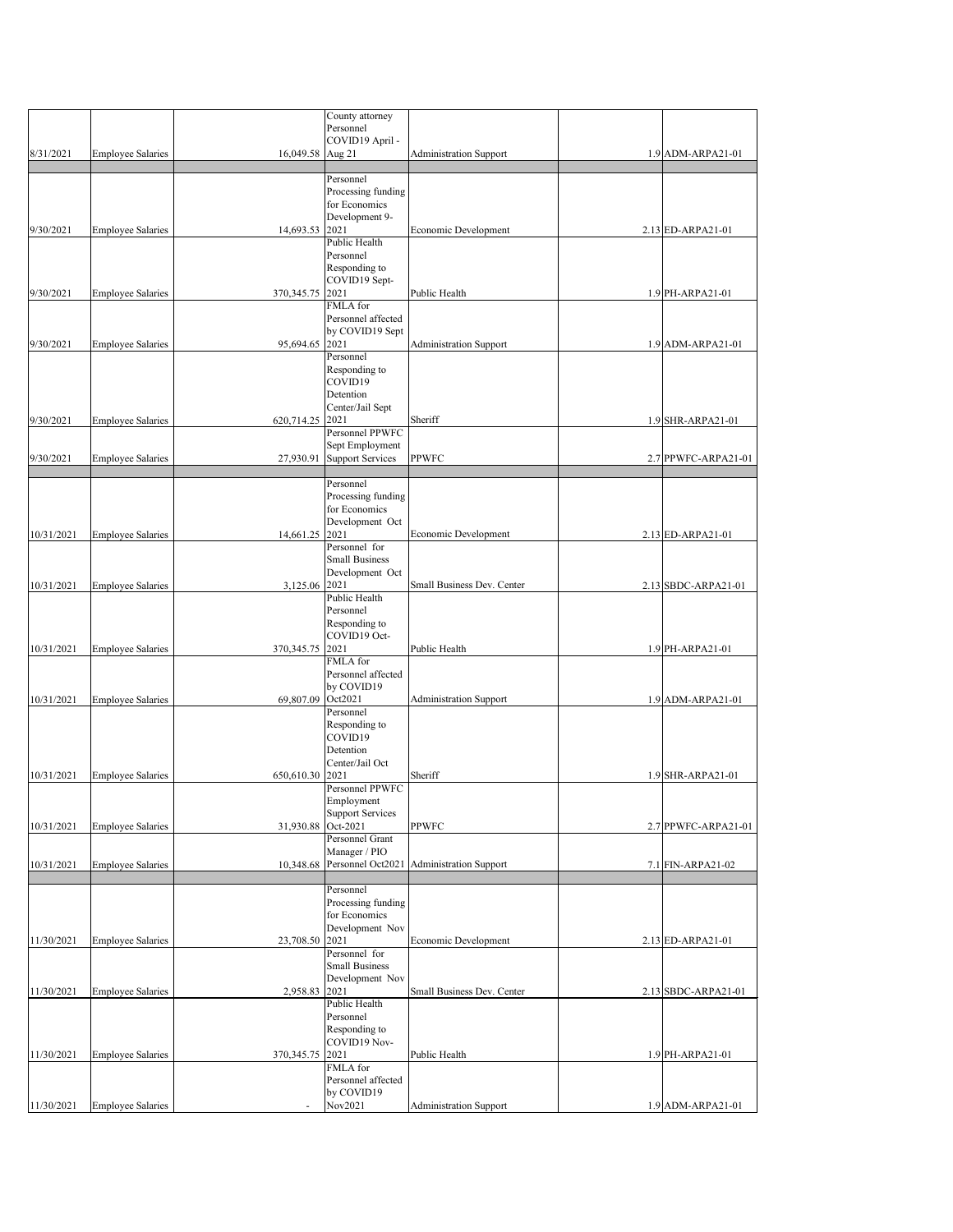|            |                          |                  | County attorney                 |                                                    |                       |
|------------|--------------------------|------------------|---------------------------------|----------------------------------------------------|-----------------------|
|            |                          |                  | Personnel                       |                                                    |                       |
|            |                          |                  | COVID19 April -                 |                                                    |                       |
| 8/31/2021  | <b>Employee Salaries</b> | 16,049.58 Aug 21 |                                 | <b>Administration Support</b>                      | $1.9$ ADM-ARPA21-01   |
|            |                          |                  |                                 |                                                    |                       |
|            |                          |                  | Personnel                       |                                                    |                       |
|            |                          |                  | Processing funding              |                                                    |                       |
|            |                          |                  | for Economics                   |                                                    |                       |
| 9/30/2021  | <b>Employee Salaries</b> | 14,693.53        | Development 9-<br>2021          | Economic Development                               | $2.13$ ED-ARPA21-01   |
|            |                          |                  | Public Health                   |                                                    |                       |
|            |                          |                  | Personnel                       |                                                    |                       |
|            |                          |                  | Responding to                   |                                                    |                       |
|            |                          |                  | COVID19 Sept-                   |                                                    |                       |
| 9/30/2021  | <b>Employee Salaries</b> | 370, 345.75 2021 |                                 | Public Health                                      | 1.9 PH-ARPA21-01      |
|            |                          |                  | FMLA for                        |                                                    |                       |
|            |                          |                  | Personnel affected              |                                                    |                       |
|            |                          |                  | by COVID19 Sept                 |                                                    |                       |
| 9/30/2021  | <b>Employee Salaries</b> | 95,694.65 2021   |                                 | <b>Administration Support</b>                      | $1.9$ ADM-ARPA21-01   |
|            |                          |                  | Personnel                       |                                                    |                       |
|            |                          |                  | Responding to                   |                                                    |                       |
|            |                          |                  | COVID19                         |                                                    |                       |
|            |                          |                  | Detention                       |                                                    |                       |
| 9/30/2021  | <b>Employee Salaries</b> | 620,714.25       | Center/Jail Sept<br>2021        | Sheriff                                            | $1.9$ SHR-ARPA21-01   |
|            |                          |                  | Personnel PPWFC                 |                                                    |                       |
|            |                          |                  | Sept Employment                 |                                                    |                       |
| 9/30/2021  | <b>Employee Salaries</b> | 27,930.91        | <b>Support Services</b>         | <b>PPWFC</b>                                       | 2.7 PPWFC-ARPA21-01   |
|            |                          |                  |                                 |                                                    |                       |
|            |                          |                  | Personnel                       |                                                    |                       |
|            |                          |                  | Processing funding              |                                                    |                       |
|            |                          |                  | for Economics                   |                                                    |                       |
|            |                          |                  | Development Oct                 |                                                    |                       |
| 10/31/2021 | <b>Employee Salaries</b> | 14,661.25        | 2021                            | Economic Development                               | $2.13$ ED-ARPA21-01   |
|            |                          |                  | Personnel for                   |                                                    |                       |
|            |                          |                  | <b>Small Business</b>           |                                                    |                       |
| 10/31/2021 |                          |                  | Development Oct                 | Small Business Dev. Center                         |                       |
|            | <b>Employee Salaries</b> | 3,125.06 2021    | Public Health                   |                                                    | $2.13$ SBDC-ARPA21-01 |
|            |                          |                  | Personnel                       |                                                    |                       |
|            |                          |                  | Responding to                   |                                                    |                       |
|            |                          |                  | COVID19 Oct-                    |                                                    |                       |
| 10/31/2021 | <b>Employee Salaries</b> | 370, 345. 75     | 2021                            | Public Health                                      | $1.9$ PH-ARPA21-01    |
|            |                          |                  | FMLA for                        |                                                    |                       |
|            |                          |                  | Personnel affected              |                                                    |                       |
|            |                          |                  | by COVID19                      |                                                    |                       |
| 10/31/2021 | <b>Employee Salaries</b> | 69,807.09        | Oct2021                         | <b>Administration Support</b>                      | $1.9$ ADM-ARPA21-01   |
|            |                          |                  | Personnel                       |                                                    |                       |
|            |                          |                  | Responding to<br>COVID19        |                                                    |                       |
|            |                          |                  | Detention                       |                                                    |                       |
|            |                          |                  | Center/Jail Oct                 |                                                    |                       |
| 10/31/2021 | <b>Employee Salaries</b> | 650,610.30       | 2021                            | Sheriff                                            | 1.9 SHR-ARPA21-01     |
|            |                          |                  | Personnel PPWFC                 |                                                    |                       |
|            |                          |                  | Employment                      |                                                    |                       |
|            |                          |                  | <b>Support Services</b>         |                                                    |                       |
| 10/31/2021 | <b>Employee Salaries</b> | 31,930.88        | Oct-2021                        | <b>PPWFC</b>                                       | 2.7 PPWFC-ARPA21-01   |
|            |                          |                  | <b>Personnel Grant</b>          |                                                    |                       |
|            |                          |                  | Manager / PIO                   |                                                    |                       |
| 10/31/2021 | <b>Employee Salaries</b> |                  |                                 | 10,348.68 Personnel Oct2021 Administration Support | 7.1 FIN-ARPA21-02     |
|            |                          |                  |                                 |                                                    |                       |
|            |                          |                  | Personnel<br>Processing funding |                                                    |                       |
|            |                          |                  | for Economics                   |                                                    |                       |
|            |                          |                  | Development Nov                 |                                                    |                       |
| 11/30/2021 | <b>Employee Salaries</b> | 23,708.50        | 2021                            | Economic Development                               | $2.13$ ED-ARPA21-01   |
|            |                          |                  | Personnel for                   |                                                    |                       |
|            |                          |                  | <b>Small Business</b>           |                                                    |                       |
|            |                          |                  | Development Nov                 |                                                    |                       |
| 11/30/2021 | <b>Employee Salaries</b> | 2,958.83         | 2021                            | Small Business Dev. Center                         | 2.13 SBDC-ARPA21-01   |
|            |                          |                  | <b>Public Health</b>            |                                                    |                       |
|            |                          |                  | Personnel                       |                                                    |                       |
|            |                          |                  | Responding to                   |                                                    |                       |
|            |                          |                  | COVID19 Nov-                    |                                                    |                       |
| 11/30/2021 | <b>Employee Salaries</b> | 370, 345. 75     | 2021                            | Public Health                                      | 1.9 PH-ARPA21-01      |
|            |                          |                  | FMLA for                        |                                                    |                       |
|            |                          |                  | Personnel affected              |                                                    |                       |
|            |                          |                  | by COVID19                      |                                                    |                       |
| 11/30/2021 | <b>Employee Salaries</b> |                  | Nov2021                         | <b>Administration Support</b>                      | 1.9 ADM-ARPA21-01     |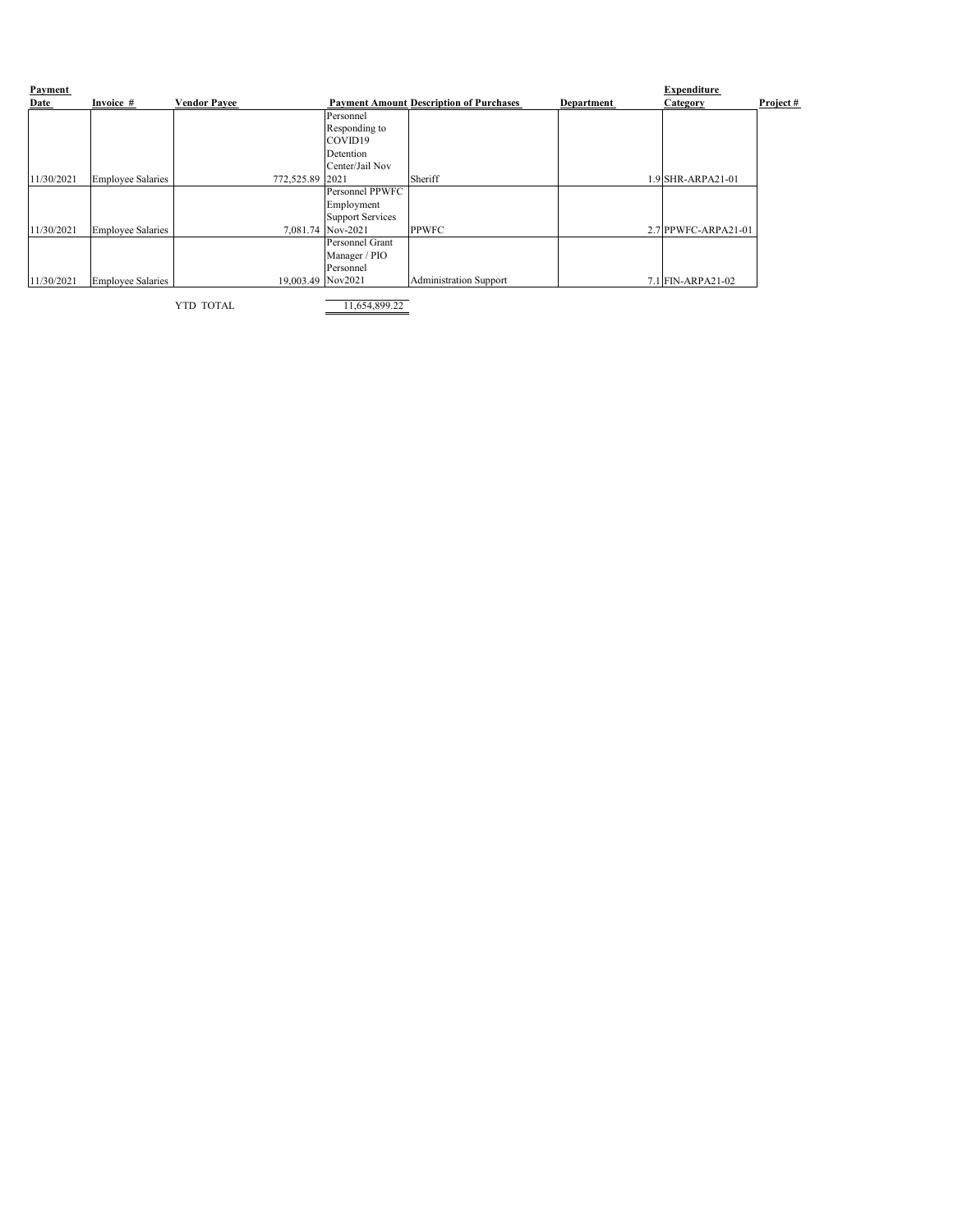| Payment     |                          |                     |                         |                                                |                   | <b>Expenditure</b>  |             |
|-------------|--------------------------|---------------------|-------------------------|------------------------------------------------|-------------------|---------------------|-------------|
| <u>Date</u> | Invoice #                | <b>Vendor Payee</b> |                         | <b>Payment Amount Description of Purchases</b> | <b>Department</b> | <b>Category</b>     | Project $#$ |
|             |                          |                     | Personnel               |                                                |                   |                     |             |
|             |                          |                     | Responding to           |                                                |                   |                     |             |
|             |                          |                     | COVID <sub>19</sub>     |                                                |                   |                     |             |
|             |                          |                     | Detention               |                                                |                   |                     |             |
|             |                          |                     | Center/Jail Nov         |                                                |                   |                     |             |
| 11/30/2021  | Employee Salaries        | 772,525.89          | 2021                    | Sheriff                                        |                   | $.9$ SHR-ARPA21-01  |             |
|             |                          |                     | Personnel PPWFC         |                                                |                   |                     |             |
|             |                          |                     | Employment              |                                                |                   |                     |             |
|             |                          |                     | <b>Support Services</b> |                                                |                   |                     |             |
| 11/30/2021  | <b>Employee Salaries</b> | 7,081.74            | Nov-2021                | <b>PPWFC</b>                                   |                   | 2.7 PPWFC-ARPA21-01 |             |
|             |                          |                     | Personnel Grant         |                                                |                   |                     |             |
|             |                          |                     | Manager / PIO           |                                                |                   |                     |             |
|             |                          |                     | Personnel               |                                                |                   |                     |             |
| 11/30/2021  | <b>Employee Salaries</b> | 19,003.49 Nov2021   |                         | <b>Administration Support</b>                  |                   | $7.1$ FIN-ARPA21-02 |             |

YTD TOTAL 11,654,899.22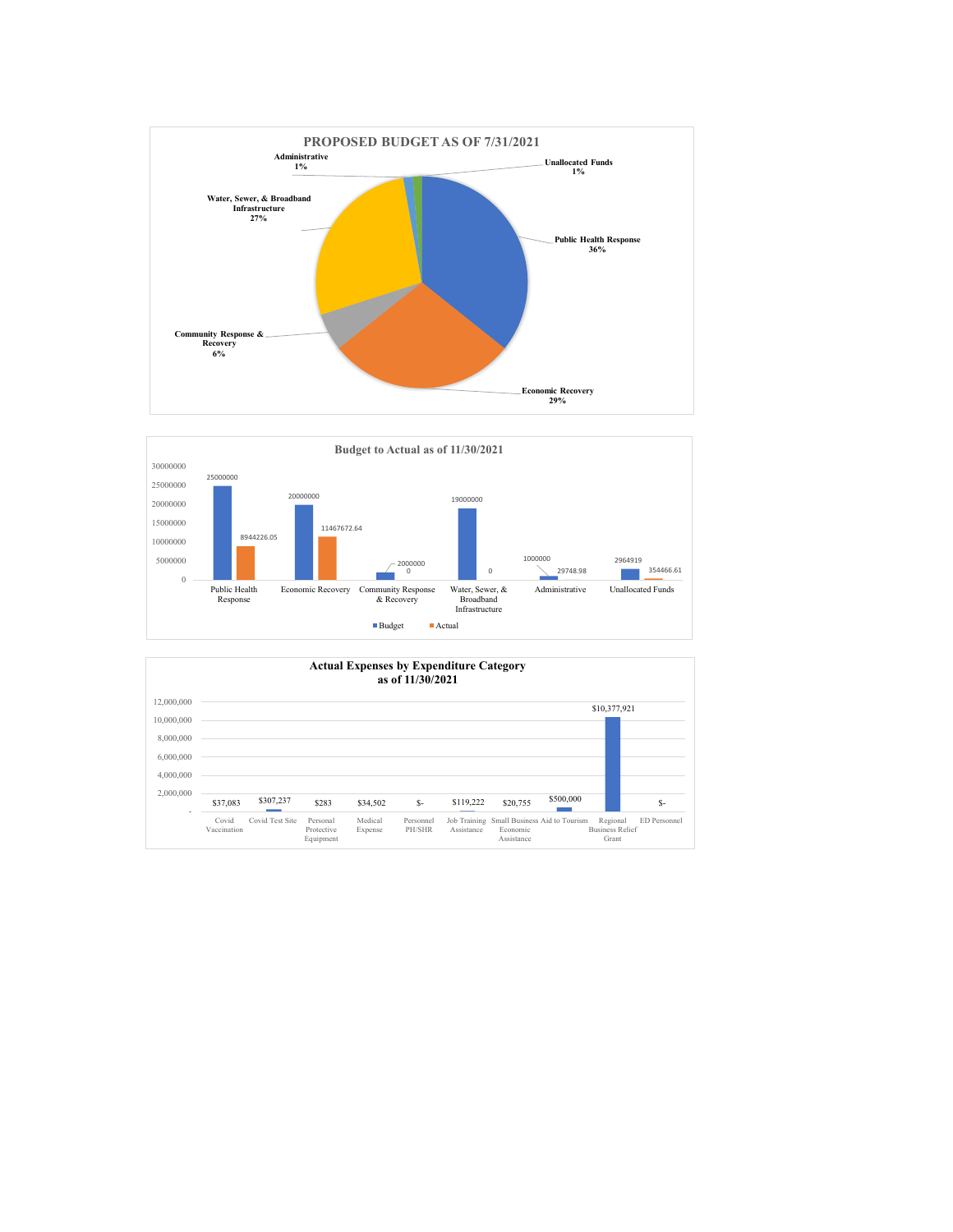| 4,000,000 |                      |                 |                                     |                    |                     |            |                        |                                            |                                             |              |
|-----------|----------------------|-----------------|-------------------------------------|--------------------|---------------------|------------|------------------------|--------------------------------------------|---------------------------------------------|--------------|
| 2,000,000 | \$37,083             | \$307,237       | \$283                               | \$34,502           | $S-$                | \$119,222  | \$20,755               | \$500,000                                  |                                             | \$-          |
|           | Covid<br>Vaccination | Covid Test Site | Personal<br>Protective<br>Equipment | Medical<br>Expense | Personnel<br>PH/SHR | Assistance | Economic<br>Assistance | Job Training Small Business Aid to Tourism | Regional<br><b>Business Relief</b><br>Grant | ED Personnel |